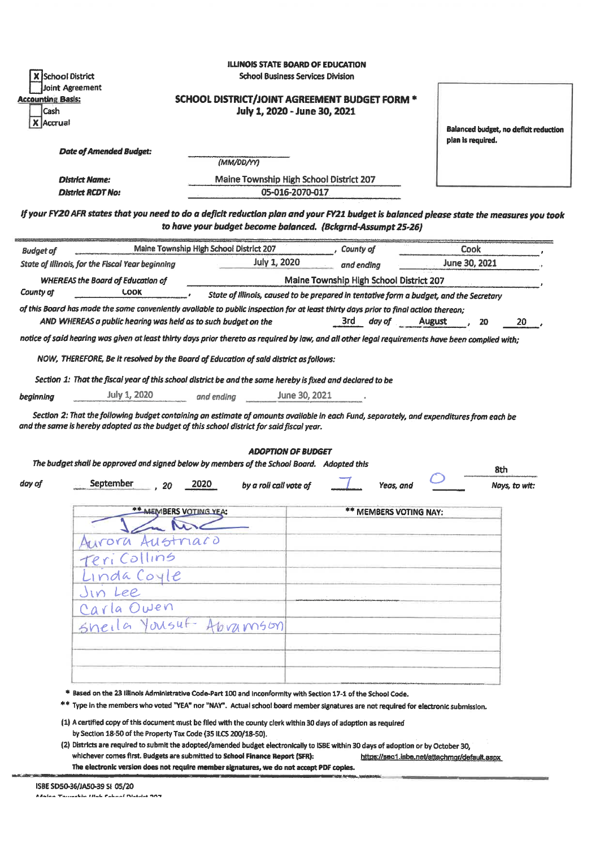| <b>Accounting Basis:</b> | <b>School District</b><br>Joint Agreement                                                                                                                                                                                                                                                                                            | <b>ILLINOIS STATE BOARD OF EDUCATION</b><br><b>School Business Services Division</b><br>SCHOOL DISTRICT/JOINT AGREEMENT BUDGET FORM * |                                         |                     |                                       |
|--------------------------|--------------------------------------------------------------------------------------------------------------------------------------------------------------------------------------------------------------------------------------------------------------------------------------------------------------------------------------|---------------------------------------------------------------------------------------------------------------------------------------|-----------------------------------------|---------------------|---------------------------------------|
| Cash<br>Accrual          |                                                                                                                                                                                                                                                                                                                                      | July 1, 2020 - June 30, 2021                                                                                                          |                                         | plan is required.   | Balanced budget, no deficit reduction |
|                          | <b>Date of Amended Budget:</b>                                                                                                                                                                                                                                                                                                       | (MM/DD/YY)                                                                                                                            |                                         |                     |                                       |
|                          | <b>District Name:</b>                                                                                                                                                                                                                                                                                                                | Maine Township High School District 207                                                                                               |                                         |                     |                                       |
|                          | <b>District RCDT No:</b>                                                                                                                                                                                                                                                                                                             | 05-016-2070-017                                                                                                                       |                                         |                     |                                       |
|                          | If your FY20 AFR states that you need to do a deficit reduction plan and your FY21 budget is balanced please state the measures you took                                                                                                                                                                                             | to have your budget become balanced. (Bckgrnd-Assumpt 25-26)                                                                          |                                         |                     |                                       |
| <b>Budget of</b>         | Maine Township High School District 207                                                                                                                                                                                                                                                                                              |                                                                                                                                       | , County of                             | Cook                |                                       |
|                          | State of Illinois, for the Fiscal Year beginning                                                                                                                                                                                                                                                                                     | <b>July 1, 2020</b>                                                                                                                   | and ending                              | June 30, 2021       |                                       |
|                          | <b>WHEREAS the Board of Education of</b>                                                                                                                                                                                                                                                                                             |                                                                                                                                       | Maine Township High School District 207 |                     |                                       |
| County of                | <b>LOOK</b><br>of this Board has made the same conveniently available to public inspection for at least thirty days prior to final action thereon;                                                                                                                                                                                   | State of Illinois, caused to be prepared in tentative form a budget, and the Secretary                                                |                                         |                     |                                       |
|                          | AND WHEREAS a public hearing was held as to such budget on the                                                                                                                                                                                                                                                                       |                                                                                                                                       | 3rd<br>day of                           | <b>August</b><br>20 | 20                                    |
|                          | notice of said hearing was given at least thirty days prior thereto as required by law, and all other legal requirements have been complied with;                                                                                                                                                                                    |                                                                                                                                       |                                         |                     |                                       |
|                          | Section 1: That the fiscal year of this school district be and the same hereby is fixed and declared to be<br><b>July 1, 2020</b>                                                                                                                                                                                                    | June 30, 2021<br>and endina                                                                                                           |                                         |                     |                                       |
|                          | Section 2: That the following budget containing an estimate of amounts available in each Fund, separately, and expenditures from each be<br>and the same is hereby adopted as the budget of this school district for said fiscal year.<br>The budget shall be approved and signed below by members of the School Board. Adopted this | <b>ADOPTION OF BUDGET</b>                                                                                                             |                                         |                     |                                       |
|                          | September<br>2020<br>20                                                                                                                                                                                                                                                                                                              | by a roll call vote of                                                                                                                | Yeas. and                               |                     | 8th<br>Nays, to wit:                  |
|                          | <b>** MEMBERS VOTING YEA:</b>                                                                                                                                                                                                                                                                                                        |                                                                                                                                       | ** MEMBERS VOTING NAY:                  |                     |                                       |
|                          |                                                                                                                                                                                                                                                                                                                                      |                                                                                                                                       |                                         |                     |                                       |
|                          | Aurora Austriaco                                                                                                                                                                                                                                                                                                                     |                                                                                                                                       |                                         |                     |                                       |
|                          | eri Collins                                                                                                                                                                                                                                                                                                                          |                                                                                                                                       |                                         |                     |                                       |
|                          | nda Coyle                                                                                                                                                                                                                                                                                                                            |                                                                                                                                       |                                         |                     |                                       |
|                          | Jin Lee                                                                                                                                                                                                                                                                                                                              |                                                                                                                                       |                                         |                     |                                       |
|                          | Carla Owen<br>Sheila Yousuf-                                                                                                                                                                                                                                                                                                         | Abramson                                                                                                                              |                                         |                     |                                       |
| beginning<br>day of      |                                                                                                                                                                                                                                                                                                                                      |                                                                                                                                       |                                         |                     |                                       |
|                          |                                                                                                                                                                                                                                                                                                                                      |                                                                                                                                       |                                         |                     |                                       |

- (1) A certified copy of this document must be filed with the county clerk within 30 days of adoption as required by Section 18-50 of the Property Tax Code (35 ILCS 200/18-50).
- (2) Districts are required to submit the adopted/amended budget electronically to ISBE within 30 days of adoption or by October 30, whichever comes first. Budgets are submitted to School Finance Report (SFR): https://sec1.isbe.net/attachmgr/default.aspx The electronic version does not require member signatures, we do not accept PDF copies.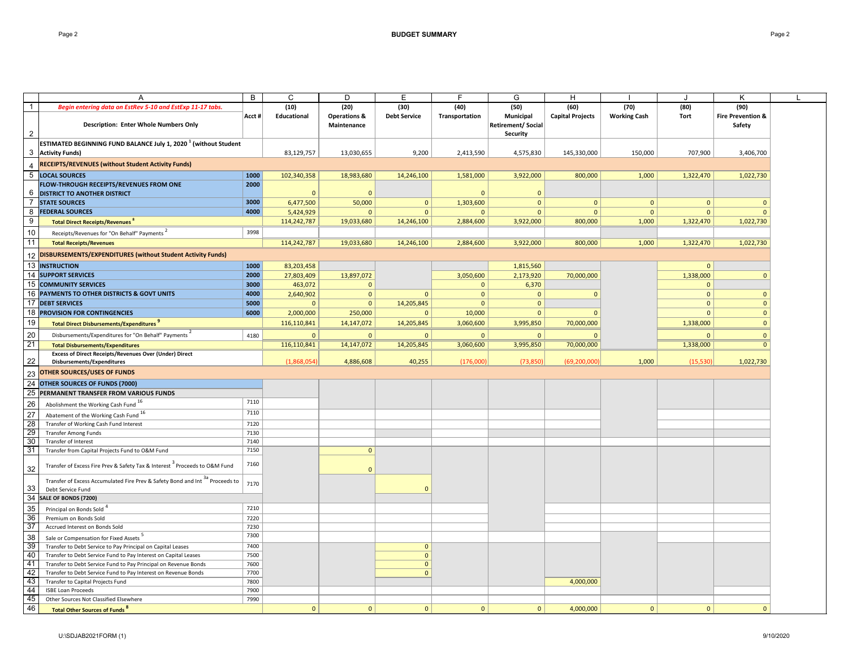|                 | Α                                                                                                                                  | В            | C                   | D                               | Е                            | F                      | G                                            | H                               |                             |              | Κ                                    |  |
|-----------------|------------------------------------------------------------------------------------------------------------------------------------|--------------|---------------------|---------------------------------|------------------------------|------------------------|----------------------------------------------|---------------------------------|-----------------------------|--------------|--------------------------------------|--|
| $\overline{1}$  | Begin entering data on EstRev 5-10 and EstExp 11-17 tabs.                                                                          | Acct #       | (10)<br>Educational | (20)<br><b>Operations &amp;</b> | (30)<br><b>Debt Service</b>  | (40)<br>Transportation | (50)<br>Municipal                            | (60)<br><b>Capital Projects</b> | (70)<br><b>Working Cash</b> | (80)<br>Tort | (90)<br><b>Fire Prevention &amp;</b> |  |
| $\overline{2}$  | <b>Description: Enter Whole Numbers Only</b>                                                                                       |              |                     | Maintenance                     |                              |                        | <b>Retirement/ Social</b><br><b>Security</b> |                                 |                             |              | Safety                               |  |
| 3               | ESTIMATED BEGINNING FUND BALANCE July 1, 2020 $^1$ (without Student<br><b>Activity Funds)</b>                                      |              | 83,129,757          | 13,030,655                      | 9,200                        | 2,413,590              | 4,575,830                                    | 145,330,000                     | 150,000                     | 707,900      | 3,406,700                            |  |
|                 | <b>RECEIPTS/REVENUES (without Student Activity Funds)</b>                                                                          |              |                     |                                 |                              |                        |                                              |                                 |                             |              |                                      |  |
| 5               | <b>LOCAL SOURCES</b>                                                                                                               | 1000         | 102,340,358         | 18,983,680                      | 14,246,100                   | 1,581,000              | 3,922,000                                    | 800,000                         | 1,000                       | 1,322,470    | 1,022,730                            |  |
|                 | FLOW-THROUGH RECEIPTS/REVENUES FROM ONE                                                                                            | 2000         |                     |                                 |                              |                        |                                              |                                 |                             |              |                                      |  |
|                 | <b>6 DISTRICT TO ANOTHER DISTRICT</b>                                                                                              |              | $\Omega$            | $\Omega$                        |                              | $\Omega$               | $\Omega$                                     |                                 |                             |              |                                      |  |
| 7               | <b>STATE SOURCES</b>                                                                                                               | 3000         | 6,477,500           | 50,000                          | $\mathbf{0}$                 | 1,303,600              | $\mathbf{0}$                                 | $\mathbf{0}$                    | $\mathbf 0$                 | $\mathbf{0}$ | $\mathbf{0}$                         |  |
| 8               | <b>FEDERAL SOURCES</b>                                                                                                             | 4000         | 5,424,929           | $\Omega$                        | $\Omega$                     | $\mathbf{0}$           | $\Omega$                                     | $\Omega$                        | $\mathbf{0}$                | $\Omega$     |                                      |  |
| 9               | Total Direct Receipts/Revenues                                                                                                     |              | 114,242,787         | 19,033,680                      | 14,246,100                   | 2,884,600              | 3,922,000                                    | 800,000                         | 1,000                       | 1,322,470    | 1,022,730                            |  |
| 10              | Receipts/Revenues for "On Behalf" Payments <sup>2</sup>                                                                            | 3998         |                     |                                 |                              |                        |                                              |                                 |                             |              |                                      |  |
| 11              | <b>Total Receipts/Revenues</b>                                                                                                     |              | 114,242,787         | 19,033,680                      | 14,246,100                   | 2,884,600              | 3,922,000                                    | 800,000                         | 1,000                       | 1,322,470    | 1,022,730                            |  |
| 12              | DISBURSEMENTS/EXPENDITURES (without Student Activity Funds)                                                                        |              |                     |                                 |                              |                        |                                              |                                 |                             |              |                                      |  |
| 13              | <b>INSTRUCTION</b>                                                                                                                 | 1000         | 83,203,458          |                                 |                              |                        | 1,815,560                                    |                                 |                             | $\Omega$     |                                      |  |
|                 | <b>14 SUPPORT SERVICES</b>                                                                                                         | 2000         | 27,803,409          | 13,897,072                      |                              | 3,050,600              | 2,173,920                                    | 70,000,000                      |                             | 1,338,000    | $\mathbf{0}$                         |  |
|                 | 15 COMMUNITY SERVICES                                                                                                              | 3000         | 463,072             | $\Omega$                        |                              | $\mathbf{0}$           | 6,370                                        |                                 |                             | $\Omega$     |                                      |  |
|                 | 16 PAYMENTS TO OTHER DISTRICTS & GOVT UNITS                                                                                        | 4000         | 2,640,902           | $\mathbf{0}$                    | $\mathbf{0}$                 | $\mathbf 0$            | $\mathbf 0$                                  | $\mathbf{0}$                    |                             | $\mathbf 0$  | $\mathbf{0}$                         |  |
|                 | <b>17 DEBT SERVICES</b>                                                                                                            | 5000         | $\mathbf{0}$        | $\mathbf{0}$                    | 14,205,845                   | $\mathbf{0}$           | $\mathbf{0}$                                 |                                 |                             | $\Omega$     | $\mathbf{0}$                         |  |
|                 | <b>18 PROVISION FOR CONTINGENCIES</b>                                                                                              | 6000         | 2,000,000           | 250,000                         | $\mathbf{0}$                 | 10,000                 | $\mathbf{0}$                                 | $\mathbf{0}$                    |                             | $\mathbf{0}$ | $\mathbf{0}$                         |  |
| 19              | <b>Total Direct Disbursements/Expenditures</b>                                                                                     |              | 116,110,841         | 14,147,072                      | 14,205,845                   | 3,060,600              | 3,995,850                                    | 70,000,000                      |                             | 1,338,000    | $\mathbf{0}$                         |  |
| 20              | Disbursements/Expenditures for "On Behalf" Payments                                                                                | 4180         | $\mathbf 0$         | $\mathbf{0}$                    | $\mathbf{0}$                 | $\mathbf{0}$           | $\mathbf{0}$                                 | $\Omega$                        |                             | $\Omega$     | $\mathbf{0}$                         |  |
| 21              | <b>Total Disbursements/Expenditures</b>                                                                                            |              | 116,110,841         | 14, 147, 072                    | 14,205,845                   | 3,060,600              | 3,995,850                                    | 70,000,000                      |                             | 1,338,000    | $\mathbf{0}$                         |  |
|                 | Excess of Direct Receipts/Revenues Over (Under) Direct                                                                             |              |                     |                                 |                              |                        |                                              |                                 |                             |              |                                      |  |
| 22              | Disbursements/Expenditures                                                                                                         |              | (1,868,054)         | 4,886,608                       | 40,255                       | (176,000)              | (73, 850)                                    | (69, 200, 000)                  | 1,000                       | (15, 530)    | 1,022,730                            |  |
| 23              | OTHER SOURCES/USES OF FUNDS                                                                                                        |              |                     |                                 |                              |                        |                                              |                                 |                             |              |                                      |  |
| 24              | OTHER SOURCES OF FUNDS (7000)                                                                                                      |              |                     |                                 |                              |                        |                                              |                                 |                             |              |                                      |  |
| 25              | PERMANENT TRANSFER FROM VARIOUS FUNDS                                                                                              |              |                     |                                 |                              |                        |                                              |                                 |                             |              |                                      |  |
| 26              | Abolishment the Working Cash Fund 16                                                                                               | 7110         |                     |                                 |                              |                        |                                              |                                 |                             |              |                                      |  |
| $\overline{27}$ | Abatement of the Working Cash Fund 16                                                                                              | 7110         |                     |                                 |                              |                        |                                              |                                 |                             |              |                                      |  |
| 28              | Transfer of Working Cash Fund Interest                                                                                             | 7120         |                     |                                 |                              |                        |                                              |                                 |                             |              |                                      |  |
| 29              | <b>Transfer Among Funds</b>                                                                                                        | 7130         |                     |                                 |                              |                        |                                              |                                 |                             |              |                                      |  |
| 30              | Transfer of Interest                                                                                                               | 7140         |                     |                                 |                              |                        |                                              |                                 |                             |              |                                      |  |
| 31              | Transfer from Capital Projects Fund to O&M Fund                                                                                    | 7150         |                     | $\mathbf{0}$                    |                              |                        |                                              |                                 |                             |              |                                      |  |
| 32              | Transfer of Excess Fire Prev & Safety Tax & Interest <sup>3</sup> Proceeds to O&M Fund                                             | 7160         |                     | $\Omega$                        |                              |                        |                                              |                                 |                             |              |                                      |  |
| 33              | Transfer of Excess Accumulated Fire Prev & Safety Bond and Int <sup>38</sup> Proceeds to                                           | 7170         |                     |                                 | $\Omega$                     |                        |                                              |                                 |                             |              |                                      |  |
| 34              | Debt Service Fund<br>SALE OF BONDS (7200)                                                                                          |              |                     |                                 |                              |                        |                                              |                                 |                             |              |                                      |  |
| $\overline{35}$ |                                                                                                                                    |              |                     |                                 |                              |                        |                                              |                                 |                             |              |                                      |  |
| $\overline{36}$ | Principal on Bonds Sold <sup>4</sup><br>Premium on Bonds Sold                                                                      | 7210<br>7220 |                     |                                 |                              |                        |                                              |                                 |                             |              |                                      |  |
| 37              | Accrued Interest on Bonds Sold                                                                                                     | 7230         |                     |                                 |                              |                        |                                              |                                 |                             |              |                                      |  |
|                 |                                                                                                                                    | 7300         |                     |                                 |                              |                        |                                              |                                 |                             |              |                                      |  |
| 38              | Sale or Compensation for Fixed Assets <sup>5</sup>                                                                                 |              |                     |                                 |                              |                        |                                              |                                 |                             |              |                                      |  |
| 39<br>40        | Transfer to Debt Service to Pay Principal on Capital Leases                                                                        | 7400<br>7500 |                     |                                 | $\mathbf{0}$                 |                        |                                              |                                 |                             |              |                                      |  |
| 41              | Transfer to Debt Service Fund to Pay Interest on Capital Leases<br>Transfer to Debt Service Fund to Pay Principal on Revenue Bonds | 7600         |                     |                                 | $\mathbf{0}$<br>$\mathbf{0}$ |                        |                                              |                                 |                             |              |                                      |  |
| 42              | Transfer to Debt Service Fund to Pay Interest on Revenue Bonds                                                                     | 7700         |                     |                                 | $\mathbf{0}$                 |                        |                                              |                                 |                             |              |                                      |  |
| 43              | Transfer to Capital Projects Fund                                                                                                  | 7800         |                     |                                 |                              |                        |                                              | 4,000,000                       |                             |              |                                      |  |
| 44              | <b>ISBE Loan Proceeds</b>                                                                                                          | 7900         |                     |                                 |                              |                        |                                              |                                 |                             |              |                                      |  |
| 45              | Other Sources Not Classified Elsewhere                                                                                             | 7990         |                     |                                 |                              |                        |                                              |                                 |                             |              |                                      |  |
| 46              | <b>Total Other Sources of Funds<sup>8</sup></b>                                                                                    |              | $\mathbf{0}$        | $\mathbf{0}$                    | $\mathbf{0}$                 | $\mathbf{0}$           | $\mathbf{0}$                                 | 4,000,000                       | $\mathbf{0}$                | $\mathbf{0}$ | $\Omega$                             |  |
|                 |                                                                                                                                    |              |                     |                                 |                              |                        |                                              |                                 |                             |              |                                      |  |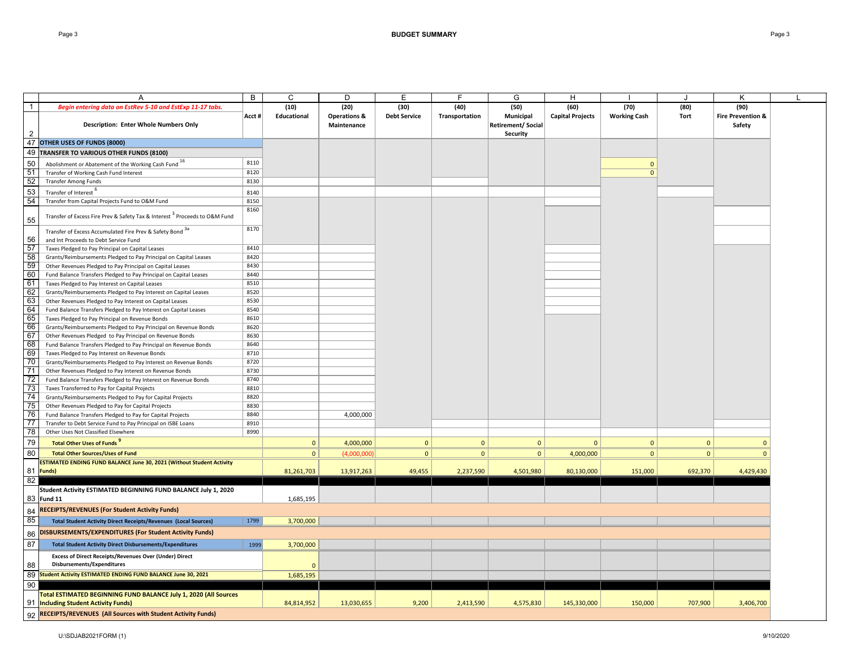|                | A                                                                                      | $\overline{B}$ | $\overline{c}$ | D                       | Ē                   | E              | G                         | H                       |                     |              | K                            |  |
|----------------|----------------------------------------------------------------------------------------|----------------|----------------|-------------------------|---------------------|----------------|---------------------------|-------------------------|---------------------|--------------|------------------------------|--|
| $\overline{1}$ | Begin entering data on EstRev 5-10 and EstExp 11-17 tabs                               |                | (10)           | (20)                    | (30)                | (40)           | (50)                      | (60)                    | (70)                | (80)         | (90)                         |  |
|                |                                                                                        |                | Educational    | <b>Operations &amp;</b> | <b>Debt Service</b> |                | Municipal                 | <b>Capital Projects</b> | <b>Working Cash</b> | Tort         | <b>Fire Prevention &amp;</b> |  |
|                |                                                                                        | Acct #         |                |                         |                     | Transportation |                           |                         |                     |              |                              |  |
| $\overline{2}$ | <b>Description: Enter Whole Numbers Only</b>                                           |                |                | Maintenance             |                     |                | <b>Retirement/ Social</b> |                         |                     |              | Safety                       |  |
|                |                                                                                        |                |                |                         |                     |                | Security                  |                         |                     |              |                              |  |
| 47             | OTHER USES OF FUNDS (8000)                                                             |                |                |                         |                     |                |                           |                         |                     |              |                              |  |
| 49             | TRANSFER TO VARIOUS OTHER FUNDS (8100)                                                 |                |                |                         |                     |                |                           |                         |                     |              |                              |  |
| 50             | Abolishment or Abatement of the Working Cash Fund 16                                   | 8110           |                |                         |                     |                |                           |                         | $\Omega$            |              |                              |  |
| 51             | Transfer of Working Cash Fund Interest                                                 | 8120           |                |                         |                     |                |                           |                         | $\mathbf{0}$        |              |                              |  |
| 52             | <b>Transfer Among Funds</b>                                                            | 8130           |                |                         |                     |                |                           |                         |                     |              |                              |  |
| 53             | Transfer of Interest                                                                   | 8140           |                |                         |                     |                |                           |                         |                     |              |                              |  |
| 54             | Transfer from Capital Projects Fund to O&M Fund                                        | 8150           |                |                         |                     |                |                           |                         |                     |              |                              |  |
|                |                                                                                        | 8160           |                |                         |                     |                |                           |                         |                     |              |                              |  |
| 55             | Transfer of Excess Fire Prev & Safety Tax & Interest <sup>3</sup> Proceeds to O&M Fund |                |                |                         |                     |                |                           |                         |                     |              |                              |  |
|                | Transfer of Excess Accumulated Fire Prev & Safety Bond 3a                              | 8170           |                |                         |                     |                |                           |                         |                     |              |                              |  |
| 56             | and Int Proceeds to Debt Service Fund                                                  |                |                |                         |                     |                |                           |                         |                     |              |                              |  |
| 57             | Taxes Pledged to Pay Principal on Capital Leases                                       | 8410           |                |                         |                     |                |                           |                         |                     |              |                              |  |
| 58             | Grants/Reimbursements Pledged to Pay Principal on Capital Leases                       | 8420           |                |                         |                     |                |                           |                         |                     |              |                              |  |
| 59             | Other Revenues Pledged to Pay Principal on Capital Leases                              | 8430           |                |                         |                     |                |                           |                         |                     |              |                              |  |
| 60             | Fund Balance Transfers Pledged to Pay Principal on Capital Leases                      | 8440           |                |                         |                     |                |                           |                         |                     |              |                              |  |
| 61             | Taxes Pledged to Pay Interest on Capital Leases                                        | 8510           |                |                         |                     |                |                           |                         |                     |              |                              |  |
| 62             | Grants/Reimbursements Pledged to Pay Interest on Capital Leases                        | 8520           |                |                         |                     |                |                           |                         |                     |              |                              |  |
| 63             | Other Revenues Pledged to Pay Interest on Capital Leases                               | 8530           |                |                         |                     |                |                           |                         |                     |              |                              |  |
| 64             | Fund Balance Transfers Pledged to Pay Interest on Capital Leases                       | 8540           |                |                         |                     |                |                           |                         |                     |              |                              |  |
| 65             | Taxes Pledged to Pay Principal on Revenue Bonds                                        | 8610           |                |                         |                     |                |                           |                         |                     |              |                              |  |
| 66             | Grants/Reimbursements Pledged to Pay Principal on Revenue Bonds                        | 8620           |                |                         |                     |                |                           |                         |                     |              |                              |  |
| 67             | Other Revenues Pledged to Pay Principal on Revenue Bonds                               | 8630           |                |                         |                     |                |                           |                         |                     |              |                              |  |
| 68             | Fund Balance Transfers Pledged to Pay Principal on Revenue Bonds                       | 8640           |                |                         |                     |                |                           |                         |                     |              |                              |  |
| 69             | Taxes Pledged to Pay Interest on Revenue Bonds                                         | 8710           |                |                         |                     |                |                           |                         |                     |              |                              |  |
| 70             | Grants/Reimbursements Pledged to Pay Interest on Revenue Bonds                         | 8720           |                |                         |                     |                |                           |                         |                     |              |                              |  |
| 71             | Other Revenues Pledged to Pay Interest on Revenue Bonds                                | 8730           |                |                         |                     |                |                           |                         |                     |              |                              |  |
| 72             | Fund Balance Transfers Pledged to Pay Interest on Revenue Bonds                        | 8740           |                |                         |                     |                |                           |                         |                     |              |                              |  |
| 73             | Taxes Transferred to Pay for Capital Projects                                          | 8810           |                |                         |                     |                |                           |                         |                     |              |                              |  |
| 74             | Grants/Reimbursements Pledged to Pay for Capital Projects                              | 8820           |                |                         |                     |                |                           |                         |                     |              |                              |  |
| 75             | Other Revenues Pledged to Pay for Capital Projects                                     | 8830           |                |                         |                     |                |                           |                         |                     |              |                              |  |
| 76             | Fund Balance Transfers Pledged to Pay for Capital Projects                             | 8840           |                | 4,000,000               |                     |                |                           |                         |                     |              |                              |  |
| 77             | Transfer to Debt Service Fund to Pay Principal on ISBE Loans                           | 8910           |                |                         |                     |                |                           |                         |                     |              |                              |  |
| 78             | Other Uses Not Classified Elsewhere                                                    | 8990           |                |                         |                     |                |                           |                         |                     |              |                              |  |
| 79             |                                                                                        |                | $\mathbf{0}$   |                         | $\mathbf{0}$        | $\mathbf{0}$   | $\mathbf{0}$              | $\Omega$                | $\mathbf{0}$        | $\Omega$     | $\Omega$                     |  |
|                | <b>Total Other Uses of Funds</b>                                                       |                |                | 4,000,000               |                     |                |                           |                         |                     |              |                              |  |
| 80             | <b>Total Other Sources/Uses of Fund</b>                                                |                | $\mathbf 0$    | (4,000,000)             | 0                   | $\mathbf{0}$   | 0                         | 4,000,000               | $\mathbf{0}$        | $\mathbf{0}$ | $\overline{0}$               |  |
|                | ESTIMATED ENDING FUND BALANCE June 30, 2021 (Without Student Activity                  |                |                |                         |                     |                |                           |                         |                     |              |                              |  |
|                | 81 Funds)                                                                              |                | 81,261,703     | 13,917,263              | 49,455              | 2,237,590      | 4,501,980                 | 80,130,000              | 151,000             | 692,370      | 4,429,430                    |  |
| 82             |                                                                                        |                |                |                         |                     |                |                           |                         |                     |              |                              |  |
|                | Student Activity ESTIMATED BEGINNING FUND BALANCE July 1, 2020                         |                |                |                         |                     |                |                           |                         |                     |              |                              |  |
|                | 83 Fund 11                                                                             |                | 1,685,195      |                         |                     |                |                           |                         |                     |              |                              |  |
| 84             | <b>RECEIPTS/REVENUES (For Student Activity Funds)</b>                                  |                |                |                         |                     |                |                           |                         |                     |              |                              |  |
| 85             | <b>Total Student Activity Direct Receipts/Revenues (Local Sources)</b>                 | 1799           | 3,700,000      |                         |                     |                |                           |                         |                     |              |                              |  |
|                |                                                                                        |                |                |                         |                     |                |                           |                         |                     |              |                              |  |
| 86             | DISBURSEMENTS/EXPENDITURES (For Student Activity Funds)                                |                |                |                         |                     |                |                           |                         |                     |              |                              |  |
| 87             | <b>Total Student Activity Direct Disbursements/Expenditures</b>                        | 1999           | 3,700,000      |                         |                     |                |                           |                         |                     |              |                              |  |
|                | <b>Excess of Direct Receipts/Revenues Over (Under) Direct</b>                          |                |                |                         |                     |                |                           |                         |                     |              |                              |  |
| 88             | Disbursements/Expenditures                                                             |                | $\mathbf{0}$   |                         |                     |                |                           |                         |                     |              |                              |  |
| 89             | <b>Student Activity ESTIMATED ENDING FUND BALANCE June 30, 2021</b>                    |                | 1,685,195      |                         |                     |                |                           |                         |                     |              |                              |  |
| 90             |                                                                                        |                |                |                         |                     |                |                           |                         |                     |              |                              |  |
|                | Total ESTIMATED BEGINNING FUND BALANCE July 1, 2020 (All Sources                       |                |                |                         |                     |                |                           |                         |                     |              |                              |  |
|                |                                                                                        |                | 84,814,952     | 13,030,655              | 9,200               | 2,413,590      | 4,575,830                 | 145,330,000             | 150,000             | 707,900      | 3,406,700                    |  |
|                | 91 <b>Including Student Activity Funds)</b>                                            |                |                |                         |                     |                |                           |                         |                     |              |                              |  |
|                | 92 RECEIPTS/REVENUES (All Sources with Student Activity Funds)                         |                |                |                         |                     |                |                           |                         |                     |              |                              |  |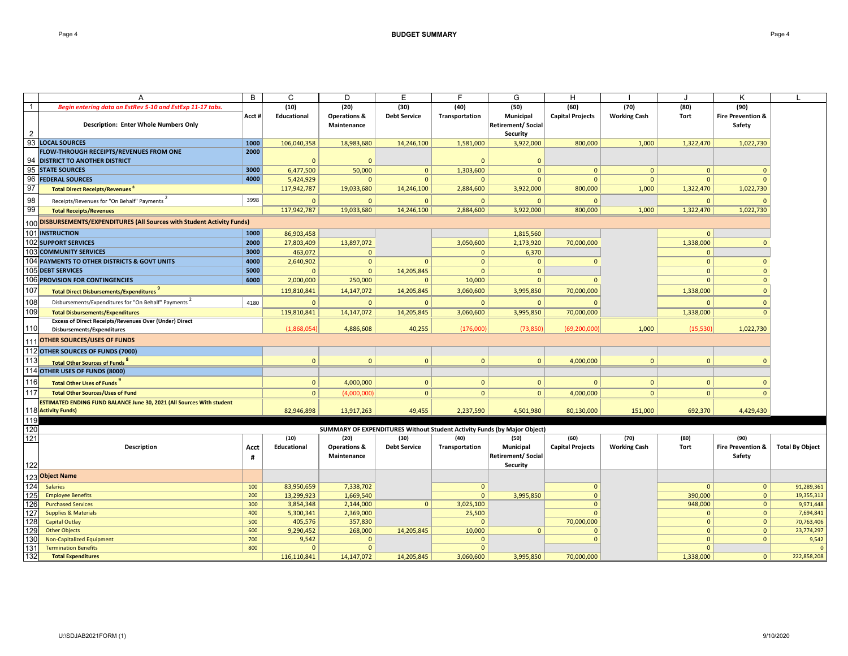|                | А                                                                           | В         | C                   | D                                      | Е                           | F                      | G                                                                        | H                               |                             |              | κ                                      | L                      |
|----------------|-----------------------------------------------------------------------------|-----------|---------------------|----------------------------------------|-----------------------------|------------------------|--------------------------------------------------------------------------|---------------------------------|-----------------------------|--------------|----------------------------------------|------------------------|
| $\overline{1}$ | Begin entering data on EstRev 5-10 and EstExp 11-17 tabs.                   | Acct #    | (10)<br>Educational | (20)<br><b>Operations &amp;</b>        | (30)<br><b>Debt Service</b> | (40)<br>Transportation | (50)<br>Municipal                                                        | (60)<br><b>Capital Projects</b> | (70)<br><b>Working Cash</b> | (80)<br>Tort | (90)<br><b>Fire Prevention &amp;</b>   |                        |
|                | <b>Description: Enter Whole Numbers Only</b>                                |           |                     | Maintenance                            |                             |                        | <b>Retirement/ Social</b><br><b>Security</b>                             |                                 |                             |              | Safety                                 |                        |
|                | 93 LOCAL SOURCES                                                            | 1000      | 106,040,358         | 18,983,680                             | 14,246,100                  | 1,581,000              | 3,922,000                                                                | 800,000                         | 1,000                       | 1,322,470    | 1,022,730                              |                        |
|                | FLOW-THROUGH RECEIPTS/REVENUES FROM ONE                                     | 2000      |                     |                                        |                             |                        |                                                                          |                                 |                             |              |                                        |                        |
| 94             | <b>DISTRICT TO ANOTHER DISTRICT</b>                                         |           | $\Omega$            | $\Omega$                               |                             |                        | $\Omega$                                                                 |                                 |                             |              |                                        |                        |
| 95             | <b>STATE SOURCES</b>                                                        | 3000      | 6,477,500           | 50,000                                 | $\mathbf{0}$                | 1,303,600              | $\mathbf{0}$                                                             | $\mathbf 0$                     | $\mathbf{0}$                | $\mathbf{0}$ | $\Omega$                               |                        |
|                | 96 FEDERAL SOURCES                                                          | 4000      | 5,424,929           | $\mathbf{0}$                           | $\Omega$                    | $\mathbf{0}$           | $\mathbf{0}$                                                             | $\mathbf{0}$                    | $\overline{0}$              | $\Omega$     | $\Omega$                               |                        |
| 97             | <b>Total Direct Receipts/Revenues</b> <sup>8</sup>                          |           | 117,942,787         | 19,033,680                             | 14,246,100                  | 2,884,600              | 3,922,000                                                                | 800,000                         | 1,000                       | 1,322,470    | 1,022,730                              |                        |
| 98             | Receipts/Revenues for "On Behalf" Payments <sup>2</sup>                     | 3998      | $\Omega$            | $\Omega$                               | $\Omega$                    | $\mathbf{0}$           | $\Omega$                                                                 | $\mathbf{0}$                    |                             | $\Omega$     |                                        |                        |
| 99             | <b>Total Receipts/Revenues</b>                                              |           | 117,942,787         | 19,033,680                             | 14,246,100                  | 2,884,600              | 3,922,000                                                                | 800,000                         | 1,000                       | 1,322,470    | 1,022,730                              |                        |
| 100            | <b>DISBURSEMENTS/EXPENDITURES (All Sources with Student Activity Funds)</b> |           |                     |                                        |                             |                        |                                                                          |                                 |                             |              |                                        |                        |
|                | <b>101 INSTRUCTION</b>                                                      | 1000      | 86,903,458          |                                        |                             |                        | 1,815,560                                                                |                                 |                             | $\Omega$     |                                        |                        |
|                | <b>102 SUPPORT SERVICES</b>                                                 | 2000      | 27,803,409          | 13,897,072                             |                             | 3,050,600              | 2,173,920                                                                | 70,000,000                      |                             | 1,338,000    | $\mathbf{0}$                           |                        |
|                | <b>103 COMMUNITY SERVICES</b>                                               | 3000      | 463,072             | $\mathbf{0}$                           |                             | $\mathbf{0}$           | 6,370                                                                    |                                 |                             | $\Omega$     |                                        |                        |
|                | 104 PAYMENTS TO OTHER DISTRICTS & GOVT UNITS                                | 4000      | 2,640,902           | $\mathbf{0}$                           | $\mathbf{0}$                | $\mathbf{0}$           | $\mathbf{0}$                                                             | $\mathbf{0}$                    |                             | $\mathbf{0}$ | $\mathbf{0}$                           |                        |
|                | 105 DEBT SERVICES                                                           | 5000      | $\Omega$            | $\mathbf{0}$                           | 14,205,845                  | $\mathbf{0}$           | $\mathbf{0}$                                                             |                                 |                             | $\Omega$     | $\Omega$                               |                        |
|                | 106 PROVISION FOR CONTINGENCIES                                             | 6000      | 2,000,000           | 250,000                                | $\Omega$                    | 10,000                 | $\mathbf{0}$                                                             | $\Omega$                        |                             | $\Omega$     | $\mathbf{0}$                           |                        |
| 107            | Total Direct Disbursements/Expenditures                                     |           | 119,810,841         | 14,147,072                             | 14,205,845                  | 3,060,600              | 3,995,850                                                                | 70,000,000                      |                             | 1,338,000    | $\Omega$                               |                        |
| 108            | Disbursements/Expenditures for "On Behalf" Payments                         | 4180      | $\mathbf{0}$        | $\Omega$                               | $\Omega$                    | $\mathbf{0}$           | $\Omega$                                                                 |                                 |                             | $\Omega$     | $\Omega$                               |                        |
| 109            | <b>Total Disbursements/Expenditures</b>                                     |           | 119,810,841         | 14,147,072                             | 14,205,845                  | 3,060,600              | 3,995,850                                                                | 70,000,000                      |                             | 1,338,000    | $\mathbf{0}$                           |                        |
|                | <b>Excess of Direct Receipts/Revenues Over (Under) Direct</b>               |           |                     |                                        |                             |                        |                                                                          |                                 |                             |              |                                        |                        |
| 110            | <b>Disbursements/Expenditures</b>                                           |           | (1,868,054)         | 4,886,608                              | 40,255                      | (176,000)              | (73, 850)                                                                | (69, 200, 000)                  | 1,000                       | (15, 530)    | 1,022,730                              |                        |
|                | OTHER SOURCES/USES OF FUNDS                                                 |           |                     |                                        |                             |                        |                                                                          |                                 |                             |              |                                        |                        |
|                | 112 OTHER SOURCES OF FUNDS (7000)                                           |           |                     |                                        |                             |                        |                                                                          |                                 |                             |              |                                        |                        |
| 113            | <b>Total Other Sources of Funds</b>                                         |           | $\Omega$            | $\Omega$                               | $\Omega$                    | $\mathbf{0}$           | $\mathbf{0}$                                                             | 4,000,000                       | $\Omega$                    | $\Omega$     | $\Omega$                               |                        |
|                | 114 OTHER USES OF FUNDS (8000)                                              |           |                     |                                        |                             |                        |                                                                          |                                 |                             |              |                                        |                        |
| 116            | Total Other Uses of Funds                                                   |           | $\mathbf{0}$        | 4,000,000                              | $\mathbf{0}$                | $\mathbf{0}$           | $\mathbf{0}$                                                             | $\mathbf{0}$                    | $\overline{0}$              | $\mathbf{0}$ | $\Omega$                               |                        |
| 117            | <b>Total Other Sources/Uses of Fund</b>                                     |           | $\mathbf{0}$        | (4,000,000)                            | $\mathbf{0}$                | 0                      | $\mathbf{0}$                                                             | 4,000,000                       | $\mathbf{0}$                | $\mathbf{0}$ | $\Omega$                               |                        |
|                | ESTIMATED ENDING FUND BALANCE June 30, 2021 (All Sources With student       |           |                     |                                        |                             |                        |                                                                          |                                 |                             |              |                                        |                        |
|                | 118 Activity Funds)                                                         |           | 82,946,898          | 13,917,263                             | 49,455                      | 2,237,590              | 4,501,980                                                                | 80,130,000                      | 151,000                     | 692,370      | 4,429,430                              |                        |
| 119            |                                                                             |           |                     |                                        |                             |                        |                                                                          |                                 |                             |              |                                        |                        |
| 120            |                                                                             |           |                     |                                        |                             |                        | SUMMARY OF EXPENDITURES Without Student Activity Funds (by Major Object) |                                 |                             |              |                                        |                        |
| 121            |                                                                             |           | (10)                | (20)                                   | (30)                        | (40)                   | (50)                                                                     | (60)                            | (70)                        | (80)         | (90)                                   |                        |
| 122            | <b>Description</b>                                                          | Acct<br># | Educational         | <b>Operations &amp;</b><br>Maintenance | <b>Debt Service</b>         | Transportation         | Municipal<br><b>Retirement/ Social</b><br><b>Security</b>                | <b>Capital Projects</b>         | <b>Working Cash</b>         | <b>Tort</b>  | <b>Fire Prevention &amp;</b><br>Safety | <b>Total By Object</b> |
| 123            | <b>Object Name</b>                                                          |           |                     |                                        |                             |                        |                                                                          |                                 |                             |              |                                        |                        |
| 124            | <b>Salaries</b>                                                             | 100       | 83,950,659          | 7,338,702                              |                             | $\mathbf{0}$           |                                                                          | $\mathbf{0}$                    |                             | $\Omega$     | $\mathbf{0}$                           | 91,289,361             |
| 125            | <b>Employee Benefits</b>                                                    | 200       | 13,299,923          | 1,669,540                              |                             | $\mathbf{0}$           | 3,995,850                                                                | $\mathbf{0}$                    |                             | 390,000      | $\mathbf{0}$                           | 19,355,313             |
| 126            | <b>Purchased Services</b>                                                   | 300       | 3,854,348           | 2,144,000                              | $\mathbf{0}$                | 3,025,100              |                                                                          | $\mathbf{0}$                    |                             | 948,000      | $\mathbf{0}$                           | 9,971,448              |
| 127            | <b>Supplies &amp; Materials</b>                                             | 400       | 5,300,341           | 2,369,000                              |                             | 25,500                 |                                                                          | $\Omega$                        |                             | $\Omega$     | $\mathbf{0}$                           | 7,694,841              |
| 128            | <b>Capital Outlay</b>                                                       | 500       | 405,576             | 357,830                                |                             | $\Omega$               |                                                                          | 70,000,000                      |                             | $\mathbf{0}$ | $\overline{0}$                         | 70,763,406             |
| 129            | <b>Other Objects</b>                                                        | 600       | 9,290,452           | 268,000                                | 14,205,845                  | 10,000                 | $\mathbf{0}$                                                             | $\mathbf{0}$                    |                             | $\mathbf{0}$ | $\mathbf{0}$                           | 23,774,297             |
| 130            | Non-Capitalized Equipment                                                   | 700       | 9,542               | $\mathbf{0}$                           |                             | 0                      |                                                                          | $\mathbf{0}$                    |                             | $\mathbf{0}$ | 0                                      | 9,542                  |
| 131            | <b>Termination Benefits</b>                                                 | 800       | $\mathbf{0}$        | $\mathbf{0}$                           |                             | $\mathbf{0}$           |                                                                          |                                 |                             | 0            |                                        |                        |

**Expenditures** 116,110,841 14,147,072 14,205,845 3,060,600 3,995,850 70,000,000 1,338,000 0 222,858,208

132 **Total**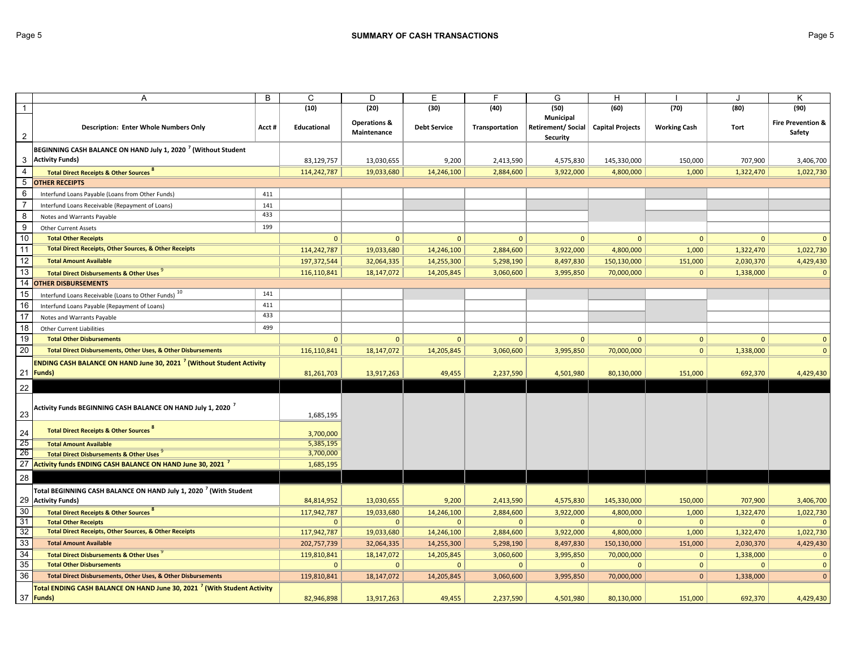|                  | Α                                                                                   | B     | C                  | D                       | Е                   | F              | G                                                        | н            |                     | J            | Κ                            |
|------------------|-------------------------------------------------------------------------------------|-------|--------------------|-------------------------|---------------------|----------------|----------------------------------------------------------|--------------|---------------------|--------------|------------------------------|
| $\overline{1}$   |                                                                                     |       | (10)               | (20)                    | (30)                | (40)           | (50)                                                     | (60)         | (70)                | (80)         | (90)                         |
|                  |                                                                                     |       |                    | <b>Operations &amp;</b> |                     |                | Municipal                                                |              |                     |              | <b>Fire Prevention &amp;</b> |
| $\overline{c}$   | <b>Description: Enter Whole Numbers Only</b>                                        | Acct# | <b>Educational</b> | Maintenance             | <b>Debt Service</b> | Transportation | Retirement/ Social   Capital Projects<br><b>Security</b> |              | <b>Working Cash</b> | Tort         | Safety                       |
|                  | BEGINNING CASH BALANCE ON HAND July 1, 2020 <sup>7</sup> (Without Student           |       |                    |                         |                     |                |                                                          |              |                     |              |                              |
|                  | 3 Activity Funds)                                                                   |       | 83,129,757         | 13,030,655              | 9,200               | 2,413,590      | 4,575,830                                                | 145,330,000  | 150,000             | 707,900      | 3,406,700                    |
| $\overline{4}$   | <b>Total Direct Receipts &amp; Other Sources</b>                                    |       | 114,242,787        | 19,033,680              | 14,246,100          | 2,884,600      | 3,922,000                                                | 4,800,000    | 1,000               | 1,322,470    | 1,022,730                    |
| $5\phantom{.0}$  | <b>OTHER RECEIPTS</b>                                                               |       |                    |                         |                     |                |                                                          |              |                     |              |                              |
| 6                | Interfund Loans Payable (Loans from Other Funds)                                    | 411   |                    |                         |                     |                |                                                          |              |                     |              |                              |
| $\overline{7}$   | Interfund Loans Receivable (Repayment of Loans)                                     | 141   |                    |                         |                     |                |                                                          |              |                     |              |                              |
| $\,8\,$          | Notes and Warrants Payable                                                          | 433   |                    |                         |                     |                |                                                          |              |                     |              |                              |
| $\boldsymbol{9}$ | <b>Other Current Assets</b>                                                         | 199   |                    |                         |                     |                |                                                          |              |                     |              |                              |
| 10               | <b>Total Other Receipts</b>                                                         |       | $\mathbf{0}$       | $\Omega$                | $\Omega$            | $\mathbf 0$    | $\Omega$                                                 | $\mathbf{0}$ | $\mathbf{0}$        | $\mathbf{0}$ | $\Omega$                     |
| 11               | Total Direct Receipts, Other Sources, & Other Receipts                              |       | 114,242,787        | 19,033,680              | 14,246,100          | 2,884,600      | 3,922,000                                                | 4,800,000    | 1,000               | 1,322,470    | 1,022,730                    |
| 12               | <b>Total Amount Available</b>                                                       |       | 197, 372, 544      | 32,064,335              | 14,255,300          | 5,298,190      | 8,497,830                                                | 150,130,000  | 151,000             | 2,030,370    | 4,429,430                    |
| $\overline{13}$  | <b>Total Direct Disbursements &amp; Other Uses</b>                                  |       | 116,110,841        | 18, 147, 072            | 14,205,845          | 3,060,600      | 3,995,850                                                | 70,000,000   | $\mathbf{0}$        | 1,338,000    | $\mathbf 0$                  |
| 14               | <b>OTHER DISBURSEMENTS</b>                                                          |       |                    |                         |                     |                |                                                          |              |                     |              |                              |
| 15               | Interfund Loans Receivable (Loans to Other Funds) <sup>10</sup>                     | 141   |                    |                         |                     |                |                                                          |              |                     |              |                              |
| 16               | Interfund Loans Payable (Repayment of Loans)                                        | 411   |                    |                         |                     |                |                                                          |              |                     |              |                              |
| 17               | Notes and Warrants Payable                                                          | 433   |                    |                         |                     |                |                                                          |              |                     |              |                              |
| 18               | <b>Other Current Liabilities</b>                                                    | 499   |                    |                         |                     |                |                                                          |              |                     |              |                              |
| 19               | <b>Total Other Disbursements</b>                                                    |       | $\mathbf{0}$       | $\mathbf{0}$            | $\mathbf{0}$        | $\mathbf{0}$   | $\mathbf{0}$                                             | $\mathbf{0}$ | $\mathbf{0}$        | $\mathbf{0}$ | $\mathbf{0}$                 |
| 20               | Total Direct Disbursements, Other Uses, & Other Disbursements                       |       | 116,110,841        | 18,147,072              | 14,205,845          | 3,060,600      | 3,995,850                                                | 70,000,000   | $\overline{0}$      | 1,338,000    | $\Omega$                     |
|                  | ENDING CASH BALANCE ON HAND June 30, 2021 <sup>7</sup> (Without Student Activity    |       |                    |                         |                     |                |                                                          |              |                     |              |                              |
|                  | 21 Funds)                                                                           |       | 81,261,703         | 13,917,263              | 49,455              | 2,237,590      | 4,501,980                                                | 80,130,000   | 151,000             | 692,370      | 4,429,430                    |
| 22               |                                                                                     |       |                    |                         |                     |                |                                                          |              |                     |              |                              |
|                  |                                                                                     |       |                    |                         |                     |                |                                                          |              |                     |              |                              |
|                  | Activity Funds BEGINNING CASH BALANCE ON HAND July 1, 2020 $\,^\prime$              |       |                    |                         |                     |                |                                                          |              |                     |              |                              |
| 23               |                                                                                     |       | 1,685,195          |                         |                     |                |                                                          |              |                     |              |                              |
| 24               | Total Direct Receipts & Other Sources                                               |       | 3,700,000          |                         |                     |                |                                                          |              |                     |              |                              |
| 25               | <b>Total Amount Available</b>                                                       |       | 5,385,195          |                         |                     |                |                                                          |              |                     |              |                              |
| 26               | Total Direct Disbursements & Other Uses                                             |       | 3,700,000          |                         |                     |                |                                                          |              |                     |              |                              |
|                  | 27 Activity funds ENDING CASH BALANCE ON HAND June 30, 2021                         |       | 1,685,195          |                         |                     |                |                                                          |              |                     |              |                              |
| 28               |                                                                                     |       |                    |                         |                     |                |                                                          |              |                     |              |                              |
|                  | Total BEGINNING CASH BALANCE ON HAND July 1, 2020 <sup>7</sup> (With Student        |       |                    |                         |                     |                |                                                          |              |                     |              |                              |
|                  | 29 Activity Funds)                                                                  |       | 84,814,952         | 13,030,655              | 9,200               | 2,413,590      | 4,575,830                                                | 145,330,000  | 150,000             | 707,900      | 3,406,700                    |
| 30               | <b>Total Direct Receipts &amp; Other Sources</b>                                    |       | 117,942,787        | 19,033,680              | 14,246,100          | 2,884,600      | 3,922,000                                                | 4,800,000    | 1,000               | 1,322,470    | 1,022,730                    |
| 31               | <b>Total Other Receipts</b>                                                         |       | $\mathbf{0}$       | $\mathbf{0}$            | $\mathbf{0}$        | $\mathbf{0}$   | $\mathbf{0}$                                             | $\Omega$     | $\mathbf{0}$        | $\mathbf{0}$ | $\Omega$                     |
| 32               | <b>Total Direct Receipts, Other Sources, &amp; Other Receipts</b>                   |       | 117,942,787        | 19,033,680              | 14,246,100          | 2,884,600      | 3,922,000                                                | 4,800,000    | 1,000               | 1,322,470    | 1,022,730                    |
| 33               | <b>Total Amount Available</b>                                                       |       | 202,757,739        | 32,064,335              | 14,255,300          | 5,298,190      | 8,497,830                                                | 150,130,000  | 151,000             | 2,030,370    | 4,429,430                    |
| 34               | <b>Total Direct Disbursements &amp; Other Uses</b>                                  |       | 119,810,841        | 18, 147, 072            | 14,205,845          | 3,060,600      | 3,995,850                                                | 70,000,000   | $\mathbf{0}$        | 1,338,000    | $\mathbf{0}$                 |
| 35               | <b>Total Other Disbursements</b>                                                    |       | $\mathbf{0}$       | $\mathbf{0}$            | $\Omega$            | $\mathbf{0}$   | $\mathbf{0}$                                             | $\mathbf{0}$ | $\mathbf{0}$        | $\mathbf{0}$ | $\mathbf{0}$                 |
| 36               | Total Direct Disbursements, Other Uses, & Other Disbursements                       |       | 119,810,841        | 18,147,072              | 14,205,845          | 3,060,600      | 3,995,850                                                | 70,000,000   | $\overline{0}$      | 1,338,000    | $\Omega$                     |
|                  | Total ENDING CASH BALANCE ON HAND June 30, 2021 <sup>7</sup> (With Student Activity |       |                    |                         |                     |                |                                                          |              |                     |              |                              |
|                  | 37 Funds)                                                                           |       | 82,946,898         | 13,917,263              | 49,455              | 2,237,590      | 4,501,980                                                | 80,130,000   | 151,000             | 692,370      | 4,429,430                    |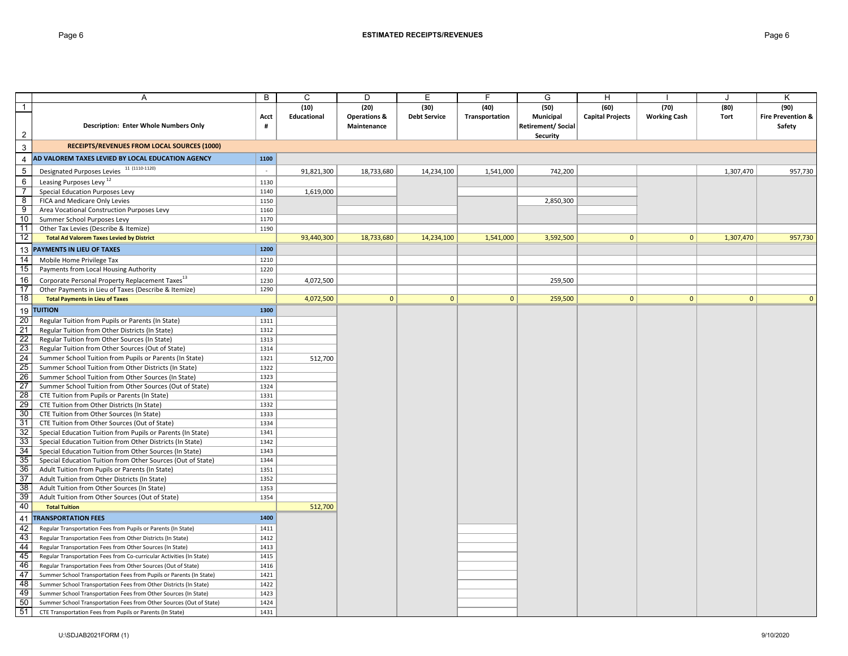|                 | A                                                                    | В      | С           | D                       | Е                   |                | G                         | H                       |                     |                | Κ                            |
|-----------------|----------------------------------------------------------------------|--------|-------------|-------------------------|---------------------|----------------|---------------------------|-------------------------|---------------------|----------------|------------------------------|
| $\mathbf{1}$    |                                                                      |        | (10)        | (20)                    | (30)                | (40)           | (50)                      | (60)                    | (70)                | (80)           | (90)                         |
|                 |                                                                      | Acct   | Educational | <b>Operations &amp;</b> | <b>Debt Service</b> | Transportation | Municipal                 | <b>Capital Projects</b> | <b>Working Cash</b> | Tort           | <b>Fire Prevention &amp;</b> |
|                 | Description: Enter Whole Numbers Only                                | #      |             | Maintenance             |                     |                | <b>Retirement/ Social</b> |                         |                     |                | Safety                       |
| $\overline{2}$  |                                                                      |        |             |                         |                     |                | Security                  |                         |                     |                |                              |
| $\mathbf{3}$    | <b>RECEIPTS/REVENUES FROM LOCAL SOURCES (1000)</b>                   |        |             |                         |                     |                |                           |                         |                     |                |                              |
| $\overline{4}$  | AD VALOREM TAXES LEVIED BY LOCAL EDUCATION AGENCY                    | 1100   |             |                         |                     |                |                           |                         |                     |                |                              |
| $\,$ 5          | Designated Purposes Levies 11 (1110-1120)                            | $\sim$ | 91,821,300  | 18,733,680              | 14,234,100          | 1,541,000      | 742,200                   |                         |                     | 1,307,470      | 957,730                      |
| 6               | Leasing Purposes Levy <sup>12</sup>                                  | 1130   |             |                         |                     |                |                           |                         |                     |                |                              |
| $\overline{7}$  | Special Education Purposes Levy                                      | 1140   | 1,619,000   |                         |                     |                |                           |                         |                     |                |                              |
| 8               | FICA and Medicare Only Levies                                        | 1150   |             |                         |                     |                | 2,850,300                 |                         |                     |                |                              |
| 9               | Area Vocational Construction Purposes Levy                           | 1160   |             |                         |                     |                |                           |                         |                     |                |                              |
| 10              | Summer School Purposes Levy                                          | 1170   |             |                         |                     |                |                           |                         |                     |                |                              |
| 11              | Other Tax Levies (Describe & Itemize)                                | 1190   |             |                         |                     |                |                           |                         |                     |                |                              |
| 12              | <b>Total Ad Valorem Taxes Levied by District</b>                     |        | 93,440,300  | 18,733,680              | 14,234,100          | 1,541,000      | 3,592,500                 | $\mathbf{0}$            | $\mathbf{0}$        | 1,307,470      | 957,730                      |
| 13              | PAYMENTS IN LIEU OF TAXES                                            | 1200   |             |                         |                     |                |                           |                         |                     |                |                              |
| $\overline{14}$ | Mobile Home Privilege Tax                                            | 1210   |             |                         |                     |                |                           |                         |                     |                |                              |
| 15              | Payments from Local Housing Authority                                | 1220   |             |                         |                     |                |                           |                         |                     |                |                              |
|                 |                                                                      |        |             |                         |                     |                |                           |                         |                     |                |                              |
| 16              | Corporate Personal Property Replacement Taxes <sup>13</sup>          | 1230   | 4,072,500   |                         |                     |                | 259,500                   |                         |                     |                |                              |
| 17              | Other Payments in Lieu of Taxes (Describe & Itemize)                 | 1290   |             |                         |                     |                |                           |                         |                     |                |                              |
| $\overline{18}$ | <b>Total Payments in Lieu of Taxes</b>                               |        | 4,072,500   | $\mathbf{0}$            | $\mathbf{0}$        | $\mathbf{0}$   | 259,500                   | $\mathbf{0}$            | $\Omega$            | $\overline{0}$ |                              |
| 19              | <b>TUITION</b>                                                       | 1300   |             |                         |                     |                |                           |                         |                     |                |                              |
| 20              | Regular Tuition from Pupils or Parents (In State)                    | 1311   |             |                         |                     |                |                           |                         |                     |                |                              |
| $\frac{21}{22}$ | Regular Tuition from Other Districts (In State)                      | 1312   |             |                         |                     |                |                           |                         |                     |                |                              |
|                 | Regular Tuition from Other Sources (In State)                        | 1313   |             |                         |                     |                |                           |                         |                     |                |                              |
| 23              | Regular Tuition from Other Sources (Out of State)                    | 1314   |             |                         |                     |                |                           |                         |                     |                |                              |
| $\frac{24}{25}$ | Summer School Tuition from Pupils or Parents (In State)              | 1321   | 512,700     |                         |                     |                |                           |                         |                     |                |                              |
|                 | Summer School Tuition from Other Districts (In State)                | 1322   |             |                         |                     |                |                           |                         |                     |                |                              |
| $\frac{26}{27}$ | Summer School Tuition from Other Sources (In State)                  | 1323   |             |                         |                     |                |                           |                         |                     |                |                              |
|                 | Summer School Tuition from Other Sources (Out of State)              | 1324   |             |                         |                     |                |                           |                         |                     |                |                              |
| $\frac{28}{29}$ | CTE Tuition from Pupils or Parents (In State)                        | 1331   |             |                         |                     |                |                           |                         |                     |                |                              |
|                 | CTE Tuition from Other Districts (In State)                          | 1332   |             |                         |                     |                |                           |                         |                     |                |                              |
| 30              | CTE Tuition from Other Sources (In State)                            | 1333   |             |                         |                     |                |                           |                         |                     |                |                              |
| 31              | CTE Tuition from Other Sources (Out of State)                        | 1334   |             |                         |                     |                |                           |                         |                     |                |                              |
| 32              | Special Education Tuition from Pupils or Parents (In State)          | 1341   |             |                         |                     |                |                           |                         |                     |                |                              |
| 33              | Special Education Tuition from Other Districts (In State)            | 1342   |             |                         |                     |                |                           |                         |                     |                |                              |
| 34              | Special Education Tuition from Other Sources (In State)              | 1343   |             |                         |                     |                |                           |                         |                     |                |                              |
| 35              | Special Education Tuition from Other Sources (Out of State)          | 1344   |             |                         |                     |                |                           |                         |                     |                |                              |
| 36              | Adult Tuition from Pupils or Parents (In State)                      | 1351   |             |                         |                     |                |                           |                         |                     |                |                              |
| 37              | Adult Tuition from Other Districts (In State)                        | 1352   |             |                         |                     |                |                           |                         |                     |                |                              |
| 38              | Adult Tuition from Other Sources (In State)                          | 1353   |             |                         |                     |                |                           |                         |                     |                |                              |
| 39              | Adult Tuition from Other Sources (Out of State)                      | 1354   |             |                         |                     |                |                           |                         |                     |                |                              |
| 40              | <b>Total Tuition</b>                                                 |        | 512,700     |                         |                     |                |                           |                         |                     |                |                              |
| 41              | <b>TRANSPORTATION FEES</b>                                           | 1400   |             |                         |                     |                |                           |                         |                     |                |                              |
| 42              | Regular Transportation Fees from Pupils or Parents (In State)        | 1411   |             |                         |                     |                |                           |                         |                     |                |                              |
| $\frac{43}{44}$ | Regular Transportation Fees from Other Districts (In State)          | 1412   |             |                         |                     |                |                           |                         |                     |                |                              |
|                 | Regular Transportation Fees from Other Sources (In State)            | 1413   |             |                         |                     |                |                           |                         |                     |                |                              |
| 45              | Regular Transportation Fees from Co-curricular Activities (In State) | 1415   |             |                         |                     |                |                           |                         |                     |                |                              |
| 46              | Regular Transportation Fees from Other Sources (Out of State)        | 1416   |             |                         |                     |                |                           |                         |                     |                |                              |
| 47              | Summer School Transportation Fees from Pupils or Parents (In State)  | 1421   |             |                         |                     |                |                           |                         |                     |                |                              |
| 48              | Summer School Transportation Fees from Other Districts (In State)    | 1422   |             |                         |                     |                |                           |                         |                     |                |                              |
| 49              | Summer School Transportation Fees from Other Sources (In State)      | 1423   |             |                         |                     |                |                           |                         |                     |                |                              |
| 50              | Summer School Transportation Fees from Other Sources (Out of State)  | 1424   |             |                         |                     |                |                           |                         |                     |                |                              |
| 51              | CTE Transportation Fees from Pupils or Parents (In State)            | 1431   |             |                         |                     |                |                           |                         |                     |                |                              |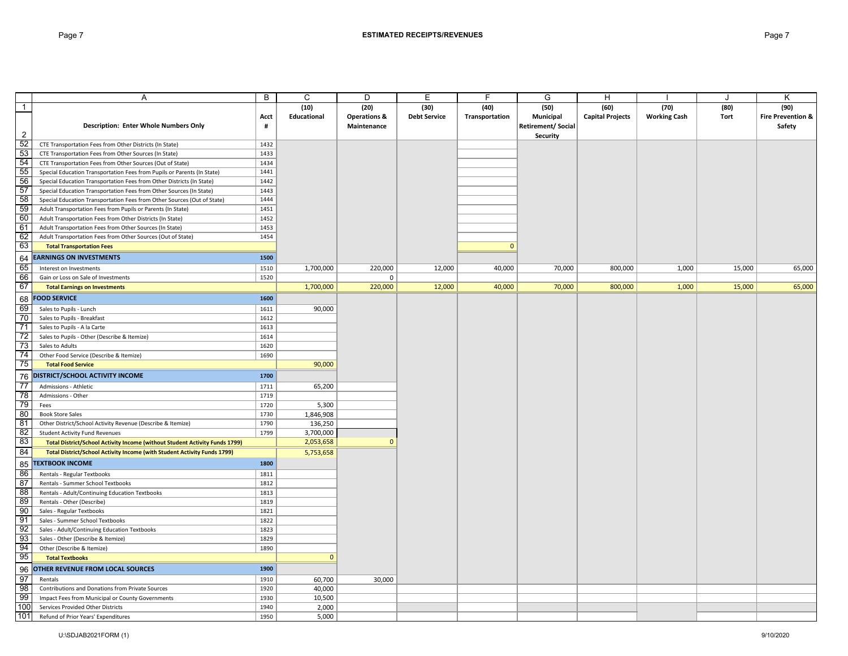|                 | Α                                                                           | B    | C            | D                       | Е                   | F              | G                  | н                       |                     | J           | K                            |
|-----------------|-----------------------------------------------------------------------------|------|--------------|-------------------------|---------------------|----------------|--------------------|-------------------------|---------------------|-------------|------------------------------|
| $\mathbf{1}$    |                                                                             |      | (10)         | (20)                    | (30)                | (40)           | (50)               | (60)                    | (70)                | (80)        | (90)                         |
|                 |                                                                             | Acct | Educational  | <b>Operations &amp;</b> | <b>Debt Service</b> | Transportation | <b>Municipal</b>   | <b>Capital Projects</b> | <b>Working Cash</b> | <b>Tort</b> | <b>Fire Prevention &amp;</b> |
|                 | <b>Description: Enter Whole Numbers Only</b>                                | #    |              | Maintenance             |                     |                | Retirement/ Social |                         |                     |             | Safety                       |
| $\overline{2}$  |                                                                             |      |              |                         |                     |                | Security           |                         |                     |             |                              |
| 52              | CTE Transportation Fees from Other Districts (In State)                     | 1432 |              |                         |                     |                |                    |                         |                     |             |                              |
| 53              | CTE Transportation Fees from Other Sources (In State)                       | 1433 |              |                         |                     |                |                    |                         |                     |             |                              |
| 54              | CTE Transportation Fees from Other Sources (Out of State)                   | 1434 |              |                         |                     |                |                    |                         |                     |             |                              |
| 55              | Special Education Transportation Fees from Pupils or Parents (In State)     | 1441 |              |                         |                     |                |                    |                         |                     |             |                              |
| 56              | Special Education Transportation Fees from Other Districts (In State)       | 1442 |              |                         |                     |                |                    |                         |                     |             |                              |
| 57              | Special Education Transportation Fees from Other Sources (In State)         | 1443 |              |                         |                     |                |                    |                         |                     |             |                              |
| 58              | Special Education Transportation Fees from Other Sources (Out of State)     | 1444 |              |                         |                     |                |                    |                         |                     |             |                              |
| 59              | Adult Transportation Fees from Pupils or Parents (In State)                 | 1451 |              |                         |                     |                |                    |                         |                     |             |                              |
| 60              | Adult Transportation Fees from Other Districts (In State)                   | 1452 |              |                         |                     |                |                    |                         |                     |             |                              |
| 61              | Adult Transportation Fees from Other Sources (In State)                     | 1453 |              |                         |                     |                |                    |                         |                     |             |                              |
| 62              | Adult Transportation Fees from Other Sources (Out of State)                 | 1454 |              |                         |                     |                |                    |                         |                     |             |                              |
| 63              | <b>Total Transportation Fees</b>                                            |      |              |                         |                     | $\mathbf{0}$   |                    |                         |                     |             |                              |
| 64              | <b>EARNINGS ON INVESTMENTS</b>                                              | 1500 |              |                         |                     |                |                    |                         |                     |             |                              |
| 65              | Interest on Investments                                                     | 1510 | 1,700,000    | 220,000                 | 12,000              | 40,000         | 70,000             | 800,000                 | 1,000               | 15,000      | 65,000                       |
| 66              | Gain or Loss on Sale of Investments                                         | 1520 |              | 0                       |                     |                |                    |                         |                     |             |                              |
| 67              | <b>Total Earnings on Investments</b>                                        |      | 1,700,000    | 220,000                 | 12,000              | 40,000         | 70,000             | 800,000                 | 1,000               | 15,000      | 65,000                       |
|                 | <b>FOOD SERVICE</b>                                                         | 1600 |              |                         |                     |                |                    |                         |                     |             |                              |
| 68              |                                                                             |      |              |                         |                     |                |                    |                         |                     |             |                              |
| 69              | Sales to Pupils - Lunch                                                     | 1611 | 90,000       |                         |                     |                |                    |                         |                     |             |                              |
| 70              | Sales to Pupils - Breakfast                                                 | 1612 |              |                         |                     |                |                    |                         |                     |             |                              |
| 71              | Sales to Pupils - A la Carte                                                | 1613 |              |                         |                     |                |                    |                         |                     |             |                              |
| $\overline{72}$ | Sales to Pupils - Other (Describe & Itemize)                                | 1614 |              |                         |                     |                |                    |                         |                     |             |                              |
| 73              | Sales to Adults                                                             | 1620 |              |                         |                     |                |                    |                         |                     |             |                              |
| 74              | Other Food Service (Describe & Itemize)                                     | 1690 |              |                         |                     |                |                    |                         |                     |             |                              |
| 75              | <b>Total Food Service</b>                                                   |      | 90,000       |                         |                     |                |                    |                         |                     |             |                              |
| 76              | DISTRICT/SCHOOL ACTIVITY INCOME                                             | 1700 |              |                         |                     |                |                    |                         |                     |             |                              |
| 77              | Admissions - Athletic                                                       | 1711 | 65,200       |                         |                     |                |                    |                         |                     |             |                              |
| 78              | Admissions - Other                                                          | 1719 |              |                         |                     |                |                    |                         |                     |             |                              |
| 79              | Fees                                                                        | 1720 | 5,300        |                         |                     |                |                    |                         |                     |             |                              |
| 80              | <b>Book Store Sales</b>                                                     | 1730 | 1,846,908    |                         |                     |                |                    |                         |                     |             |                              |
| 81              | Other District/School Activity Revenue (Describe & Itemize)                 | 1790 | 136,250      |                         |                     |                |                    |                         |                     |             |                              |
| 82              | <b>Student Activity Fund Revenues</b>                                       | 1799 | 3,700,000    |                         |                     |                |                    |                         |                     |             |                              |
| 83              | Total District/School Activity Income (without Student Activity Funds 1799) |      | 2,053,658    | $\Omega$                |                     |                |                    |                         |                     |             |                              |
| 84              | Total District/School Activity Income (with Student Activity Funds 1799)    |      | 5,753,658    |                         |                     |                |                    |                         |                     |             |                              |
| 85              | <b>TEXTBOOK INCOME</b>                                                      | 1800 |              |                         |                     |                |                    |                         |                     |             |                              |
| 86              | Rentals - Regular Textbooks                                                 | 1811 |              |                         |                     |                |                    |                         |                     |             |                              |
| 87              | Rentals - Summer School Textbooks                                           | 1812 |              |                         |                     |                |                    |                         |                     |             |                              |
| 88              | Rentals - Adult/Continuing Education Textbooks                              | 1813 |              |                         |                     |                |                    |                         |                     |             |                              |
| 89              | Rentals - Other (Describe)                                                  | 1819 |              |                         |                     |                |                    |                         |                     |             |                              |
| 90              | Sales - Regular Textbooks                                                   | 1821 |              |                         |                     |                |                    |                         |                     |             |                              |
| 91              | Sales - Summer School Textbooks                                             | 1822 |              |                         |                     |                |                    |                         |                     |             |                              |
| 92              | Sales - Adult/Continuing Education Textbooks                                | 1823 |              |                         |                     |                |                    |                         |                     |             |                              |
| 93              | Sales - Other (Describe & Itemize)                                          | 1829 |              |                         |                     |                |                    |                         |                     |             |                              |
| 94              | Other (Describe & Itemize)                                                  | 1890 |              |                         |                     |                |                    |                         |                     |             |                              |
| 95              | <b>Total Textbooks</b>                                                      |      | $\mathbf{0}$ |                         |                     |                |                    |                         |                     |             |                              |
| 96              | OTHER REVENUE FROM LOCAL SOURCES                                            | 1900 |              |                         |                     |                |                    |                         |                     |             |                              |
| 97              | Rentals                                                                     | 1910 | 60,700       | 30,000                  |                     |                |                    |                         |                     |             |                              |
| 98              | Contributions and Donations from Private Sources                            | 1920 | 40,000       |                         |                     |                |                    |                         |                     |             |                              |
| 99              | Impact Fees from Municipal or County Governments                            | 1930 | 10,500       |                         |                     |                |                    |                         |                     |             |                              |
| 100             | Services Provided Other Districts                                           | 1940 | 2,000        |                         |                     |                |                    |                         |                     |             |                              |
| 101             | Refund of Prior Years' Expenditures                                         | 1950 | 5,000        |                         |                     |                |                    |                         |                     |             |                              |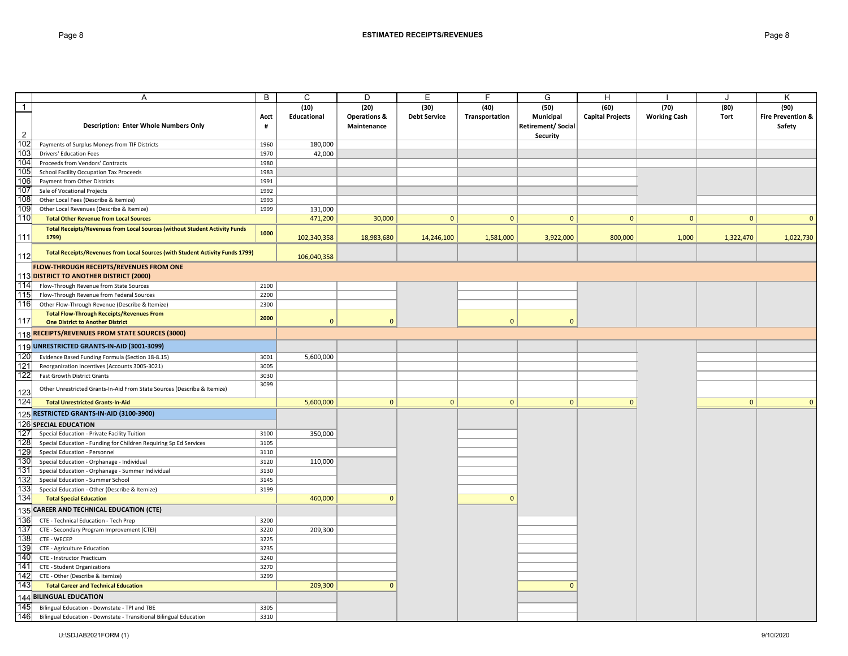|                | Α                                                                             | B    | $\mathsf{C}$       | D                       | E                   | E              | G                        | H                       |                     |              | Κ                            |
|----------------|-------------------------------------------------------------------------------|------|--------------------|-------------------------|---------------------|----------------|--------------------------|-------------------------|---------------------|--------------|------------------------------|
| $\overline{1}$ |                                                                               |      | (10)               | (20)                    | (30)                | (40)           | (50)                     | (60)                    | (70)                | (80)         | (90)                         |
|                |                                                                               | Acct | <b>Educational</b> | <b>Operations &amp;</b> | <b>Debt Service</b> | Transportation | Municipal                | <b>Capital Projects</b> | <b>Working Cash</b> | Tort         | <b>Fire Prevention &amp;</b> |
|                | Description: Enter Whole Numbers Only                                         | #    |                    | Maintenance             |                     |                | <b>Retirement/Social</b> |                         |                     |              | Safety                       |
| $\overline{2}$ |                                                                               |      |                    |                         |                     |                | Security                 |                         |                     |              |                              |
| 102            | Payments of Surplus Moneys from TIF Districts                                 | 1960 | 180,000            |                         |                     |                |                          |                         |                     |              |                              |
| 103            | <b>Drivers' Education Fees</b>                                                | 1970 | 42,000             |                         |                     |                |                          |                         |                     |              |                              |
| 104            | Proceeds from Vendors' Contracts                                              | 1980 |                    |                         |                     |                |                          |                         |                     |              |                              |
| 105            | School Facility Occupation Tax Proceeds                                       | 1983 |                    |                         |                     |                |                          |                         |                     |              |                              |
| 106            | Payment from Other Districts                                                  | 1991 |                    |                         |                     |                |                          |                         |                     |              |                              |
| 107            | Sale of Vocational Projects                                                   | 1992 |                    |                         |                     |                |                          |                         |                     |              |                              |
| 108            | Other Local Fees (Describe & Itemize)                                         | 1993 |                    |                         |                     |                |                          |                         |                     |              |                              |
| 109            | Other Local Revenues (Describe & Itemize)                                     | 1999 | 131,000            |                         |                     |                |                          |                         |                     |              |                              |
| 110            | <b>Total Other Revenue from Local Sources</b>                                 |      | 471,200            | 30,000                  | 0                   | $\mathbf{0}$   | $\mathbf{0}$             | $\mathbf{0}$            | $\mathbf{0}$        | $\mathbf{0}$ | $\Omega$                     |
|                | Total Receipts/Revenues from Local Sources (without Student Activity Funds    | 1000 |                    |                         |                     |                |                          |                         |                     |              |                              |
| 111            | 1799)                                                                         |      | 102,340,358        | 18,983,680              | 14,246,100          | 1,581,000      | 3,922,000                | 800,000                 | 1,000               | 1,322,470    | 1,022,730                    |
|                | Total Receipts/Revenues from Local Sources (with Student Activity Funds 1799) |      |                    |                         |                     |                |                          |                         |                     |              |                              |
| 112            |                                                                               |      | 106,040,358        |                         |                     |                |                          |                         |                     |              |                              |
|                | FLOW-THROUGH RECEIPTS/REVENUES FROM ONE                                       |      |                    |                         |                     |                |                          |                         |                     |              |                              |
|                | 113 DISTRICT TO ANOTHER DISTRICT (2000)                                       |      |                    |                         |                     |                |                          |                         |                     |              |                              |
| 114            | Flow-Through Revenue from State Sources                                       | 2100 |                    |                         |                     |                |                          |                         |                     |              |                              |
| 115            | Flow-Through Revenue from Federal Sources                                     | 2200 |                    |                         |                     |                |                          |                         |                     |              |                              |
| 116            | Other Flow-Through Revenue (Describe & Itemize)                               | 2300 |                    |                         |                     |                |                          |                         |                     |              |                              |
|                | <b>Total Flow-Through Receipts/Revenues From</b>                              | 2000 |                    | $\Omega$                |                     |                |                          |                         |                     |              |                              |
| 117            | <b>One District to Another District</b>                                       |      | $\mathbf{0}$       |                         |                     | $\mathbf{0}$   | $\mathbf{0}$             |                         |                     |              |                              |
|                | 118 RECEIPTS/REVENUES FROM STATE SOURCES (3000)                               |      |                    |                         |                     |                |                          |                         |                     |              |                              |
|                | 119 UNRESTRICTED GRANTS-IN-AID (3001-3099)                                    |      |                    |                         |                     |                |                          |                         |                     |              |                              |
| 120            | Evidence Based Funding Formula (Section 18-8.15)                              | 3001 | 5,600,000          |                         |                     |                |                          |                         |                     |              |                              |
| 121            | Reorganization Incentives (Accounts 3005-3021)                                | 3005 |                    |                         |                     |                |                          |                         |                     |              |                              |
| 122            | <b>Fast Growth District Grants</b>                                            | 3030 |                    |                         |                     |                |                          |                         |                     |              |                              |
|                | Other Unrestricted Grants-In-Aid From State Sources (Describe & Itemize)      | 3099 |                    |                         |                     |                |                          |                         |                     |              |                              |
| 123            |                                                                               |      |                    |                         |                     |                |                          |                         |                     |              |                              |
| 124            | <b>Total Unrestricted Grants-In-Aid</b>                                       |      | 5,600,000          | $\overline{0}$          | $\mathbf{0}$        | $\mathbf{0}$   | $\mathbf{0}$             | $\mathbf{0}$            |                     | $\mathbf{0}$ | $\Omega$                     |
| 125            | RESTRICTED GRANTS-IN-AID (3100-3900)                                          |      |                    |                         |                     |                |                          |                         |                     |              |                              |
|                | 126 SPECIAL EDUCATION                                                         |      |                    |                         |                     |                |                          |                         |                     |              |                              |
| 127            | Special Education - Private Facility Tuition                                  | 3100 | 350,000            |                         |                     |                |                          |                         |                     |              |                              |
| 128            | Special Education - Funding for Children Requiring Sp Ed Services             | 3105 |                    |                         |                     |                |                          |                         |                     |              |                              |
| 129            | Special Education - Personnel                                                 | 3110 |                    |                         |                     |                |                          |                         |                     |              |                              |
| 130            | Special Education - Orphanage - Individual                                    | 3120 | 110,000            |                         |                     |                |                          |                         |                     |              |                              |
| 131            | Special Education - Orphanage - Summer Individual                             | 3130 |                    |                         |                     |                |                          |                         |                     |              |                              |
| 132            | Special Education - Summer School                                             | 3145 |                    |                         |                     |                |                          |                         |                     |              |                              |
| 133            | Special Education - Other (Describe & Itemize)                                | 3199 |                    |                         |                     |                |                          |                         |                     |              |                              |
| 134            | <b>Total Special Education</b>                                                |      | 460,000            | $\Omega$                |                     | $\Omega$       |                          |                         |                     |              |                              |
|                | 135 CAREER AND TECHNICAL EDUCATION (CTE)                                      |      |                    |                         |                     |                |                          |                         |                     |              |                              |
| 136            | CTE - Technical Education - Tech Prep                                         | 3200 |                    |                         |                     |                |                          |                         |                     |              |                              |
| 137            | CTE - Secondary Program Improvement (CTEI)                                    | 3220 | 209,300            |                         |                     |                |                          |                         |                     |              |                              |
| 138            | CTE - WECEP                                                                   | 3225 |                    |                         |                     |                |                          |                         |                     |              |                              |
| 139            | CTE - Agriculture Education                                                   | 3235 |                    |                         |                     |                |                          |                         |                     |              |                              |
| 140            | CTE - Instructor Practicum                                                    | 3240 |                    |                         |                     |                |                          |                         |                     |              |                              |
| 141            | CTE - Student Organizations                                                   | 3270 |                    |                         |                     |                |                          |                         |                     |              |                              |
| 142            | CTE - Other (Describe & Itemize)                                              | 3299 |                    |                         |                     |                |                          |                         |                     |              |                              |
| 143            | <b>Total Career and Technical Education</b>                                   |      | 209,300            | $\mathbf{0}$            |                     |                | $\mathbf{0}$             |                         |                     |              |                              |
| 144            | <b>BILINGUAL EDUCATION</b>                                                    |      |                    |                         |                     |                |                          |                         |                     |              |                              |
| 145            | Bilingual Education - Downstate - TPI and TBE                                 | 3305 |                    |                         |                     |                |                          |                         |                     |              |                              |
| 146            | Bilingual Education - Downstate - Transitional Bilingual Education            | 3310 |                    |                         |                     |                |                          |                         |                     |              |                              |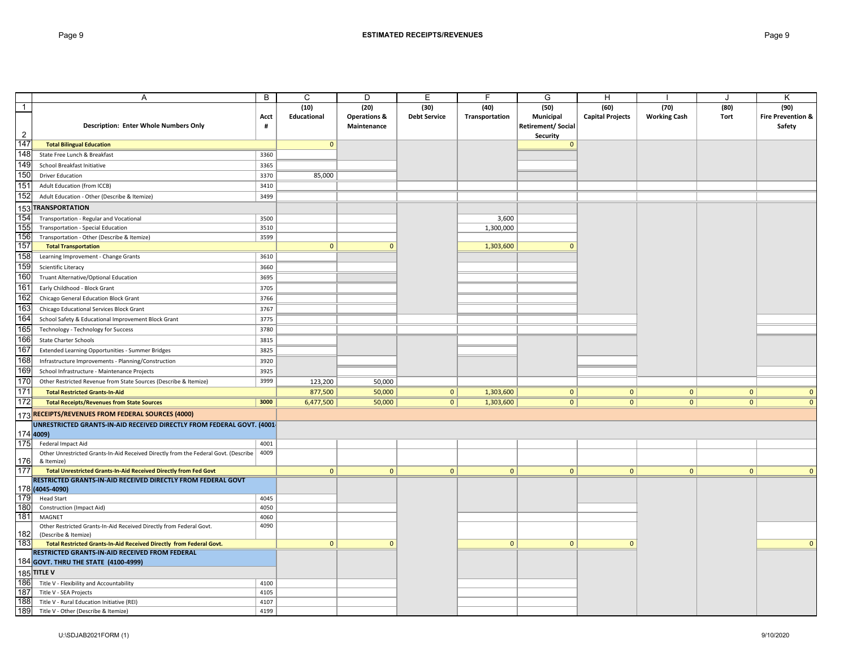|                | Α                                                                                           | B              | C            | D                       | Е                   | F              | G                         | H                       |                     | J            | Κ                            |
|----------------|---------------------------------------------------------------------------------------------|----------------|--------------|-------------------------|---------------------|----------------|---------------------------|-------------------------|---------------------|--------------|------------------------------|
| $\overline{1}$ |                                                                                             |                | (10)         | (20)                    | (30)                | (40)           | (50)                      | (60)                    | (70)                | (80)         | (90)                         |
|                |                                                                                             | Acct           | Educational  | <b>Operations &amp;</b> | <b>Debt Service</b> | Transportation | Municipal                 | <b>Capital Projects</b> | <b>Working Cash</b> | Tort         | <b>Fire Prevention &amp;</b> |
|                | <b>Description: Enter Whole Numbers Only</b>                                                | $\pmb{\sharp}$ |              | Maintenance             |                     |                | <b>Retirement/ Social</b> |                         |                     |              | Safety                       |
| $\overline{2}$ |                                                                                             |                |              |                         |                     |                | Security                  |                         |                     |              |                              |
| 147            | <b>Total Bilingual Education</b>                                                            |                | $\mathbf{0}$ |                         |                     |                | $\Omega$                  |                         |                     |              |                              |
| 148            | State Free Lunch & Breakfast                                                                | 3360           |              |                         |                     |                |                           |                         |                     |              |                              |
| 149            | School Breakfast Initiative                                                                 | 3365           |              |                         |                     |                |                           |                         |                     |              |                              |
| 150            | <b>Driver Education</b>                                                                     | 3370           | 85,000       |                         |                     |                |                           |                         |                     |              |                              |
| 151            | Adult Education (from ICCB)                                                                 | 3410           |              |                         |                     |                |                           |                         |                     |              |                              |
| 152            | Adult Education - Other (Describe & Itemize)                                                | 3499           |              |                         |                     |                |                           |                         |                     |              |                              |
|                | 153 TRANSPORTATION                                                                          |                |              |                         |                     |                |                           |                         |                     |              |                              |
| 154            | Transportation - Regular and Vocational                                                     | 3500           |              |                         |                     | 3,600          |                           |                         |                     |              |                              |
| 155            | Transportation - Special Education                                                          | 3510           |              |                         |                     | 1,300,000      |                           |                         |                     |              |                              |
| 156            | Transportation - Other (Describe & Itemize)                                                 | 3599           |              |                         |                     |                |                           |                         |                     |              |                              |
| 157            | <b>Total Transportation</b>                                                                 |                | $\mathbf{0}$ | $\Omega$                |                     | 1,303,600      | $\Omega$                  |                         |                     |              |                              |
| 158            | Learning Improvement - Change Grants                                                        | 3610           |              |                         |                     |                |                           |                         |                     |              |                              |
| 159            | Scientific Literacy                                                                         | 3660           |              |                         |                     |                |                           |                         |                     |              |                              |
| 160            |                                                                                             | 3695           |              |                         |                     |                |                           |                         |                     |              |                              |
| 161            | Truant Alternative/Optional Education                                                       |                |              |                         |                     |                |                           |                         |                     |              |                              |
| 162            | Early Childhood - Block Grant                                                               | 3705           |              |                         |                     |                |                           |                         |                     |              |                              |
|                | Chicago General Education Block Grant                                                       | 3766           |              |                         |                     |                |                           |                         |                     |              |                              |
| 163            | Chicago Educational Services Block Grant                                                    | 3767           |              |                         |                     |                |                           |                         |                     |              |                              |
| 164            | School Safety & Educational Improvement Block Grant                                         | 3775           |              |                         |                     |                |                           |                         |                     |              |                              |
| 165            | Technology - Technology for Success                                                         | 3780           |              |                         |                     |                |                           |                         |                     |              |                              |
| 166            | State Charter Schools                                                                       | 3815           |              |                         |                     |                |                           |                         |                     |              |                              |
| 167            | Extended Learning Opportunities - Summer Bridges                                            | 3825           |              |                         |                     |                |                           |                         |                     |              |                              |
| 168            | Infrastructure Improvements - Planning/Construction                                         | 3920           |              |                         |                     |                |                           |                         |                     |              |                              |
| 169            | School Infrastructure - Maintenance Projects                                                | 3925           |              |                         |                     |                |                           |                         |                     |              |                              |
| 170            | Other Restricted Revenue from State Sources (Describe & Itemize)                            | 3999           | 123,200      | 50,000                  |                     |                |                           |                         |                     |              |                              |
| 171            | <b>Total Restricted Grants-In-Aid</b>                                                       |                | 877,500      | 50,000                  | 0                   | 1,303,600      | 0                         | $\mathbf{0}$            | $\mathbf{0}$        | 0            | $\mathbf 0$                  |
| 172            | <b>Total Receipts/Revenues from State Sources</b>                                           | 3000           | 6,477,500    | 50,000                  | 0                   | 1,303,600      | 0                         | $\mathbf{0}$            | $\overline{0}$      | $\mathbf{0}$ | $\mathbf{0}$                 |
|                | 173 RECEIPTS/REVENUES FROM FEDERAL SOURCES (4000)                                           |                |              |                         |                     |                |                           |                         |                     |              |                              |
|                | UNRESTRICTED GRANTS-IN-AID RECEIVED DIRECTLY FROM FEDERAL GOVT. (4001-                      |                |              |                         |                     |                |                           |                         |                     |              |                              |
|                | 174 4009)                                                                                   |                |              |                         |                     |                |                           |                         |                     |              |                              |
| 175            | Federal Impact Aid                                                                          | 4001           |              |                         |                     |                |                           |                         |                     |              |                              |
|                | Other Unrestricted Grants-In-Aid Received Directly from the Federal Govt. (Describe         | 4009           |              |                         |                     |                |                           |                         |                     |              |                              |
| 176            | & Itemize)                                                                                  |                |              |                         |                     |                |                           |                         |                     |              |                              |
| 177            | Total Unrestricted Grants-In-Aid Received Directly from Fed Govt                            |                | $\mathbf{0}$ | $\mathbf{0}$            | $\mathbf{0}$        | $\mathbf{0}$   | $\mathbf{0}$              | $\mathbf{0}$            | $\mathbf{0}$        | $\mathbf{0}$ | $\mathbf{0}$                 |
|                | RESTRICTED GRANTS-IN-AID RECEIVED DIRECTLY FROM FEDERAL GOVT                                |                |              |                         |                     |                |                           |                         |                     |              |                              |
|                | 178 (4045-4090)                                                                             |                |              |                         |                     |                |                           |                         |                     |              |                              |
| 179            | <b>Head Start</b>                                                                           | 4045           |              |                         |                     |                |                           |                         |                     |              |                              |
| 180            | <b>Construction (Impact Aid)</b>                                                            | 4050           |              |                         |                     |                |                           |                         |                     |              |                              |
| 181            | MAGNET                                                                                      | 4060<br>4090   |              |                         |                     |                |                           |                         |                     |              |                              |
| 182            | Other Restricted Grants-In-Aid Received Directly from Federal Govt.<br>(Describe & Itemize) |                |              |                         |                     |                |                           |                         |                     |              |                              |
| 183            | Total Restricted Grants-In-Aid Received Directly from Federal Govt.                         |                | $\mathbf{0}$ | $\mathbf{0}$            |                     | 0              | $\mathbf{0}$              | $\mathbf{0}$            |                     |              | $\Omega$                     |
|                | RESTRICTED GRANTS-IN-AID RECEIVED FROM FEDERAL                                              |                |              |                         |                     |                |                           |                         |                     |              |                              |
|                | 184 GOVT. THRU THE STATE (4100-4999)                                                        |                |              |                         |                     |                |                           |                         |                     |              |                              |
|                | 185 TITLE V                                                                                 |                |              |                         |                     |                |                           |                         |                     |              |                              |
| 186            | Title V - Flexibility and Accountability                                                    | 4100           |              |                         |                     |                |                           |                         |                     |              |                              |
| 187            | Title V - SEA Projects                                                                      | 4105           |              |                         |                     |                |                           |                         |                     |              |                              |
| 188            | Title V - Rural Education Initiative (REI)                                                  | 4107           |              |                         |                     |                |                           |                         |                     |              |                              |
| 189            | Title V - Other (Describe & Itemize)                                                        | 4199           |              |                         |                     |                |                           |                         |                     |              |                              |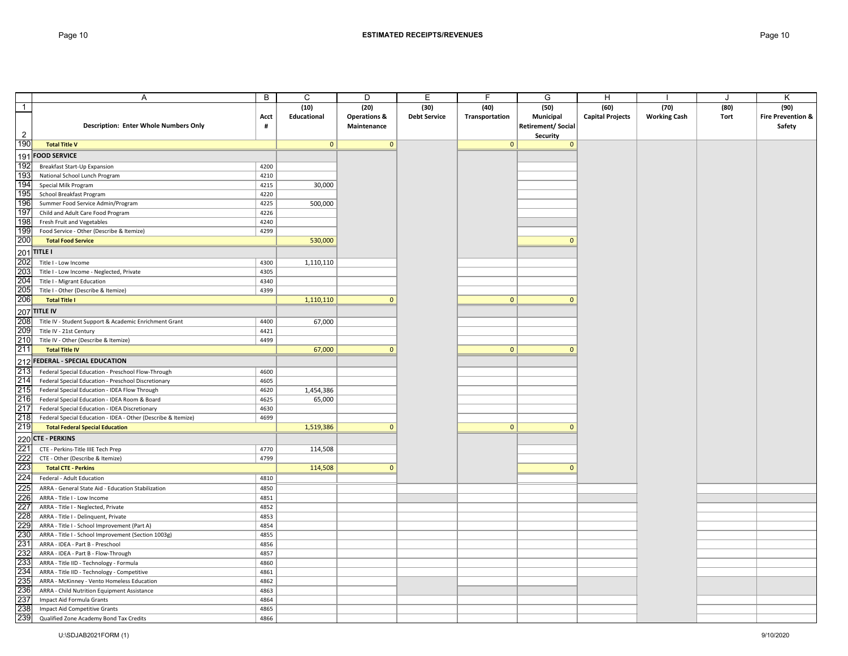|                                                                                  | A                                                                                                      | В            | С           | D                       | Ε                   | F              | G                        | H                       |                     | J    | Κ                            |
|----------------------------------------------------------------------------------|--------------------------------------------------------------------------------------------------------|--------------|-------------|-------------------------|---------------------|----------------|--------------------------|-------------------------|---------------------|------|------------------------------|
| $\overline{1}$                                                                   |                                                                                                        |              | (10)        | (20)                    | (30)                | (40)           | (50)                     | (60)                    | (70)                | (80) | (90)                         |
|                                                                                  |                                                                                                        | Acct         | Educational | <b>Operations &amp;</b> | <b>Debt Service</b> | Transportation | Municipal                | <b>Capital Projects</b> | <b>Working Cash</b> | Tort | <b>Fire Prevention &amp;</b> |
|                                                                                  | <b>Description: Enter Whole Numbers Only</b>                                                           | #            |             | Maintenance             |                     |                | <b>Retirement/Social</b> |                         |                     |      | Safety                       |
| $\overline{2}$                                                                   |                                                                                                        |              |             |                         |                     |                | Security                 |                         |                     |      |                              |
| 190                                                                              | <b>Total Title V</b>                                                                                   |              | 0           | $\mathbf 0$             |                     | 0              | $\mathbf 0$              |                         |                     |      |                              |
| 191                                                                              | <b>FOOD SERVICE</b>                                                                                    |              |             |                         |                     |                |                          |                         |                     |      |                              |
| 192                                                                              | Breakfast Start-Up Expansion                                                                           | 4200         |             |                         |                     |                |                          |                         |                     |      |                              |
| 193                                                                              | National School Lunch Program                                                                          | 4210         |             |                         |                     |                |                          |                         |                     |      |                              |
| 194                                                                              | Special Milk Program                                                                                   | 4215         | 30,000      |                         |                     |                |                          |                         |                     |      |                              |
| 195                                                                              | School Breakfast Program                                                                               | 4220         |             |                         |                     |                |                          |                         |                     |      |                              |
| 196                                                                              | Summer Food Service Admin/Program                                                                      | 4225         | 500,000     |                         |                     |                |                          |                         |                     |      |                              |
| 197                                                                              | Child and Adult Care Food Program                                                                      | 4226         |             |                         |                     |                |                          |                         |                     |      |                              |
| 198                                                                              | Fresh Fruit and Vegetables                                                                             | 4240         |             |                         |                     |                |                          |                         |                     |      |                              |
| 199                                                                              | Food Service - Other (Describe & Itemize)                                                              | 4299         |             |                         |                     |                |                          |                         |                     |      |                              |
| 200                                                                              | <b>Total Food Service</b>                                                                              |              | 530,000     |                         |                     |                | $\mathbf{0}$             |                         |                     |      |                              |
| 201<br>202<br>203                                                                | <b>TITLE I</b>                                                                                         |              |             |                         |                     |                |                          |                         |                     |      |                              |
|                                                                                  | Title I - Low Income                                                                                   | 4300         | 1,110,110   |                         |                     |                |                          |                         |                     |      |                              |
|                                                                                  | Title I - Low Income - Neglected, Private                                                              | 4305         |             |                         |                     |                |                          |                         |                     |      |                              |
| 204                                                                              | Title I - Migrant Education                                                                            | 4340         |             |                         |                     |                |                          |                         |                     |      |                              |
|                                                                                  | Title I - Other (Describe & Itemize)                                                                   | 4399         |             |                         |                     |                |                          |                         |                     |      |                              |
| 205<br>206                                                                       | <b>Total Title I</b>                                                                                   |              | 1,110,110   | $\mathbf{0}$            |                     | 0              | $\mathbf{0}$             |                         |                     |      |                              |
|                                                                                  |                                                                                                        |              |             |                         |                     |                |                          |                         |                     |      |                              |
|                                                                                  | 207 TITLE IV<br>208 Title IV<br>209 Title IV<br>Title IV - Student Support & Academic Enrichment Grant | 4400         | 67,000      |                         |                     |                |                          |                         |                     |      |                              |
|                                                                                  | Title IV - 21st Century                                                                                | 4421         |             |                         |                     |                |                          |                         |                     |      |                              |
| 210<br>211                                                                       | Title IV - Other (Describe & Itemize)                                                                  | 4499         |             |                         |                     |                |                          |                         |                     |      |                              |
|                                                                                  | <b>Total Title IV</b>                                                                                  |              | 67,000      | $\mathbf{0}$            |                     | 0              | $\mathbf{0}$             |                         |                     |      |                              |
|                                                                                  | 212 FEDERAL - SPECIAL EDUCATION                                                                        |              |             |                         |                     |                |                          |                         |                     |      |                              |
| 213                                                                              | Federal Special Education - Preschool Flow-Through                                                     | 4600         |             |                         |                     |                |                          |                         |                     |      |                              |
| 214                                                                              | Federal Special Education - Preschool Discretionary                                                    | 4605         |             |                         |                     |                |                          |                         |                     |      |                              |
| 215                                                                              | Federal Special Education - IDEA Flow Through                                                          | 4620         | 1,454,386   |                         |                     |                |                          |                         |                     |      |                              |
| 216                                                                              | Federal Special Education - IDEA Room & Board                                                          | 4625         | 65,000      |                         |                     |                |                          |                         |                     |      |                              |
| 217                                                                              | Federal Special Education - IDEA Discretionary                                                         | 4630         |             |                         |                     |                |                          |                         |                     |      |                              |
| 218                                                                              | Federal Special Education - IDEA - Other (Describe & Itemize)                                          | 4699         |             |                         |                     |                |                          |                         |                     |      |                              |
| 219                                                                              | <b>Total Federal Special Education</b>                                                                 |              | 1,519,386   | $\mathbf{0}$            |                     | 0              | $\mathbf{0}$             |                         |                     |      |                              |
|                                                                                  | 220 CTE - PERKINS<br>221 CTE - Perkins-Ti<br>222 CTE - Other (De                                       |              |             |                         |                     |                |                          |                         |                     |      |                              |
|                                                                                  | CTE - Perkins-Title IIIE Tech Prep                                                                     | 4770         | 114,508     |                         |                     |                |                          |                         |                     |      |                              |
|                                                                                  | CTE - Other (Describe & Itemize)                                                                       | 4799         |             |                         |                     |                |                          |                         |                     |      |                              |
|                                                                                  | <b>Total CTE - Perkins</b>                                                                             |              | 114,508     | $\mathbf{0}$            |                     |                | $\Omega$                 |                         |                     |      |                              |
|                                                                                  | Federal - Adult Education                                                                              | 4810         |             |                         |                     |                |                          |                         |                     |      |                              |
|                                                                                  | ARRA - General State Aid - Education Stabilization                                                     | 4850         |             |                         |                     |                |                          |                         |                     |      |                              |
|                                                                                  | ARRA - Title I - Low Income                                                                            | 4851         |             |                         |                     |                |                          |                         |                     |      |                              |
|                                                                                  | ARRA - Title I - Neglected, Private                                                                    | 4852         |             |                         |                     |                |                          |                         |                     |      |                              |
|                                                                                  | ARRA - Title I - Delinquent, Private                                                                   | 4853         |             |                         |                     |                |                          |                         |                     |      |                              |
|                                                                                  | ARRA - Title I - School Improvement (Part A)                                                           | 4854         |             |                         |                     |                |                          |                         |                     |      |                              |
|                                                                                  | ARRA - Title I - School Improvement (Section 1003g)                                                    | 4855         |             |                         |                     |                |                          |                         |                     |      |                              |
|                                                                                  | ARRA - IDEA - Part B - Preschool                                                                       | 4856         |             |                         |                     |                |                          |                         |                     |      |                              |
| 223<br>224<br>225<br>225<br>225<br>225<br>230<br>233<br>233<br>233<br>233<br>233 | ARRA - IDEA - Part B - Flow-Through                                                                    | 4857         |             |                         |                     |                |                          |                         |                     |      |                              |
|                                                                                  | ARRA - Title IID - Technology - Formula                                                                | 4860         |             |                         |                     |                |                          |                         |                     |      |                              |
|                                                                                  | ARRA - Title IID - Technology - Competitive                                                            | 4861         |             |                         |                     |                |                          |                         |                     |      |                              |
|                                                                                  | ARRA - McKinney - Vento Homeless Education                                                             | 4862         |             |                         |                     |                |                          |                         |                     |      |                              |
| 236<br>237                                                                       | ARRA - Child Nutrition Equipment Assistance                                                            | 4863         |             |                         |                     |                |                          |                         |                     |      |                              |
|                                                                                  | Impact Aid Formula Grants                                                                              | 4864         |             |                         |                     |                |                          |                         |                     |      |                              |
| 238<br>239                                                                       | Impact Aid Competitive Grants                                                                          | 4865<br>4866 |             |                         |                     |                |                          |                         |                     |      |                              |
|                                                                                  | Qualified Zone Academy Bond Tax Credits                                                                |              |             |                         |                     |                |                          |                         |                     |      |                              |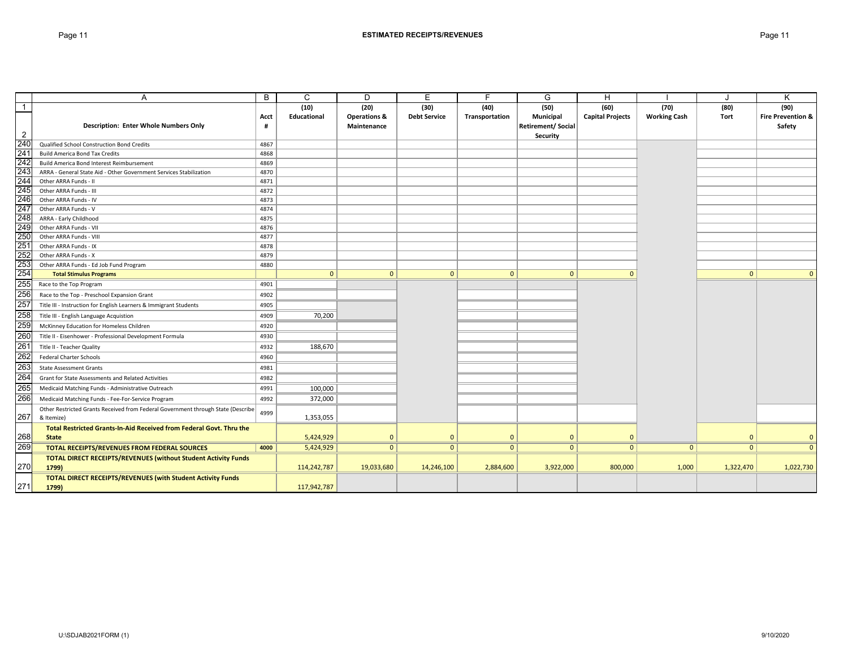|                                               | A                                                                                | B    | C            | D                       | E                   | E              | G                        | H                       |                     | J.             | K                            |
|-----------------------------------------------|----------------------------------------------------------------------------------|------|--------------|-------------------------|---------------------|----------------|--------------------------|-------------------------|---------------------|----------------|------------------------------|
| $\overline{1}$                                |                                                                                  |      | (10)         | (20)                    | (30)                | (40)           | (50)                     | (60)                    | (70)                | (80)           | (90)                         |
|                                               |                                                                                  | Acct | Educational  | <b>Operations &amp;</b> | <b>Debt Service</b> | Transportation | <b>Municipal</b>         | <b>Capital Projects</b> | <b>Working Cash</b> | Tort           | <b>Fire Prevention &amp;</b> |
|                                               | <b>Description: Enter Whole Numbers Only</b>                                     | #    |              | Maintenance             |                     |                | <b>Retirement/Social</b> |                         |                     |                | Safety                       |
| $\overline{2}$                                |                                                                                  |      |              |                         |                     |                | Security                 |                         |                     |                |                              |
| 240                                           | Qualified School Construction Bond Credits                                       | 4867 |              |                         |                     |                |                          |                         |                     |                |                              |
| $\frac{11}{241}$<br>242                       | <b>Build America Bond Tax Credits</b>                                            | 4868 |              |                         |                     |                |                          |                         |                     |                |                              |
|                                               | Build America Bond Interest Reimbursement                                        | 4869 |              |                         |                     |                |                          |                         |                     |                |                              |
| 243                                           | ARRA - General State Aid - Other Government Services Stabilization               | 4870 |              |                         |                     |                |                          |                         |                     |                |                              |
| 244                                           | Other ARRA Funds - II                                                            | 4871 |              |                         |                     |                |                          |                         |                     |                |                              |
| 245                                           | Other ARRA Funds - III                                                           | 4872 |              |                         |                     |                |                          |                         |                     |                |                              |
| 246                                           | Other ARRA Funds - IV                                                            | 4873 |              |                         |                     |                |                          |                         |                     |                |                              |
| 247                                           | Other ARRA Funds - V                                                             | 4874 |              |                         |                     |                |                          |                         |                     |                |                              |
| 248                                           | ARRA - Early Childhood                                                           | 4875 |              |                         |                     |                |                          |                         |                     |                |                              |
| 249                                           | Other ARRA Funds - VII                                                           | 4876 |              |                         |                     |                |                          |                         |                     |                |                              |
|                                               | Other ARRA Funds - VIII                                                          | 4877 |              |                         |                     |                |                          |                         |                     |                |                              |
|                                               | Other ARRA Funds - IX                                                            | 4878 |              |                         |                     |                |                          |                         |                     |                |                              |
|                                               | Other ARRA Funds - X                                                             | 4879 |              |                         |                     |                |                          |                         |                     |                |                              |
|                                               | Other ARRA Funds - Ed Job Fund Program                                           | 4880 |              |                         |                     |                |                          |                         |                     |                |                              |
| 250<br>251<br>252<br>253<br>254<br>255<br>256 | <b>Total Stimulus Programs</b>                                                   |      | $\mathbf{0}$ | $\Omega$                | $\mathbf{0}$        | $\mathbf{0}$   | $\mathbf{0}$             | $\Omega$                |                     | $\overline{0}$ |                              |
|                                               | Race to the Top Program                                                          | 4901 |              |                         |                     |                |                          |                         |                     |                |                              |
|                                               | Race to the Top - Preschool Expansion Grant                                      | 4902 |              |                         |                     |                |                          |                         |                     |                |                              |
| 257                                           | Title III - Instruction for English Learners & Immigrant Students                | 4905 |              |                         |                     |                |                          |                         |                     |                |                              |
| 258                                           | Title III - English Language Acquistion                                          | 4909 | 70,200       |                         |                     |                |                          |                         |                     |                |                              |
| 259                                           | McKinney Education for Homeless Children                                         | 4920 |              |                         |                     |                |                          |                         |                     |                |                              |
| 260                                           | Title II - Eisenhower - Professional Development Formula                         | 4930 |              |                         |                     |                |                          |                         |                     |                |                              |
| 261                                           | Title II - Teacher Quality                                                       | 4932 | 188,670      |                         |                     |                |                          |                         |                     |                |                              |
| 262                                           | <b>Federal Charter Schools</b>                                                   | 4960 |              |                         |                     |                |                          |                         |                     |                |                              |
| 263                                           | <b>State Assessment Grants</b>                                                   | 4981 |              |                         |                     |                |                          |                         |                     |                |                              |
| 264                                           | Grant for State Assessments and Related Activities                               | 4982 |              |                         |                     |                |                          |                         |                     |                |                              |
| 265                                           | Medicaid Matching Funds - Administrative Outreach                                | 4991 | 100,000      |                         |                     |                |                          |                         |                     |                |                              |
| 266                                           | Medicaid Matching Funds - Fee-For-Service Program                                | 4992 | 372,000      |                         |                     |                |                          |                         |                     |                |                              |
|                                               | Other Restricted Grants Received from Federal Government through State (Describe | 4999 |              |                         |                     |                |                          |                         |                     |                |                              |
| 267                                           | & Itemize)                                                                       |      | 1,353,055    |                         |                     |                |                          |                         |                     |                |                              |
|                                               | Total Restricted Grants-In-Aid Received from Federal Govt. Thru the              |      |              |                         |                     |                |                          |                         |                     |                |                              |
| 268                                           | <b>State</b>                                                                     |      | 5,424,929    | $\Omega$                | $\mathbf{0}$        | $\Omega$       | $\Omega$                 | $\mathbf{0}$            |                     | $\Omega$       |                              |
| 269                                           | TOTAL RECEIPTS/REVENUES FROM FEDERAL SOURCES                                     | 4000 | 5,424,929    | $\Omega$                | $\mathbf{0}$        | $\mathbf{0}$   | $\Omega$                 | $\overline{0}$          | $\mathbf{0}$        | $\Omega$       |                              |
|                                               | <b>TOTAL DIRECT RECEIPTS/REVENUES (without Student Activity Funds</b>            |      |              |                         |                     |                |                          |                         |                     |                |                              |
| 270                                           | 1799)                                                                            |      | 114,242,787  | 19,033,680              | 14,246,100          | 2,884,600      | 3,922,000                | 800,000                 | 1,000               | 1,322,470      | 1,022,730                    |
|                                               | <b>TOTAL DIRECT RECEIPTS/REVENUES (with Student Activity Funds</b>               |      |              |                         |                     |                |                          |                         |                     |                |                              |
| 271                                           | 1799)                                                                            |      | 117,942,787  |                         |                     |                |                          |                         |                     |                |                              |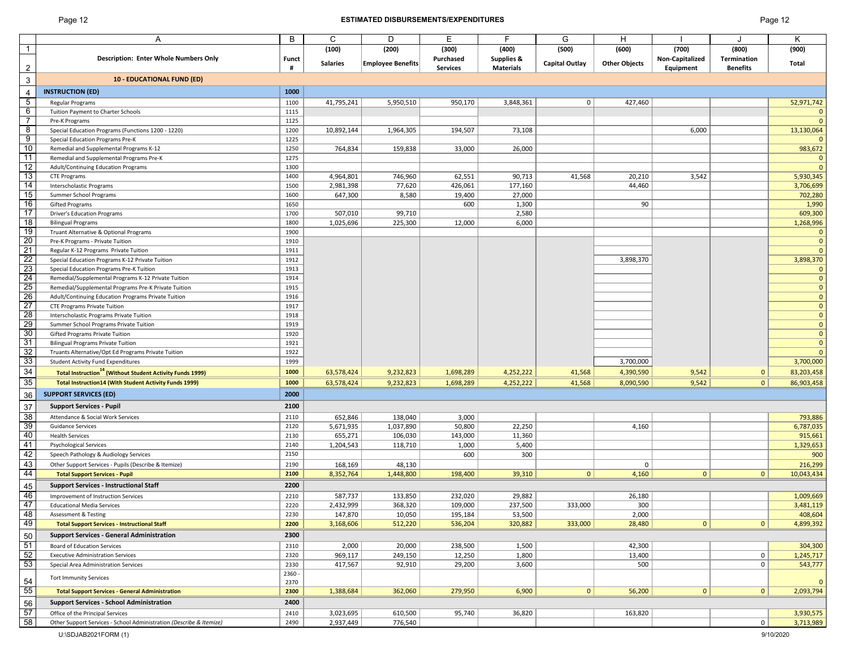## Page 12 **ESTIMATED DISBURSEMENTS/EXPENDITURES** Page 12

| ade |  |
|-----|--|
|-----|--|

|                 | Α                                                                           | B            | C               | D                        | E               | F                     | G              | H                    |                 |                 | κ                |
|-----------------|-----------------------------------------------------------------------------|--------------|-----------------|--------------------------|-----------------|-----------------------|----------------|----------------------|-----------------|-----------------|------------------|
| 1               |                                                                             |              | (100)           | (200)                    | (300)           | (400)                 | (500)          | (600)                | (700)           | (800)           | (900)            |
|                 | Description: Enter Whole Numbers Only                                       | <b>Funct</b> |                 |                          | Purchased       | <b>Supplies &amp;</b> |                |                      | Non-Capitalized | Termination     |                  |
| $\overline{2}$  |                                                                             | #            | <b>Salaries</b> | <b>Employee Benefits</b> | <b>Services</b> | <b>Materials</b>      | Capital Outlay | <b>Other Objects</b> | Equipment       | <b>Benefits</b> | Total            |
|                 |                                                                             |              |                 |                          |                 |                       |                |                      |                 |                 |                  |
| 3               | <b>10 - EDUCATIONAL FUND (ED)</b>                                           |              |                 |                          |                 |                       |                |                      |                 |                 |                  |
| 4               | <b>INSTRUCTION (ED)</b>                                                     | 1000         |                 |                          |                 |                       |                |                      |                 |                 |                  |
| $5\overline{)}$ | Regular Programs                                                            | 1100         | 41,795,241      | 5,950,510                | 950,170         | 3,848,361             | $\mathbf 0$    | 427,460              |                 |                 | 52,971,742       |
| 6               | Tuition Payment to Charter Schools                                          | 1115         |                 |                          |                 |                       |                |                      |                 |                 | $\mathbf{0}$     |
| $\overline{7}$  | Pre-K Programs                                                              | 1125         |                 |                          |                 |                       |                |                      |                 |                 | $\overline{0}$   |
| 8               | Special Education Programs (Functions 1200 - 1220)                          | 1200         | 10,892,144      | 1,964,305                | 194,507         | 73,108                |                |                      | 6,000           |                 | 13,130,064       |
| 9               | Special Education Programs Pre-K                                            | 1225         |                 |                          |                 |                       |                |                      |                 |                 | $\mathbf{0}$     |
| 10              | Remedial and Supplemental Programs K-12                                     | 1250         | 764,834         | 159,838                  | 33,000          | 26,000                |                |                      |                 |                 | 983,672          |
| 11              | Remedial and Supplemental Programs Pre-K                                    | 1275         |                 |                          |                 |                       |                |                      |                 |                 | $\mathbf{0}$     |
| 12              | Adult/Continuing Education Programs                                         | 1300         |                 |                          |                 |                       |                |                      |                 |                 | $\mathbf{0}$     |
| 13              | <b>CTE Programs</b>                                                         | 1400         | 4,964,801       | 746,960                  | 62,551          | 90,713                | 41,568         | 20,210               | 3,542           |                 | 5,930,345        |
| 14              | Interscholastic Programs                                                    | 1500         | 2,981,398       | 77,620                   | 426,061         | 177,160               |                | 44,460               |                 |                 | 3,706,699        |
| 15<br>16        | Summer School Programs                                                      | 1600<br>1650 | 647,300         | 8,580                    | 19,400          | 27,000                |                | 90                   |                 |                 | 702,280          |
| 17              | <b>Gifted Programs</b><br><b>Driver's Education Programs</b>                | 1700         | 507,010         | 99,710                   | 600             | 1,300<br>2,580        |                |                      |                 |                 | 1,990<br>609,300 |
| 18              | <b>Bilingual Programs</b>                                                   | 1800         | 1,025,696       | 225,300                  | 12,000          | 6,000                 |                |                      |                 |                 | 1,268,996        |
| 19              | Truant Alternative & Optional Programs                                      | 1900         |                 |                          |                 |                       |                |                      |                 |                 | $\mathbf{0}$     |
| $\overline{20}$ | Pre-K Programs - Private Tuition                                            | 1910         |                 |                          |                 |                       |                |                      |                 |                 | $\mathbf 0$      |
| 21              | Regular K-12 Programs Private Tuition                                       | 1911         |                 |                          |                 |                       |                |                      |                 |                 | $\mathbf{0}$     |
| 22              | Special Education Programs K-12 Private Tuition                             | 1912         |                 |                          |                 |                       |                | 3,898,370            |                 |                 | 3,898,370        |
| 23              | Special Education Programs Pre-K Tuition                                    | 1913         |                 |                          |                 |                       |                |                      |                 |                 | $\mathbf 0$      |
| $\overline{24}$ | Remedial/Supplemental Programs K-12 Private Tuition                         | 1914         |                 |                          |                 |                       |                |                      |                 |                 | $\mathbf 0$      |
| 25              | Remedial/Supplemental Programs Pre-K Private Tuition                        | 1915         |                 |                          |                 |                       |                |                      |                 |                 | $\mathbf 0$      |
| 26              | Adult/Continuing Education Programs Private Tuition                         | 1916         |                 |                          |                 |                       |                |                      |                 |                 | $\mathbf 0$      |
| $\overline{27}$ | <b>CTE Programs Private Tuition</b>                                         | 1917         |                 |                          |                 |                       |                |                      |                 |                 | $\mathbf 0$      |
| 28              | Interscholastic Programs Private Tuition                                    | 1918         |                 |                          |                 |                       |                |                      |                 |                 | $\mathbf 0$      |
| 29              | Summer School Programs Private Tuition                                      | 1919         |                 |                          |                 |                       |                |                      |                 |                 | $\pmb{0}$        |
| 30              | Gifted Programs Private Tuition                                             | 1920         |                 |                          |                 |                       |                |                      |                 |                 | $\mathbf 0$      |
| 31              | <b>Bilingual Programs Private Tuition</b>                                   | 1921         |                 |                          |                 |                       |                |                      |                 |                 | $\mathbf 0$      |
| 32              | Truants Alternative/Opt Ed Programs Private Tuition                         | 1922         |                 |                          |                 |                       |                |                      |                 |                 | $\overline{0}$   |
| 33              | <b>Student Activity Fund Expenditures</b>                                   | 1999         |                 |                          |                 |                       |                | 3,700,000            |                 |                 | 3,700,000        |
| 34              | <b>Total Instruction<sup>14</sup> (Without Student Activity Funds 1999)</b> | 1000         | 63,578,424      | 9,232,823                | 1,698,289       | 4,252,222             | 41,568         | 4,390,590            | 9,542           | $\mathbf{0}$    | 83,203,458       |
| 35              | <b>Total Instruction14 (With Student Activity Funds 1999)</b>               | 1000         | 63,578,424      | 9,232,823                | 1,698,289       | 4,252,222             | 41,568         | 8,090,590            | 9,542           | 0 <sup>1</sup>  | 86,903,458       |
| 36              | <b>SUPPORT SERVICES (ED)</b>                                                | 2000         |                 |                          |                 |                       |                |                      |                 |                 |                  |
| 37              | <b>Support Services - Pupil</b>                                             | 2100         |                 |                          |                 |                       |                |                      |                 |                 |                  |
| 38              | Attendance & Social Work Services                                           | 2110         | 652,846         | 138,040                  | 3,000           |                       |                |                      |                 |                 | 793,886          |
| 39              | <b>Guidance Services</b>                                                    | 2120         | 5,671,935       | 1,037,890                | 50,800          | 22,250                |                | 4,160                |                 |                 | 6,787,035        |
| 40              | <b>Health Services</b>                                                      | 2130         | 655,271         | 106,030                  | 143,000         | 11,360                |                |                      |                 |                 | 915,661          |
| 41              | <b>Psychological Services</b>                                               | 2140         | 1,204,543       | 118,710                  | 1,000           | 5,400                 |                |                      |                 |                 | 1,329,653        |
| 42              | Speech Pathology & Audiology Services                                       | 2150         |                 |                          | 600             | 300                   |                |                      |                 |                 | 900              |
| 43              | Other Support Services - Pupils (Describe & Itemize)                        | 2190         | 168,169         | 48,130                   |                 |                       |                | $\mathbf 0$          |                 |                 | 216,299          |
| 44              | <b>Total Support Services - Pupil</b>                                       | 2100         | 8,352,764       | 1,448,800                | 198,400         | 39,310                | $\mathbf{0}$   | 4,160                | 0               | 0               | 10,043,434       |
| 45              | <b>Support Services - Instructional Staff</b>                               | 2200         |                 |                          |                 |                       |                |                      |                 |                 |                  |
| 46              | <b>Improvement of Instruction Services</b>                                  | 2210         | 587,737         | 133,850                  | 232,020         | 29,882                |                | 26,180               |                 |                 | 1,009,669        |
| 47              | <b>Educational Media Services</b>                                           | 2220         | 2,432,999       | 368,320                  | 109,000         | 237,500               | 333,000        | 300                  |                 |                 | 3,481,119        |
| 48              | Assessment & Testing                                                        | 2230         | 147,870         | 10,050                   | 195,184         | 53,500                |                | 2,000                |                 |                 | 408,604          |
| 49              | <b>Total Support Services - Instructional Staff</b>                         | 2200         | 3,168,606       | 512,220                  | 536,204         | 320,882               | 333,000        | 28,480               | $\mathbf{0}$    | 0               | 4,899,392        |
| 50              | <b>Support Services - General Administration</b>                            | 2300         |                 |                          |                 |                       |                |                      |                 |                 |                  |
| 51              | <b>Board of Education Services</b>                                          | 2310         | 2,000           | 20,000                   | 238,500         | 1,500                 |                | 42,300               |                 |                 | 304,300          |
| 52              | <b>Executive Administration Services</b>                                    | 2320         | 969,117         | 249,150                  | 12,250          | 1,800                 |                | 13,400               |                 | $\mathbf 0$     | 1,245,717        |
| 53              | Special Area Administration Services                                        | 2330         | 417,567         | 92,910                   | 29,200          | 3,600                 |                | 500                  |                 | $\mathbf 0$     | 543,777          |
|                 |                                                                             | 2360 -       |                 |                          |                 |                       |                |                      |                 |                 |                  |
| 54              | <b>Tort Immunity Services</b>                                               | 2370         |                 |                          |                 |                       |                |                      |                 |                 | $\mathbf{0}$     |
| 55              | <b>Total Support Services - General Administration</b>                      | 2300         | 1,388,684       | 362,060                  | 279,950         | 6,900                 | 0              | 56,200               | $\mathbf{0}$    | 0               | 2,093,794        |
| 56              | <b>Support Services - School Administration</b>                             | 2400         |                 |                          |                 |                       |                |                      |                 |                 |                  |
| 57              | Office of the Principal Services                                            | 2410         | 3,023,695       | 610,500                  | 95,740          | 36,820                |                | 163,820              |                 |                 | 3,930,575        |
| 58              | Other Support Services - School Administration (Describe & Itemize)         | 2490         | 2,937,449       | 776,540                  |                 |                       |                |                      |                 | 0 <sup>1</sup>  | 3,713,989        |
|                 |                                                                             |              |                 |                          |                 |                       |                |                      |                 |                 |                  |

U:\SDJAB2021FORM (1) 9/10/2020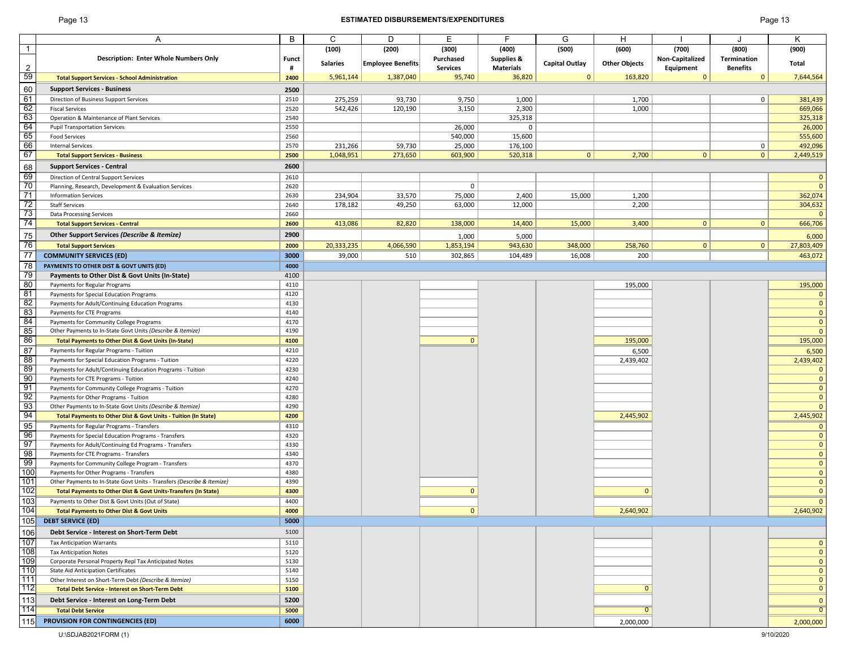## Page 13 **ESTIMATED DISBURSEMENTS/EXPENDITURES** Page 13

| Page 1 |  | 13 |
|--------|--|----|
|--------|--|----|

|                 | Α                                                                         | В            | C               | D                        | E.              | F                | G                     | H                    |                 |                 | Κ              |
|-----------------|---------------------------------------------------------------------------|--------------|-----------------|--------------------------|-----------------|------------------|-----------------------|----------------------|-----------------|-----------------|----------------|
| $\mathbf{1}$    |                                                                           |              | (100)           | (200)                    | (300)           | (400)            | (500)                 | (600)                | (700)           | (800)           | (900)          |
|                 | <b>Description: Enter Whole Numbers Only</b>                              | <b>Funct</b> |                 |                          | Purchased       | Supplies &       |                       |                      | Non-Capitalized | Termination     |                |
| 2               |                                                                           | #            | <b>Salaries</b> | <b>Employee Benefits</b> | <b>Services</b> | <b>Materials</b> | <b>Capital Outlay</b> | <b>Other Objects</b> | Equipment       | <b>Benefits</b> | Total          |
| 59              | <b>Total Support Services - School Administration</b>                     | 2400         | 5,961,144       | 1,387,040                | 95,740          | 36,820           | $\mathbf{0}$          | 163,820              | $\mathbf{0}$    | $\mathbf{0}$    | 7,644,564      |
| 60              | <b>Support Services - Business</b>                                        | 2500         |                 |                          |                 |                  |                       |                      |                 |                 |                |
| 61              | Direction of Business Support Services                                    | 2510         | 275,259         | 93,730                   | 9,750           | 1,000            |                       | 1,700                |                 | $\overline{0}$  | 381,439        |
| 62              |                                                                           | 2520         |                 |                          |                 |                  |                       |                      |                 |                 |                |
| 63              | <b>Fiscal Services</b>                                                    |              | 542,426         | 120,190                  | 3,150           | 2,300            |                       | 1,000                |                 |                 | 669,066        |
| 64              | Operation & Maintenance of Plant Services                                 | 2540         |                 |                          |                 | 325,318          |                       |                      |                 |                 | 325,318        |
|                 | <b>Pupil Transportation Services</b>                                      | 2550         |                 |                          | 26,000          | 0                |                       |                      |                 |                 | 26,000         |
| 65              | <b>Food Services</b>                                                      | 2560         |                 |                          | 540,000         | 15,600           |                       |                      |                 |                 | 555,600        |
| 66              | <b>Internal Services</b>                                                  | 2570         | 231,266         | 59,730                   | 25,000          | 176,100          |                       |                      |                 | 0               | 492,096        |
| 67              | <b>Total Support Services - Business</b>                                  | 2500         | 1,048,951       | 273,650                  | 603,900         | 520,318          | 0                     | 2,700                | 0               | 0               | 2,449,519      |
| 68              | <b>Support Services - Central</b>                                         | 2600         |                 |                          |                 |                  |                       |                      |                 |                 |                |
| 69              | Direction of Central Support Services                                     | 2610         |                 |                          |                 |                  |                       |                      |                 |                 | $\mathbf 0$    |
| 70              | Planning, Research, Development & Evaluation Services                     | 2620         |                 |                          | $\mathbf 0$     |                  |                       |                      |                 |                 | $\mathbf{0}$   |
| 71              | <b>Information Services</b>                                               | 2630         | 234,904         | 33,570                   | 75,000          | 2,400            | 15,000                | 1,200                |                 |                 | 362,074        |
| 72              | <b>Staff Services</b>                                                     | 2640         | 178,182         | 49,250                   | 63,000          | 12,000           |                       | 2,200                |                 |                 | 304,632        |
| 73              | <b>Data Processing Services</b>                                           | 2660         |                 |                          |                 |                  |                       |                      |                 |                 | $\mathbf{0}$   |
| 74              | <b>Total Support Services - Central</b>                                   | 2600         | 413,086         | 82,820                   | 138,000         | 14,400           | 15,000                | 3,400                | $\mathbf{0}$    | $\mathbf{0}$    | 666,706        |
|                 |                                                                           | 2900         |                 |                          |                 |                  |                       |                      |                 |                 |                |
| 75              | Other Support Services (Describe & Itemize)                               |              |                 |                          | 1,000           | 5,000            |                       |                      |                 |                 | 6,000          |
| 76              | <b>Total Support Services</b>                                             | 2000         | 20,333,235      | 4,066,590                | 1,853,194       | 943,630          | 348,000               | 258,760              | 0 <sup>1</sup>  | 0               | 27,803,409     |
| $\overline{77}$ | <b>COMMUNITY SERVICES (ED)</b>                                            | 3000         | 39,000          | 510                      | 302,865         | 104,489          | 16,008                | 200                  |                 |                 | 463,072        |
| 78              | PAYMENTS TO OTHER DIST & GOVT UNITS (ED)                                  | 4000         |                 |                          |                 |                  |                       |                      |                 |                 |                |
| 79              | Payments to Other Dist & Govt Units (In-State)                            | 4100         |                 |                          |                 |                  |                       |                      |                 |                 |                |
| 80              | Payments for Regular Programs                                             | 4110         |                 |                          |                 |                  |                       | 195,000              |                 |                 | 195,000        |
| 81              | Payments for Special Education Programs                                   | 4120         |                 |                          |                 |                  |                       |                      |                 |                 | $\mathbf{0}$   |
| 82              | Payments for Adult/Continuing Education Programs                          | 4130         |                 |                          |                 |                  |                       |                      |                 |                 | $\mathbf{0}$   |
| 83              | Payments for CTE Programs                                                 | 4140         |                 |                          |                 |                  |                       |                      |                 |                 | $\mathbf{0}$   |
| 84              | Payments for Community College Programs                                   | 4170         |                 |                          |                 |                  |                       |                      |                 |                 | $\mathbf 0$    |
| 85              | Other Payments to In-State Govt Units (Describe & Itemize)                | 4190         |                 |                          |                 |                  |                       |                      |                 |                 | $\mathbf{0}$   |
| 86              | Total Payments to Other Dist & Govt Units (In-State)                      | 4100         |                 |                          | $\Omega$        |                  |                       | 195,000              |                 |                 | 195,000        |
| 87              | Payments for Regular Programs - Tuition                                   | 4210         |                 |                          |                 |                  |                       | 6,500                |                 |                 | 6,500          |
| 88              | Payments for Special Education Programs - Tuition                         | 4220         |                 |                          |                 |                  |                       | 2,439,402            |                 |                 | 2,439,402      |
| 89              | Payments for Adult/Continuing Education Programs - Tuition                | 4230         |                 |                          |                 |                  |                       |                      |                 |                 | $\mathbf{0}$   |
| 90              |                                                                           | 4240         |                 |                          |                 |                  |                       |                      |                 |                 | $\mathbf{0}$   |
| 91              | Payments for CTE Programs - Tuition                                       |              |                 |                          |                 |                  |                       |                      |                 |                 | $\mathbf 0$    |
| 92              | Payments for Community College Programs - Tuition                         | 4270         |                 |                          |                 |                  |                       |                      |                 |                 | $\mathbf{0}$   |
| 93              | Payments for Other Programs - Tuition                                     | 4280         |                 |                          |                 |                  |                       |                      |                 |                 |                |
|                 | Other Payments to In-State Govt Units (Describe & Itemize)                | 4290         |                 |                          |                 |                  |                       |                      |                 |                 | $\mathbf{0}$   |
| 94              | Total Payments to Other Dist & Govt Units - Tuition (In State)            | 4200         |                 |                          |                 |                  |                       | 2,445,902            |                 |                 | 2,445,902      |
| 95              | Payments for Regular Programs - Transfers                                 | 4310         |                 |                          |                 |                  |                       |                      |                 |                 | $\mathbf{0}$   |
| 96              | Payments for Special Education Programs - Transfers                       | 4320         |                 |                          |                 |                  |                       |                      |                 |                 | $\mathbf{0}$   |
| 97              | Payments for Adult/Continuing Ed Programs - Transfers                     | 4330         |                 |                          |                 |                  |                       |                      |                 |                 | $\mathbf{0}$   |
| 98              | Payments for CTE Programs - Transfers                                     | 4340         |                 |                          |                 |                  |                       |                      |                 |                 | $\mathbf{0}$   |
| 99              | Payments for Community College Program - Transfers                        | 4370         |                 |                          |                 |                  |                       |                      |                 |                 | $\mathbf{0}$   |
| 100             | Payments for Other Programs - Transfers                                   | 4380         |                 |                          |                 |                  |                       |                      |                 |                 | $\mathbf{0}$   |
| 101             | Other Payments to In-State Govt Units - Transfers (Describe & Itemize)    | 4390         |                 |                          |                 |                  |                       |                      |                 |                 | $\mathbf{0}$   |
| 102             | <b>Total Payments to Other Dist &amp; Govt Units-Transfers (In State)</b> | 4300         |                 |                          | $\mathbf{0}$    |                  |                       | $\mathbf{0}$         |                 |                 | $\mathbf{0}$   |
| 103             | Payments to Other Dist & Govt Units (Out of State)                        | 4400         |                 |                          |                 |                  |                       |                      |                 |                 | $\mathbf{0}$   |
| 104             | <b>Total Payments to Other Dist &amp; Govt Units</b>                      | 4000         |                 |                          | $\mathbf{0}$    |                  |                       | 2,640,902            |                 |                 | 2,640,902      |
| 105             | <b>DEBT SERVICE (ED)</b>                                                  | 5000         |                 |                          |                 |                  |                       |                      |                 |                 |                |
| 106             | Debt Service - Interest on Short-Term Debt                                | 5100         |                 |                          |                 |                  |                       |                      |                 |                 |                |
| 107             |                                                                           | 5110         |                 |                          |                 |                  |                       |                      |                 |                 |                |
| 108             | <b>Tax Anticipation Warrants</b>                                          |              |                 |                          |                 |                  |                       |                      |                 |                 | $\mathbf{0}$   |
|                 | <b>Tax Anticipation Notes</b>                                             | 5120         |                 |                          |                 |                  |                       |                      |                 |                 | $\mathbf 0$    |
| 109             | Corporate Personal Property Repl Tax Anticipated Notes                    | 5130         |                 |                          |                 |                  |                       |                      |                 |                 | $\mathbf 0$    |
| 110             | <b>State Aid Anticipation Certificates</b>                                | 5140         |                 |                          |                 |                  |                       |                      |                 |                 | $\mathbf{0}$   |
| 111             | Other Interest on Short-Term Debt (Describe & Itemize)                    | 5150         |                 |                          |                 |                  |                       |                      |                 |                 | $\mathbf{0}$   |
| 112             | <b>Total Debt Service - Interest on Short-Term Debt</b>                   | 5100         |                 |                          |                 |                  |                       | $\mathbf{0}$         |                 |                 | $\mathbf 0$    |
| 113             | Debt Service - Interest on Long-Term Debt                                 | 5200         |                 |                          |                 |                  |                       |                      |                 |                 | $\mathbf 0$    |
| 114             | <b>Total Debt Service</b>                                                 | 5000         |                 |                          |                 |                  |                       | $\overline{0}$       |                 |                 | $\overline{0}$ |
| 15              | PROVISION FOR CONTINGENCIES (ED)                                          | 6000         |                 |                          |                 |                  |                       | 2,000,000            |                 |                 | 2,000,000      |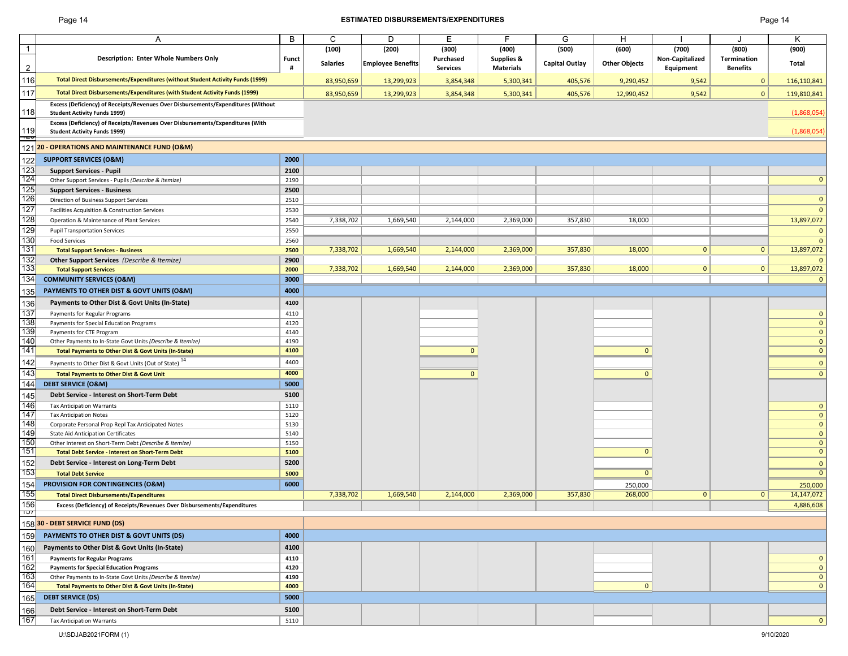## Page 14 **ESTIMATED DISBURSEMENTS/EXPENDITURES** Page 14

|                | A                                                                                                                        | B            | C               | D                        | Ε               | F                     | G                     | Н                    |                 |                 | κ                            |
|----------------|--------------------------------------------------------------------------------------------------------------------------|--------------|-----------------|--------------------------|-----------------|-----------------------|-----------------------|----------------------|-----------------|-----------------|------------------------------|
| $\overline{1}$ |                                                                                                                          |              | (100)           | (200)                    | (300)           | (400)                 | (500)                 | (600)                | (700)           | (800)           | (900)                        |
|                | <b>Description: Enter Whole Numbers Only</b>                                                                             | <b>Funct</b> | <b>Salaries</b> | <b>Employee Benefits</b> | Purchased       | <b>Supplies &amp;</b> | <b>Capital Outlay</b> | <b>Other Objects</b> | Non-Capitalized | Termination     | <b>Total</b>                 |
| $\overline{2}$ |                                                                                                                          | #            |                 |                          | <b>Services</b> | <b>Materials</b>      |                       |                      | Equipment       | <b>Benefits</b> |                              |
| 116            | Total Direct Disbursements/Expenditures (without Student Activity Funds (1999)                                           |              | 83,950,659      | 13,299,923               | 3,854,348       | 5,300,341             | 405,576               | 9,290,452            | 9,542           | $\Omega$        | 116,110,841                  |
| 117            | Total Direct Disbursements/Expenditures (with Student Activity Funds (1999)                                              |              | 83,950,659      | 13,299,923               | 3,854,348       | 5,300,341             | 405,576               | 12,990,452           | 9,542           | $\mathbf{0}$    | 119,810,841                  |
| 118            | Excess (Deficiency) of Receipts/Revenues Over Disbursements/Expenditures (Without<br><b>Student Activity Funds 1999)</b> |              |                 |                          |                 |                       |                       |                      |                 |                 | (1,868,054)                  |
|                | Excess (Deficiency) of Receipts/Revenues Over Disbursements/Expenditures (With                                           |              |                 |                          |                 |                       |                       |                      |                 |                 |                              |
| 119<br>Ē       | <b>Student Activity Funds 1999)</b>                                                                                      |              |                 |                          |                 |                       |                       |                      |                 |                 | (1,868,054)                  |
| 121            | 20 - OPERATIONS AND MAINTENANCE FUND (O&M)                                                                               |              |                 |                          |                 |                       |                       |                      |                 |                 |                              |
| 122            | <b>SUPPORT SERVICES (O&amp;M)</b>                                                                                        | 2000         |                 |                          |                 |                       |                       |                      |                 |                 |                              |
| 123            | <b>Support Services - Pupil</b>                                                                                          | 2100         |                 |                          |                 |                       |                       |                      |                 |                 |                              |
| 124            | Other Support Services - Pupils (Describe & Itemize)                                                                     | 2190         |                 |                          |                 |                       |                       |                      |                 |                 | $\mathbf{0}$                 |
| 125<br>126     | <b>Support Services - Business</b>                                                                                       | 2500         |                 |                          |                 |                       |                       |                      |                 |                 |                              |
| 127            | Direction of Business Support Services                                                                                   | 2510         |                 |                          |                 |                       |                       |                      |                 |                 | $\mathbf{0}$                 |
| 128            | Facilities Acquisition & Construction Services                                                                           | 2530         |                 |                          |                 |                       |                       |                      |                 |                 | $\mathbf{0}$                 |
|                | Operation & Maintenance of Plant Services                                                                                | 2540         | 7,338,702       | 1,669,540                | 2,144,000       | 2,369,000             | 357,830               | 18,000               |                 |                 | 13,897,072                   |
| 129            | <b>Pupil Transportation Services</b>                                                                                     | 2550         |                 |                          |                 |                       |                       |                      |                 |                 | $\mathbf{0}$                 |
| 130<br>131     | <b>Food Services</b>                                                                                                     | 2560<br>2500 | 7,338,702       | 1,669,540                | 2,144,000       | 2,369,000             | 357,830               | 18,000               | $\mathbf{0}$    | 0               | $\overline{0}$<br>13,897,072 |
| 132            | <b>Total Support Services - Business</b><br>Other Support Services (Describe & Itemize)                                  | 2900         |                 |                          |                 |                       |                       |                      |                 |                 | - 0                          |
| 133            | <b>Total Support Services</b>                                                                                            | 2000         | 7,338,702       | 1,669,540                | 2,144,000       | 2,369,000             | 357,830               | 18,000               | $\mathbf{0}$    | 0               | 13,897,072                   |
| 134            | <b>COMMUNITY SERVICES (O&amp;M)</b>                                                                                      | 3000         |                 |                          |                 |                       |                       |                      |                 |                 | - 0                          |
| 135            | PAYMENTS TO OTHER DIST & GOVT UNITS (O&M)                                                                                | 4000         |                 |                          |                 |                       |                       |                      |                 |                 |                              |
|                |                                                                                                                          |              |                 |                          |                 |                       |                       |                      |                 |                 |                              |
| 136            | Payments to Other Dist & Govt Units (In-State)                                                                           | 4100         |                 |                          |                 |                       |                       |                      |                 |                 |                              |
| 137<br>138     | Payments for Regular Programs                                                                                            | 4110<br>4120 |                 |                          |                 |                       |                       |                      |                 |                 | $\mathbf 0$<br>$\mathbf{0}$  |
| 139            | Payments for Special Education Programs<br>Payments for CTE Program                                                      | 4140         |                 |                          |                 |                       |                       |                      |                 |                 | $\mathbf 0$                  |
| 140            | Other Payments to In-State Govt Units (Describe & Itemize)                                                               | 4190         |                 |                          |                 |                       |                       |                      |                 |                 | $\mathbf 0$                  |
| 141            | <b>Total Payments to Other Dist &amp; Govt Units (In-State)</b>                                                          | 4100         |                 |                          | $\Omega$        |                       |                       | $\Omega$             |                 |                 | $\mathbf 0$                  |
| 142            | Payments to Other Dist & Govt Units (Out of State) <sup>14</sup>                                                         | 4400         |                 |                          |                 |                       |                       |                      |                 |                 | $\mathbf{0}$                 |
| 143            | <b>Total Payments to Other Dist &amp; Govt Unit</b>                                                                      | 4000         |                 |                          | $\Omega$        |                       |                       | $\Omega$             |                 |                 | $\mathbf{0}$                 |
| 144            | <b>DEBT SERVICE (O&amp;M)</b>                                                                                            | 5000         |                 |                          |                 |                       |                       |                      |                 |                 |                              |
| 145            | Debt Service - Interest on Short-Term Debt                                                                               | 5100         |                 |                          |                 |                       |                       |                      |                 |                 |                              |
| 146            | <b>Tax Anticipation Warrants</b>                                                                                         | 5110         |                 |                          |                 |                       |                       |                      |                 |                 | $\mathbf{0}$                 |
| 147            | <b>Tax Anticipation Notes</b>                                                                                            | 5120         |                 |                          |                 |                       |                       |                      |                 |                 | $\mathbf 0$                  |
| 148            | Corporate Personal Prop Repl Tax Anticipated Notes                                                                       | 5130         |                 |                          |                 |                       |                       |                      |                 |                 | $\mathbf 0$                  |
| 149            | <b>State Aid Anticipation Certificates</b>                                                                               | 5140         |                 |                          |                 |                       |                       |                      |                 |                 | $\mathbf 0$                  |
| 150            | Other Interest on Short-Term Debt (Describe & Itemize)                                                                   | 5150         |                 |                          |                 |                       |                       |                      |                 |                 | $\mathbf 0$                  |
| 151            | <b>Total Debt Service - Interest on Short-Term Debt</b>                                                                  | 5100         |                 |                          |                 |                       |                       | $\Omega$             |                 |                 | $\mathbf{0}$                 |
| 152            | Debt Service - Interest on Long-Term Debt                                                                                | 5200         |                 |                          |                 |                       |                       |                      |                 |                 | $\mathbf{0}$                 |
| 153            | <b>Total Debt Service</b>                                                                                                | 5000         |                 |                          |                 |                       |                       | $\Omega$             |                 |                 | $\overline{0}$               |
| 154            | PROVISION FOR CONTINGENCIES (O&M)                                                                                        | 6000         |                 |                          |                 |                       |                       | 250,000              |                 |                 | 250,000                      |
| 155            | <b>Total Direct Disbursements/Expenditures</b>                                                                           |              | 7,338,702       | 1,669,540                | 2,144,000       | 2,369,000             | 357,830               | 268,000              | $\mathbf{0}$    | 0               | 14,147,072                   |
| 156            | Excess (Deficiency) of Receipts/Revenues Over Disbursements/Expenditures                                                 |              |                 |                          |                 |                       |                       |                      |                 |                 | 4,886,608                    |
| זטו            |                                                                                                                          |              |                 |                          |                 |                       |                       |                      |                 |                 |                              |
|                | 15830 - DEBT SERVICE FUND (DS)                                                                                           |              |                 |                          |                 |                       |                       |                      |                 |                 |                              |
| 159            | PAYMENTS TO OTHER DIST & GOVT UNITS (DS)                                                                                 | 4000         |                 |                          |                 |                       |                       |                      |                 |                 |                              |
| 160            | Payments to Other Dist & Govt Units (In-State)                                                                           | 4100         |                 |                          |                 |                       |                       |                      |                 |                 |                              |
| 161            | <b>Payments for Regular Programs</b>                                                                                     | 4110         |                 |                          |                 |                       |                       |                      |                 |                 | $\mathbf{0}$                 |
| 162            | <b>Payments for Special Education Programs</b>                                                                           | 4120         |                 |                          |                 |                       |                       |                      |                 |                 | $\mathbf{0}$                 |
| 163            | Other Payments to In-State Govt Units (Describe & Itemize)                                                               | 4190         |                 |                          |                 |                       |                       |                      |                 |                 | $\mathbf 0$                  |
| 164            | <b>Total Payments to Other Dist &amp; Govt Units (In-State)</b>                                                          | 4000         |                 |                          |                 |                       |                       | $\mathbf{0}$         |                 |                 | $\mathbf{0}$                 |
| 165            | <b>DEBT SERVICE (DS)</b>                                                                                                 | 5000         |                 |                          |                 |                       |                       |                      |                 |                 |                              |
| 166            | Debt Service - Interest on Short-Term Debt                                                                               | 5100         |                 |                          |                 |                       |                       |                      |                 |                 |                              |
| 167            | <b>Tax Anticipation Warrants</b>                                                                                         | 5110         |                 |                          |                 |                       |                       |                      |                 |                 | $\mathbf{0}$                 |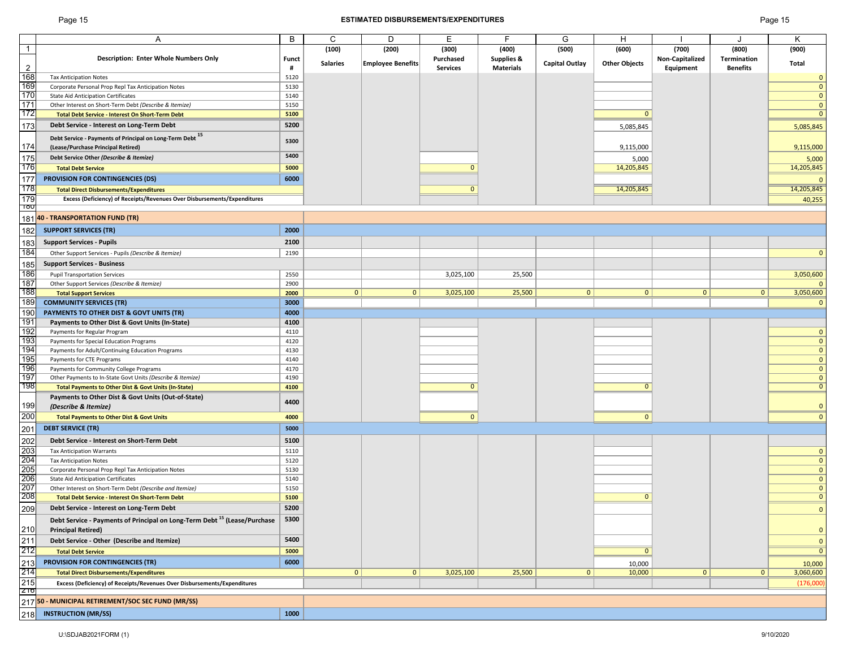## Page 15 **ESTIMATED DISBURSEMENTS/EXPENDITURES** Page 15

|                                                      | A                                                                                                                                                                                                                                        | B            | C               | D                        | E               | F                     | G                     | н                    |                 |                    | Κ              |
|------------------------------------------------------|------------------------------------------------------------------------------------------------------------------------------------------------------------------------------------------------------------------------------------------|--------------|-----------------|--------------------------|-----------------|-----------------------|-----------------------|----------------------|-----------------|--------------------|----------------|
| $\overline{1}$                                       |                                                                                                                                                                                                                                          |              | (100)           | (200)                    | (300)           | (400)                 | (500)                 | (600)                | (700)           | (800)              | (900)          |
|                                                      | <b>Description: Enter Whole Numbers Only</b>                                                                                                                                                                                             | <b>Funct</b> |                 |                          | Purchased       | <b>Supplies &amp;</b> |                       |                      | Non-Capitalized | <b>Termination</b> |                |
| $\overline{2}$                                       |                                                                                                                                                                                                                                          | #            | <b>Salaries</b> | <b>Employee Benefits</b> | <b>Services</b> | <b>Materials</b>      | <b>Capital Outlay</b> | <b>Other Objects</b> | Equipment       | <b>Benefits</b>    | Total          |
| 168                                                  | <b>Tax Anticipation Notes</b>                                                                                                                                                                                                            | 5120         |                 |                          |                 |                       |                       |                      |                 |                    | 0              |
| 169                                                  |                                                                                                                                                                                                                                          | 5130         |                 |                          |                 |                       |                       |                      |                 |                    | $\Omega$       |
| 170                                                  | Corporate Personal Prop Repl Tax Anticipation Notes                                                                                                                                                                                      |              |                 |                          |                 |                       |                       |                      |                 |                    |                |
|                                                      | <b>State Aid Anticipation Certificates</b>                                                                                                                                                                                               | 5140         |                 |                          |                 |                       |                       |                      |                 |                    | $\Omega$       |
| 171                                                  | Other Interest on Short-Term Debt (Describe & Itemize)                                                                                                                                                                                   | 5150         |                 |                          |                 |                       |                       |                      |                 |                    | $\mathbf{0}$   |
| 172                                                  | Total Debt Service - Interest On Short-Term Debt                                                                                                                                                                                         | 5100         |                 |                          |                 |                       |                       | $\mathbf{0}$         |                 |                    | $\Omega$       |
| 173                                                  | Debt Service - Interest on Long-Term Debt                                                                                                                                                                                                | 5200         |                 |                          |                 |                       |                       | 5,085,845            |                 |                    | 5,085,845      |
|                                                      | Debt Service - Payments of Principal on Long-Term Debt 15                                                                                                                                                                                |              |                 |                          |                 |                       |                       |                      |                 |                    |                |
| 174                                                  | (Lease/Purchase Principal Retired)                                                                                                                                                                                                       | 5300         |                 |                          |                 |                       |                       | 9,115,000            |                 |                    | 9,115,000      |
|                                                      |                                                                                                                                                                                                                                          | 5400         |                 |                          |                 |                       |                       |                      |                 |                    |                |
| 175                                                  | Debt Service Other (Describe & Itemize)                                                                                                                                                                                                  |              |                 |                          |                 |                       |                       | 5,000                |                 |                    | 5,000          |
| 176                                                  | <b>Total Debt Service</b>                                                                                                                                                                                                                | 5000         |                 |                          | $\Omega$        |                       |                       | 14,205,845           |                 |                    | 14,205,845     |
| 177                                                  | <b>PROVISION FOR CONTINGENCIES (DS)</b>                                                                                                                                                                                                  | 6000         |                 |                          |                 |                       |                       |                      |                 |                    |                |
| 178                                                  | <b>Total Direct Disbursements/Expenditures</b>                                                                                                                                                                                           |              |                 |                          | $\mathbf{0}$    |                       |                       | 14,205,845           |                 |                    | 14,205,845     |
| 179                                                  | Excess (Deficiency) of Receipts/Revenues Over Disbursements/Expenditures                                                                                                                                                                 |              |                 |                          |                 |                       |                       |                      |                 |                    | 40,255         |
| ျပ                                                   |                                                                                                                                                                                                                                          |              |                 |                          |                 |                       |                       |                      |                 |                    |                |
| 181                                                  | 40 - TRANSPORTATION FUND (TR)                                                                                                                                                                                                            |              |                 |                          |                 |                       |                       |                      |                 |                    |                |
|                                                      |                                                                                                                                                                                                                                          |              |                 |                          |                 |                       |                       |                      |                 |                    |                |
| 182                                                  | <b>SUPPORT SERVICES (TR)</b>                                                                                                                                                                                                             | 2000         |                 |                          |                 |                       |                       |                      |                 |                    |                |
| 183                                                  | <b>Support Services - Pupils</b>                                                                                                                                                                                                         | 2100         |                 |                          |                 |                       |                       |                      |                 |                    |                |
| 184                                                  | Other Support Services - Pupils (Describe & Itemize)                                                                                                                                                                                     | 2190         |                 |                          |                 |                       |                       |                      |                 |                    |                |
| 185                                                  | <b>Support Services - Business</b>                                                                                                                                                                                                       |              |                 |                          |                 |                       |                       |                      |                 |                    |                |
|                                                      |                                                                                                                                                                                                                                          |              |                 |                          |                 |                       |                       |                      |                 |                    |                |
| 186<br>187                                           | <b>Pupil Transportation Services</b>                                                                                                                                                                                                     | 2550         |                 |                          | 3,025,100       | 25,500                |                       |                      |                 |                    | 3,050,600      |
|                                                      | Other Support Services (Describe & Itemize)                                                                                                                                                                                              | 2900         | $\mathbf{0}$    | 0                        |                 |                       | $\mathbf{0}$          | $\mathbf{0}$         | $\mathbf{0}$    | 0                  | 3,050,600      |
| 188<br>189                                           | <b>Total Support Services</b>                                                                                                                                                                                                            | 2000         |                 |                          | 3,025,100       | 25,500                |                       |                      |                 |                    |                |
|                                                      | <b>COMMUNITY SERVICES (TR)</b>                                                                                                                                                                                                           | 3000         |                 |                          |                 |                       |                       |                      |                 |                    |                |
| 190                                                  | PAYMENTS TO OTHER DIST & GOVT UNITS (TR)                                                                                                                                                                                                 | 4000         |                 |                          |                 |                       |                       |                      |                 |                    |                |
| 191                                                  | Payments to Other Dist & Govt Units (In-State)                                                                                                                                                                                           | 4100         |                 |                          |                 |                       |                       |                      |                 |                    |                |
| 192                                                  | Payments for Regular Program                                                                                                                                                                                                             | 4110         |                 |                          |                 |                       |                       |                      |                 |                    | $\Omega$       |
| 193                                                  | Payments for Special Education Programs                                                                                                                                                                                                  | 4120         |                 |                          |                 |                       |                       |                      |                 |                    | $\mathbf 0$    |
| 194                                                  | Payments for Adult/Continuing Education Programs                                                                                                                                                                                         | 4130         |                 |                          |                 |                       |                       |                      |                 |                    | $\overline{0}$ |
| 195                                                  | Payments for CTE Programs                                                                                                                                                                                                                | 4140         |                 |                          |                 |                       |                       |                      |                 |                    | $\overline{0}$ |
| 196                                                  | Payments for Community College Programs                                                                                                                                                                                                  | 4170         |                 |                          |                 |                       |                       |                      |                 |                    | $\Omega$       |
| 197                                                  | Other Payments to In-State Govt Units (Describe & Itemize)                                                                                                                                                                               | 4190         |                 |                          |                 |                       |                       |                      |                 |                    | $\mathbf{0}$   |
| 198                                                  | Total Payments to Other Dist & Govt Units (In-State)                                                                                                                                                                                     | 4100         |                 |                          | $\mathbf{0}$    |                       |                       | $\Omega$             |                 |                    | $\mathbf{0}$   |
|                                                      | Payments to Other Dist & Govt Units (Out-of-State)                                                                                                                                                                                       |              |                 |                          |                 |                       |                       |                      |                 |                    |                |
|                                                      | (Describe & Itemize)                                                                                                                                                                                                                     | 4400         |                 |                          |                 |                       |                       |                      |                 |                    | $\overline{0}$ |
|                                                      | <b>Total Payments to Other Dist &amp; Govt Units</b>                                                                                                                                                                                     | 4000         |                 |                          | $\mathbf{0}$    |                       |                       | $\mathbf{0}$         |                 |                    | $\Omega$       |
| $\frac{199}{200}$ $\frac{201}{201}$                  |                                                                                                                                                                                                                                          |              |                 |                          |                 |                       |                       |                      |                 |                    |                |
|                                                      | <b>DEBT SERVICE (TR)</b>                                                                                                                                                                                                                 | 5000         |                 |                          |                 |                       |                       |                      |                 |                    |                |
| 202<br>203<br>204<br>205<br>206<br>207<br>207<br>208 | Debt Service - Interest on Short-Term Debt                                                                                                                                                                                               | 5100         |                 |                          |                 |                       |                       |                      |                 |                    |                |
|                                                      | <b>Tax Anticipation Warrants</b>                                                                                                                                                                                                         | 5110         |                 |                          |                 |                       |                       |                      |                 |                    | $\mathbf{0}$   |
|                                                      | <b>Tax Anticipation Notes</b>                                                                                                                                                                                                            | 5120         |                 |                          |                 |                       |                       |                      |                 |                    | $\Omega$       |
|                                                      | Corporate Personal Prop Repl Tax Anticipation Notes                                                                                                                                                                                      | 5130         |                 |                          |                 |                       |                       |                      |                 |                    | $\mathbf{0}$   |
|                                                      | <b>State Aid Anticipation Certificates</b>                                                                                                                                                                                               | 5140         |                 |                          |                 |                       |                       |                      |                 |                    | $\overline{0}$ |
|                                                      | Other Interest on Short-Term Debt (Describe and Itemize)                                                                                                                                                                                 | 5150         |                 |                          |                 |                       |                       |                      |                 |                    | $\mathbf{0}$   |
|                                                      | <b>Total Debt Service - Interest On Short-Term Debt</b>                                                                                                                                                                                  | 5100         |                 |                          |                 |                       |                       | $\mathbf{0}$         |                 |                    | $\mathbf{0}$   |
| 209                                                  | Debt Service - Interest on Long-Term Debt                                                                                                                                                                                                | 5200         |                 |                          |                 |                       |                       |                      |                 |                    | $\Omega$       |
|                                                      |                                                                                                                                                                                                                                          | 5300         |                 |                          |                 |                       |                       |                      |                 |                    |                |
|                                                      | Debt Service - Payments of Principal on Long-Term Debt <sup>15</sup> (Lease/Purchase                                                                                                                                                     |              |                 |                          |                 |                       |                       |                      |                 |                    |                |
|                                                      |                                                                                                                                                                                                                                          |              |                 |                          |                 |                       |                       |                      |                 |                    | $\mathbf{0}$   |
|                                                      |                                                                                                                                                                                                                                          | 5400         |                 |                          |                 |                       |                       |                      |                 |                    | $\mathbf{0}$   |
|                                                      |                                                                                                                                                                                                                                          | 5000         |                 |                          |                 |                       |                       | $\overline{0}$       |                 |                    | $\Omega$       |
|                                                      | Debt Service - Payments of Principal on Long-Term<br>210 Principal Retired)<br>211 Debt Service - Other (Describe and Itemize)<br>212 Total Debt Service<br>213 PROVISION FOR CONTINGENCIES (TR)<br>214 Total Direct Disbursements/Expen | 6000         |                 |                          |                 |                       |                       | 10,000               |                 |                    | 10,000         |
|                                                      |                                                                                                                                                                                                                                          |              | $\mathbf{0}$    | 0                        | 3,025,100       | 25,500                | $\mathbf{0}$          | 10,000               | $\mathbf{0}$    | 0                  | 3,060,600      |
|                                                      | Excess (Deficiency) of Receipts/Revenues Over Disbursements/Expenditures                                                                                                                                                                 |              |                 |                          |                 |                       |                       |                      |                 |                    | (176,000)      |
|                                                      |                                                                                                                                                                                                                                          |              |                 |                          |                 |                       |                       |                      |                 |                    |                |
|                                                      |                                                                                                                                                                                                                                          |              |                 |                          |                 |                       |                       |                      |                 |                    |                |
|                                                      |                                                                                                                                                                                                                                          |              |                 |                          |                 |                       |                       |                      |                 |                    |                |
|                                                      |                                                                                                                                                                                                                                          | 1000         |                 |                          |                 |                       |                       |                      |                 |                    |                |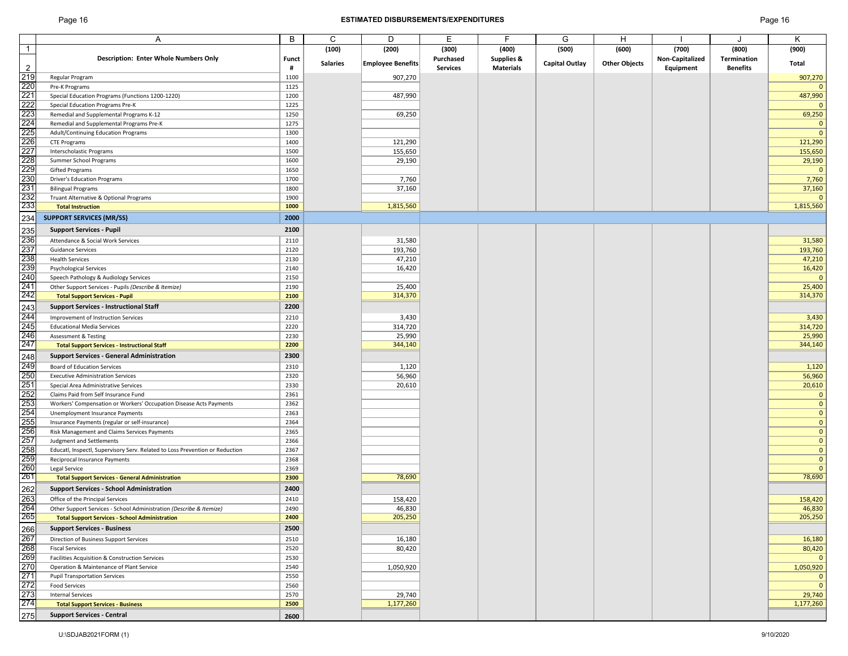## Page 16 **ESTIMATED DISBURSEMENTS/EXPENDITURES** Page 16

|                | A                                                                            | B            | С               | D                        | Е               | F                | G                     | н                    |                 | J               | Κ            |
|----------------|------------------------------------------------------------------------------|--------------|-----------------|--------------------------|-----------------|------------------|-----------------------|----------------------|-----------------|-----------------|--------------|
| $\overline{1}$ |                                                                              |              | (100)           | (200)                    | (300)           | (400)            | (500)                 | (600)                | (700)           | (800)           | (900)        |
|                | <b>Description: Enter Whole Numbers Only</b>                                 | <b>Funct</b> |                 |                          | Purchased       | Supplies &       |                       |                      | Non-Capitalized | Termination     |              |
| $\overline{2}$ |                                                                              | #            | <b>Salaries</b> | <b>Employee Benefits</b> | <b>Services</b> | <b>Materials</b> | <b>Capital Outlay</b> | <b>Other Objects</b> | Equipment       | <b>Benefits</b> | Total        |
|                | Regular Program                                                              | 1100         |                 | 907,270                  |                 |                  |                       |                      |                 |                 | 907,270      |
|                | Pre-K Programs                                                               | 1125         |                 |                          |                 |                  |                       |                      |                 |                 | $\mathbf{0}$ |
|                | Special Education Programs (Functions 1200-1220)                             | 1200         |                 | 487,990                  |                 |                  |                       |                      |                 |                 | 487,990      |
|                | Special Education Programs Pre-K                                             | 1225         |                 |                          |                 |                  |                       |                      |                 |                 | $\mathbf{0}$ |
|                | Remedial and Supplemental Programs K-12                                      | 1250         |                 | 69,250                   |                 |                  |                       |                      |                 |                 | 69,250       |
|                | Remedial and Supplemental Programs Pre-K                                     | 1275         |                 |                          |                 |                  |                       |                      |                 |                 | $\mathbf 0$  |
|                | Adult/Continuing Education Programs                                          | 1300         |                 |                          |                 |                  |                       |                      |                 |                 | $\mathbf 0$  |
|                | <b>CTE Programs</b>                                                          | 1400         |                 | 121,290                  |                 |                  |                       |                      |                 |                 | 121,290      |
|                | Interscholastic Programs                                                     | 1500         |                 | 155,650                  |                 |                  |                       |                      |                 |                 | 155,650      |
|                | Summer School Programs                                                       | 1600         |                 | 29,190                   |                 |                  |                       |                      |                 |                 | 29,190       |
|                | Gifted Programs                                                              | 1650         |                 |                          |                 |                  |                       |                      |                 |                 | $\mathbf{0}$ |
|                | <b>Driver's Education Programs</b>                                           | 1700         |                 | 7,760                    |                 |                  |                       |                      |                 |                 | 7,760        |
|                | <b>Bilingual Programs</b>                                                    | 1800         |                 | 37,160                   |                 |                  |                       |                      |                 |                 | 37,160       |
|                | Truant Alternative & Optional Programs                                       | 1900         |                 |                          |                 |                  |                       |                      |                 |                 | $\mathbf{0}$ |
|                | <b>Total Instruction</b>                                                     | 1000         |                 | 1,815,560                |                 |                  |                       |                      |                 |                 | 1,815,560    |
|                | <b>SUPPORT SERVICES (MR/SS)</b>                                              | 2000         |                 |                          |                 |                  |                       |                      |                 |                 |              |
|                |                                                                              |              |                 |                          |                 |                  |                       |                      |                 |                 |              |
|                | <b>Support Services - Pupil</b>                                              | 2100         |                 |                          |                 |                  |                       |                      |                 |                 |              |
|                | Attendance & Social Work Services                                            | 2110         |                 | 31,580                   |                 |                  |                       |                      |                 |                 | 31,580       |
|                | <b>Guidance Services</b>                                                     | 2120         |                 | 193,760                  |                 |                  |                       |                      |                 |                 | 193,760      |
|                | <b>Health Services</b>                                                       | 2130         |                 | 47,210                   |                 |                  |                       |                      |                 |                 | 47,210       |
|                | <b>Psychological Services</b>                                                | 2140         |                 | 16,420                   |                 |                  |                       |                      |                 |                 | 16,420       |
|                | Speech Pathology & Audiology Services                                        | 2150         |                 |                          |                 |                  |                       |                      |                 |                 | $\mathbf 0$  |
|                | Other Support Services - Pupils (Describe & Itemize)                         | 2190         |                 | 25,400                   |                 |                  |                       |                      |                 |                 | 25,400       |
|                | <b>Total Support Services - Pupil</b>                                        | 2100         |                 | 314,370                  |                 |                  |                       |                      |                 |                 | 314,370      |
|                | <b>Support Services - Instructional Staff</b>                                | 2200         |                 |                          |                 |                  |                       |                      |                 |                 |              |
|                | Improvement of Instruction Services                                          | 2210         |                 | 3,430                    |                 |                  |                       |                      |                 |                 | 3,430        |
|                | <b>Educational Media Services</b>                                            | 2220         |                 | 314,720                  |                 |                  |                       |                      |                 |                 | 314,720      |
|                | Assessment & Testing                                                         | 2230         |                 | 25,990                   |                 |                  |                       |                      |                 |                 | 25,990       |
|                | <b>Total Support Services - Instructional Staff</b>                          | 2200         |                 | 344,140                  |                 |                  |                       |                      |                 |                 | 344,140      |
|                | <b>Support Services - General Administration</b>                             | 2300         |                 |                          |                 |                  |                       |                      |                 |                 |              |
|                |                                                                              |              |                 |                          |                 |                  |                       |                      |                 |                 |              |
|                | Board of Education Services                                                  | 2310         |                 | 1,120                    |                 |                  |                       |                      |                 |                 | 1,120        |
|                | <b>Executive Administration Services</b>                                     | 2320         |                 | 56,960                   |                 |                  |                       |                      |                 |                 | 56,960       |
|                | Special Area Administrative Services                                         | 2330         |                 | 20,610                   |                 |                  |                       |                      |                 |                 | 20,610       |
|                | Claims Paid from Self Insurance Fund                                         | 2361         |                 |                          |                 |                  |                       |                      |                 |                 | $\mathbf 0$  |
|                | Workers' Compensation or Workers' Occupation Disease Acts Payments           | 2362         |                 |                          |                 |                  |                       |                      |                 |                 | $\mathbf{0}$ |
|                | Unemployment Insurance Payments                                              | 2363         |                 |                          |                 |                  |                       |                      |                 |                 | $\mathbf{0}$ |
|                | Insurance Payments (regular or self-insurance)                               | 2364         |                 |                          |                 |                  |                       |                      |                 |                 | $\mathbf{0}$ |
|                | Risk Management and Claims Services Payments                                 | 2365         |                 |                          |                 |                  |                       |                      |                 |                 | $\mathbf{0}$ |
|                | <b>Judgment and Settlements</b>                                              | 2366         |                 |                          |                 |                  |                       |                      |                 |                 | $\mathbf 0$  |
|                | Educatl, Inspectl, Supervisory Serv. Related to Loss Prevention or Reduction | 2367         |                 |                          |                 |                  |                       |                      |                 |                 | $\mathbf{0}$ |
|                | Reciprocal Insurance Payments                                                | 2368         |                 |                          |                 |                  |                       |                      |                 |                 | $\mathbf{0}$ |
|                | Legal Service                                                                | 2369         |                 |                          |                 |                  |                       |                      |                 |                 | $\mathbf{0}$ |
|                | <b>Total Support Services - General Administration</b>                       | 2300         |                 | 78,690                   |                 |                  |                       |                      |                 |                 | 78,690       |
|                | <b>Support Services - School Administration</b>                              | 2400         |                 |                          |                 |                  |                       |                      |                 |                 |              |
|                | Office of the Principal Services                                             | 2410         |                 | 158,420                  |                 |                  |                       |                      |                 |                 | 158,420      |
|                | Other Support Services - School Administration (Describe & Itemize)          | 2490         |                 | 46,830                   |                 |                  |                       |                      |                 |                 | 46,830       |
|                | <b>Total Support Services - School Administration</b>                        | 2400         |                 | 205,250                  |                 |                  |                       |                      |                 |                 | 205,250      |
|                | <b>Support Services - Business</b>                                           | 2500         |                 |                          |                 |                  |                       |                      |                 |                 |              |
|                | Direction of Business Support Services                                       | 2510         |                 | 16,180                   |                 |                  |                       |                      |                 |                 | 16,180       |
|                | <b>Fiscal Services</b>                                                       | 2520         |                 | 80,420                   |                 |                  |                       |                      |                 |                 | 80,420       |
|                | Facilities Acquisition & Construction Services                               | 2530         |                 |                          |                 |                  |                       |                      |                 |                 | $\mathbf 0$  |
|                | Operation & Maintenance of Plant Service                                     | 2540         |                 | 1,050,920                |                 |                  |                       |                      |                 |                 | 1,050,920    |
|                | <b>Pupil Transportation Services</b>                                         | 2550         |                 |                          |                 |                  |                       |                      |                 |                 | $\mathbf 0$  |
|                | <b>Food Services</b>                                                         | 2560         |                 |                          |                 |                  |                       |                      |                 |                 | $\mathbf{0}$ |
|                | <b>Internal Services</b>                                                     | 2570         |                 | 29,740                   |                 |                  |                       |                      |                 |                 | 29,740       |
|                | <b>Total Support Services - Business</b>                                     | 2500         |                 | 1,177,260                |                 |                  |                       |                      |                 |                 | 1,177,260    |
|                | <b>Support Services - Central</b>                                            |              |                 |                          |                 |                  |                       |                      |                 |                 |              |
|                |                                                                              | 2600         |                 |                          |                 |                  |                       |                      |                 |                 |              |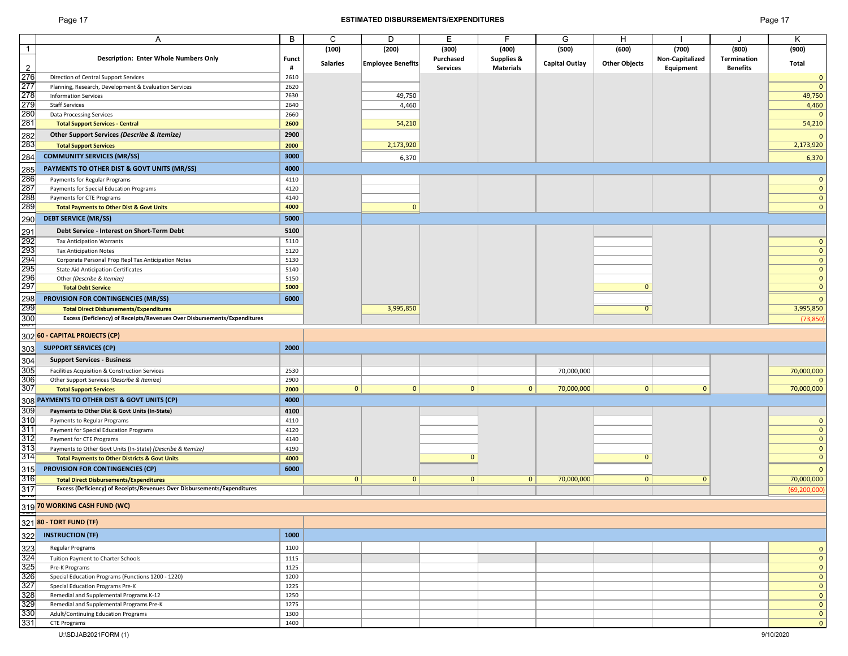## Page 17 **ESTIMATED DISBURSEMENTS/EXPENDITURES** Page 17

|                                               | Α                                                                        | В     | С               | D                 | E               | F                     | G                     | H                    |                 |                 | Κ              |
|-----------------------------------------------|--------------------------------------------------------------------------|-------|-----------------|-------------------|-----------------|-----------------------|-----------------------|----------------------|-----------------|-----------------|----------------|
| $\overline{1}$                                |                                                                          |       | (100)           | (200)             | (300)           | (400)                 | (500)                 | (600)                | (700)           | (800)           | (900)          |
|                                               | <b>Description: Enter Whole Numbers Only</b>                             | Funct |                 |                   | Purchased       | <b>Supplies &amp;</b> |                       |                      | Non-Capitalized | Termination     |                |
|                                               |                                                                          |       | <b>Salaries</b> | Employee Benefits |                 |                       | <b>Capital Outlay</b> | <b>Other Objects</b> |                 |                 | Total          |
| $\overline{2}$                                |                                                                          | #     |                 |                   | <b>Services</b> | <b>Materials</b>      |                       |                      | Equipment       | <b>Benefits</b> |                |
|                                               | Direction of Central Support Services                                    | 2610  |                 |                   |                 |                       |                       |                      |                 |                 | $\mathbf{0}$   |
|                                               | Planning, Research, Development & Evaluation Services                    | 2620  |                 |                   |                 |                       |                       |                      |                 |                 | $\mathbf{0}$   |
|                                               | <b>Information Services</b>                                              | 2630  |                 | 49,750            |                 |                       |                       |                      |                 |                 | 49,750         |
| $\frac{276}{277}$<br>$\frac{277}{278}$        | <b>Staff Services</b>                                                    | 2640  |                 | 4,460             |                 |                       |                       |                      |                 |                 | 4,460          |
|                                               | <b>Data Processing Services</b>                                          | 2660  |                 |                   |                 |                       |                       |                      |                 |                 | $\mathbf{0}$   |
| $\frac{280}{281}$                             |                                                                          |       |                 |                   |                 |                       |                       |                      |                 |                 |                |
|                                               | <b>Total Support Services - Central</b>                                  | 2600  |                 | 54,210            |                 |                       |                       |                      |                 |                 | 54,210         |
|                                               | Other Support Services (Describe & Itemize)                              | 2900  |                 |                   |                 |                       |                       |                      |                 |                 | $\Omega$       |
| 282<br>283                                    | <b>Total Support Services</b>                                            | 2000  |                 | 2,173,920         |                 |                       |                       |                      |                 |                 | 2,173,920      |
|                                               |                                                                          |       |                 |                   |                 |                       |                       |                      |                 |                 |                |
| 284                                           | <b>COMMUNITY SERVICES (MR/SS)</b>                                        | 3000  |                 | 6,370             |                 |                       |                       |                      |                 |                 | 6,370          |
| 285                                           | PAYMENTS TO OTHER DIST & GOVT UNITS (MR/SS)                              | 4000  |                 |                   |                 |                       |                       |                      |                 |                 |                |
|                                               |                                                                          |       |                 |                   |                 |                       |                       |                      |                 |                 |                |
| 286<br>287                                    | Payments for Regular Programs                                            | 4110  |                 |                   |                 |                       |                       |                      |                 |                 | $\mathbf{0}$   |
|                                               | Payments for Special Education Programs                                  | 4120  |                 |                   |                 |                       |                       |                      |                 |                 | $\mathbf{0}$   |
|                                               | Payments for CTE Programs                                                | 4140  |                 |                   |                 |                       |                       |                      |                 |                 | $\mathbf{0}$   |
| 288<br>289                                    | <b>Total Payments to Other Dist &amp; Govt Units</b>                     | 4000  |                 | $\mathbf{0}$      |                 |                       |                       |                      |                 |                 | $\mathbf{0}$   |
|                                               | <b>DEBT SERVICE (MR/SS)</b>                                              | 5000  |                 |                   |                 |                       |                       |                      |                 |                 |                |
| 290                                           |                                                                          |       |                 |                   |                 |                       |                       |                      |                 |                 |                |
|                                               | Debt Service - Interest on Short-Term Debt                               | 5100  |                 |                   |                 |                       |                       |                      |                 |                 |                |
| 291<br>292<br>293<br>294<br>295<br>296<br>297 | <b>Tax Anticipation Warrants</b>                                         | 5110  |                 |                   |                 |                       |                       |                      |                 |                 | $\mathbf{0}$   |
|                                               |                                                                          | 5120  |                 |                   |                 |                       |                       |                      |                 |                 | $\mathbf{0}$   |
|                                               | <b>Tax Anticipation Notes</b>                                            |       |                 |                   |                 |                       |                       |                      |                 |                 |                |
|                                               | Corporate Personal Prop Repl Tax Anticipation Notes                      | 5130  |                 |                   |                 |                       |                       |                      |                 |                 | $\mathbf{0}$   |
|                                               | <b>State Aid Anticipation Certificates</b>                               | 5140  |                 |                   |                 |                       |                       |                      |                 |                 | $\mathbf{0}$   |
|                                               | Other (Describe & Itemize)                                               | 5150  |                 |                   |                 |                       |                       |                      |                 |                 | $\mathbf{0}$   |
|                                               | <b>Total Debt Service</b>                                                | 5000  |                 |                   |                 |                       |                       | $\mathbf{0}$         |                 |                 | $\mathbf{0}$   |
|                                               | <b>PROVISION FOR CONTINGENCIES (MR/SS)</b>                               | 6000  |                 |                   |                 |                       |                       |                      |                 |                 | $\mathbf{0}$   |
| 298<br>299                                    |                                                                          |       |                 |                   |                 |                       |                       |                      |                 |                 |                |
|                                               | <b>Total Direct Disbursements/Expenditures</b>                           |       |                 | 3,995,850         |                 |                       |                       | $\overline{0}$       |                 |                 | 3,995,850      |
| $\frac{300}{201}$                             | Excess (Deficiency) of Receipts/Revenues Over Disbursements/Expenditures |       |                 |                   |                 |                       |                       |                      |                 |                 | (73, 850)      |
|                                               |                                                                          |       |                 |                   |                 |                       |                       |                      |                 |                 |                |
|                                               | 302 60 - CAPITAL PROJECTS (CP)                                           |       |                 |                   |                 |                       |                       |                      |                 |                 |                |
|                                               | <b>SUPPORT SERVICES (CP)</b>                                             | 2000  |                 |                   |                 |                       |                       |                      |                 |                 |                |
| 303                                           |                                                                          |       |                 |                   |                 |                       |                       |                      |                 |                 |                |
|                                               | <b>Support Services - Business</b>                                       |       |                 |                   |                 |                       |                       |                      |                 |                 |                |
|                                               | Facilities Acquisition & Construction Services                           | 2530  |                 |                   |                 |                       | 70,000,000            |                      |                 |                 | 70,000,000     |
|                                               |                                                                          |       |                 |                   |                 |                       |                       |                      |                 |                 | $\Omega$       |
| $\frac{304}{305}$ $\frac{306}{307}$           | Other Support Services (Describe & Itemize)                              | 2900  |                 |                   |                 |                       |                       |                      |                 |                 |                |
|                                               | <b>Total Support Services</b>                                            | 2000  | 0               | $\mathbf{0}$      | $\mathbf{0}$    | $\mathbf{0}$          | 70,000,000            | 0                    | $\mathbf{0}$    |                 | 70,000,000     |
|                                               | 308 PAYMENTS TO OTHER DIST & GOVT UNITS (CP)                             | 4000  |                 |                   |                 |                       |                       |                      |                 |                 |                |
| 309                                           | Payments to Other Dist & Govt Units (In-State)                           | 4100  |                 |                   |                 |                       |                       |                      |                 |                 |                |
|                                               |                                                                          |       |                 |                   |                 |                       |                       |                      |                 |                 |                |
| $\frac{310}{311}$                             | Payments to Regular Programs                                             | 4110  |                 |                   |                 |                       |                       |                      |                 |                 | $\mathbf{0}$   |
|                                               | Payment for Special Education Programs                                   | 4120  |                 |                   |                 |                       |                       |                      |                 |                 | $\mathbf{0}$   |
|                                               | Payment for CTE Programs                                                 | 4140  |                 |                   |                 |                       |                       |                      |                 |                 | $\mathbf{0}$   |
|                                               | Payments to Other Govt Units (In-State) (Describe & Itemize)             | 4190  |                 |                   |                 |                       |                       |                      |                 |                 | $\mathbf{0}$   |
| $\frac{312}{313}$<br>$\frac{313}{314}$        | <b>Total Payments to Other Districts &amp; Govt Units</b>                | 4000  |                 |                   | $\mathbf{0}$    |                       |                       | $\mathbf{0}$         |                 |                 | $\overline{0}$ |
|                                               |                                                                          |       |                 |                   |                 |                       |                       |                      |                 |                 |                |
| 315                                           | <b>PROVISION FOR CONTINGENCIES (CP)</b>                                  | 6000  |                 |                   |                 |                       |                       |                      |                 |                 | $\mathbf{0}$   |
| 316                                           | <b>Total Direct Disbursements/Expenditures</b>                           |       | 0               | $\mathbf{0}$      | $\mathbf{0}$    | $\mathbf{0}$          | 70,000,000            | $\overline{0}$       | $\mathbf{0}$    |                 | 70,000,000     |
| $\frac{317}{10}$                              | Excess (Deficiency) of Receipts/Revenues Over Disbursements/Expenditures |       |                 |                   |                 |                       |                       |                      |                 |                 | (69, 200, 000) |
|                                               |                                                                          |       |                 |                   |                 |                       |                       |                      |                 |                 |                |
|                                               | 319 70 WORKING CASH FUND (WC)                                            |       |                 |                   |                 |                       |                       |                      |                 |                 |                |
| $rac{1}{\cdot}$                               |                                                                          |       |                 |                   |                 |                       |                       |                      |                 |                 |                |
|                                               | 321 80 - TORT FUND (TF)                                                  |       |                 |                   |                 |                       |                       |                      |                 |                 |                |
|                                               |                                                                          |       |                 |                   |                 |                       |                       |                      |                 |                 |                |
| 322                                           | <b>INSTRUCTION (TF)</b>                                                  | 1000  |                 |                   |                 |                       |                       |                      |                 |                 |                |
|                                               | Regular Programs                                                         | 1100  |                 |                   |                 |                       |                       |                      |                 |                 | $\mathbf{0}$   |
|                                               |                                                                          | 1115  |                 |                   |                 |                       |                       |                      |                 |                 | $\mathbf{0}$   |
|                                               | Tuition Payment to Charter Schools                                       |       |                 |                   |                 |                       |                       |                      |                 |                 |                |
|                                               | Pre-K Programs                                                           | 1125  |                 |                   |                 |                       |                       |                      |                 |                 | $\mathbf{0}$   |
|                                               | Special Education Programs (Functions 1200 - 1220)                       | 1200  |                 |                   |                 |                       |                       |                      |                 |                 | $\mathbf{0}$   |
| 323<br>324<br>325<br>326<br>327<br>328<br>329 | Special Education Programs Pre-K                                         | 1225  |                 |                   |                 |                       |                       |                      |                 |                 | $\mathbf{0}$   |
|                                               | Remedial and Supplemental Programs K-12                                  | 1250  |                 |                   |                 |                       |                       |                      |                 |                 | $\mathbf{0}$   |
|                                               | Remedial and Supplemental Programs Pre-K                                 | 1275  |                 |                   |                 |                       |                       |                      |                 |                 | $\mathbf{0}$   |
|                                               | Adult/Continuing Education Programs                                      | 1300  |                 |                   |                 |                       |                       |                      |                 |                 | $\mathbf{0}$   |
| $\frac{1}{330}$<br>$\frac{330}{331}$          |                                                                          |       |                 |                   |                 |                       |                       |                      |                 |                 |                |
|                                               | <b>CTE Programs</b>                                                      | 1400  |                 |                   |                 |                       |                       |                      |                 |                 | $\mathbf{0}$   |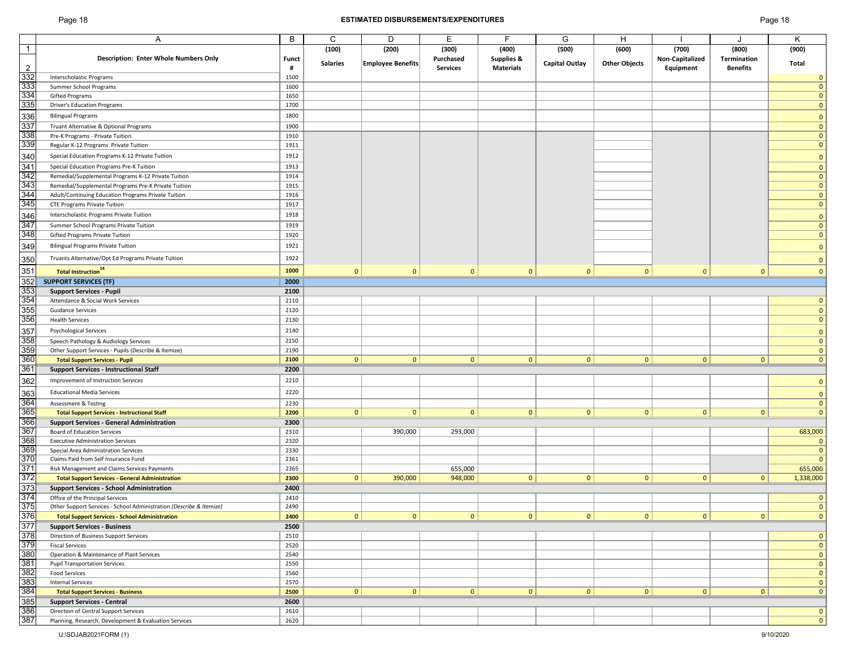## Page 18 **ESTIMATED DISBURSEMENTS/EXPENDITURES** Page 18

|                                                                    |                                                                     | B            |                 | D                        | E               | F                |                       |                      |                 |                 |              |
|--------------------------------------------------------------------|---------------------------------------------------------------------|--------------|-----------------|--------------------------|-----------------|------------------|-----------------------|----------------------|-----------------|-----------------|--------------|
|                                                                    | Α                                                                   |              | C               |                          |                 |                  | G                     | н                    |                 | $\cdot$         | Κ            |
| $\overline{1}$                                                     |                                                                     |              | (100)           | (200)                    | (300)           | (400)            | (500)                 | (600)                | (700)           | (800)           | (900)        |
|                                                                    | <b>Description: Enter Whole Numbers Only</b>                        | <b>Funct</b> |                 |                          | Purchased       | Supplies &       |                       |                      | Non-Capitalized | Termination     |              |
| $\overline{2}$                                                     |                                                                     | #            | <b>Salaries</b> | <b>Employee Benefits</b> | <b>Services</b> | <b>Materials</b> | <b>Capital Outlay</b> | <b>Other Objects</b> | Equipment       | <b>Benefits</b> | Total        |
| 332                                                                | <b>Interscholastic Programs</b>                                     | 1500         |                 |                          |                 |                  |                       |                      |                 |                 | 0            |
|                                                                    | Summer School Programs                                              | 1600         |                 |                          |                 |                  |                       |                      |                 |                 | $\mathbf{0}$ |
| 333<br>334                                                         | Gifted Programs                                                     | 1650         |                 |                          |                 |                  |                       |                      |                 |                 | $\mathbf{0}$ |
| 335                                                                | <b>Driver's Education Programs</b>                                  | 1700         |                 |                          |                 |                  |                       |                      |                 |                 | $\mathbf{0}$ |
|                                                                    |                                                                     |              |                 |                          |                 |                  |                       |                      |                 |                 |              |
| 336                                                                | <b>Bilingual Programs</b>                                           | 1800         |                 |                          |                 |                  |                       |                      |                 |                 | $\mathbf 0$  |
| 337                                                                | Truant Alternative & Optional Programs                              | 1900         |                 |                          |                 |                  |                       |                      |                 |                 | $\mathbf{0}$ |
| 338                                                                | Pre-K Programs - Private Tuition                                    | 1910         |                 |                          |                 |                  |                       |                      |                 |                 | $\mathbf{0}$ |
| 339                                                                | Regular K-12 Programs Private Tuition                               | 1911         |                 |                          |                 |                  |                       |                      |                 |                 | $\mathbf{0}$ |
|                                                                    | Special Education Programs K-12 Private Tuition                     | 1912         |                 |                          |                 |                  |                       |                      |                 |                 | $\mathbf{0}$ |
|                                                                    |                                                                     |              |                 |                          |                 |                  |                       |                      |                 |                 |              |
| 340<br>341<br>342<br>343                                           | Special Education Programs Pre-K Tuition                            | 1913         |                 |                          |                 |                  |                       |                      |                 |                 | $\mathbf{0}$ |
|                                                                    | Remedial/Supplemental Programs K-12 Private Tuition                 | 1914         |                 |                          |                 |                  |                       |                      |                 |                 | $\mathbf{0}$ |
|                                                                    | Remedial/Supplemental Programs Pre-K Private Tuition                | 1915         |                 |                          |                 |                  |                       |                      |                 |                 | $\mathbf{0}$ |
| 344                                                                | Adult/Continuing Education Programs Private Tuition                 | 1916         |                 |                          |                 |                  |                       |                      |                 |                 | $\mathbf{0}$ |
| 345                                                                | <b>CTE Programs Private Tuition</b>                                 | 1917         |                 |                          |                 |                  |                       |                      |                 |                 | $\mathbf{0}$ |
|                                                                    | Interscholastic Programs Private Tuition                            | 1918         |                 |                          |                 |                  |                       |                      |                 |                 | $\Omega$     |
| $\frac{346}{347}$                                                  | Summer School Programs Private Tuition                              | 1919         |                 |                          |                 |                  |                       |                      |                 |                 | $\mathbf{0}$ |
| 348                                                                | Gifted Programs Private Tuition                                     | 1920         |                 |                          |                 |                  |                       |                      |                 |                 | $\mathbf{0}$ |
|                                                                    |                                                                     |              |                 |                          |                 |                  |                       |                      |                 |                 |              |
| 349                                                                | <b>Bilingual Programs Private Tuition</b>                           | 1921         |                 |                          |                 |                  |                       |                      |                 |                 | $\mathbf{0}$ |
|                                                                    | Truants Alternative/Opt Ed Programs Private Tuition                 | 1922         |                 |                          |                 |                  |                       |                      |                 |                 | $\mathbf{0}$ |
| 350<br>351                                                         | <b>Total Instruction</b> <sup>14</sup>                              | 1000         | $\mathbf{0}$    | $\mathbf{0}$             | $\mathbf{0}$    | $\mathbf{0}$     | $\mathbf{0}$          | $\mathbf{0}$         | $\mathbf{0}$    | $\mathbf{0}$    | $\mathbf{0}$ |
| 352                                                                |                                                                     |              |                 |                          |                 |                  |                       |                      |                 |                 |              |
|                                                                    | <b>SUPPORT SERVICES (TF)</b>                                        | 2000         |                 |                          |                 |                  |                       |                      |                 |                 |              |
| 353                                                                | <b>Support Services - Pupil</b>                                     | 2100         |                 |                          |                 |                  |                       |                      |                 |                 |              |
| $\frac{354}{355}$                                                  | Attendance & Social Work Services                                   | 2110         |                 |                          |                 |                  |                       |                      |                 |                 | $\mathbf{0}$ |
|                                                                    | <b>Guidance Services</b>                                            | 2120         |                 |                          |                 |                  |                       |                      |                 |                 | $\mathbf{0}$ |
| 356                                                                | <b>Health Services</b>                                              | 2130         |                 |                          |                 |                  |                       |                      |                 |                 | $\mathbf{0}$ |
| 357                                                                | <b>Psychological Services</b>                                       | 2140         |                 |                          |                 |                  |                       |                      |                 |                 | $\Omega$     |
| 358                                                                | Speech Pathology & Audiology Services                               | 2150         |                 |                          |                 |                  |                       |                      |                 |                 | $\Omega$     |
| 359                                                                | Other Support Services - Pupils (Describe & Itemize)                | 2190         |                 |                          |                 |                  |                       |                      |                 |                 | $\mathbf{0}$ |
| 360                                                                |                                                                     | 2100         | $\mathbf{0}$    | $\mathbf{0}$             | $\overline{0}$  | $\mathbf{0}$     | 0                     | $\mathbf{0}$         | $\mathbf{0}$    | $\mathbf{0}$    | $\mathbf{0}$ |
|                                                                    | <b>Total Support Services - Pupil</b>                               |              |                 |                          |                 |                  |                       |                      |                 |                 |              |
| 361                                                                | <b>Support Services - Instructional Staff</b>                       | 2200         |                 |                          |                 |                  |                       |                      |                 |                 |              |
| 362                                                                | Improvement of Instruction Services                                 | 2210         |                 |                          |                 |                  |                       |                      |                 |                 | $\mathbf{0}$ |
| 363                                                                | <b>Educational Media Services</b>                                   | 2220         |                 |                          |                 |                  |                       |                      |                 |                 | $\mathbf{0}$ |
|                                                                    | <b>Assessment &amp; Testing</b>                                     | 2230         |                 |                          |                 |                  |                       |                      |                 |                 | $\mathbf 0$  |
|                                                                    | <b>Total Support Services - Instructional Staff</b>                 | 2200         | 0               | $\mathbf{0}$             | $\mathbf{0}$    | $\mathbf{0}$     | 0                     | 0                    | $\mathbf{0}$    | $\mathbf{0}$    | $\mathbf{0}$ |
|                                                                    |                                                                     | 2300         |                 |                          |                 |                  |                       |                      |                 |                 |              |
|                                                                    | <b>Support Services - General Administration</b>                    |              |                 |                          |                 |                  |                       |                      |                 |                 |              |
| 364<br>365<br>366<br>367<br>368                                    | <b>Board of Education Services</b>                                  | 2310         |                 | 390,000                  | 293,000         |                  |                       |                      |                 |                 | 683,000      |
|                                                                    | <b>Executive Administration Services</b>                            | 2320         |                 |                          |                 |                  |                       |                      |                 |                 | $\mathbf 0$  |
| 369                                                                | Special Area Administration Services                                | 2330         |                 |                          |                 |                  |                       |                      |                 |                 | $\mathbf 0$  |
|                                                                    | Claims Paid from Self Insurance Fund                                | 2361         |                 |                          |                 |                  |                       |                      |                 |                 | $\mathbf{0}$ |
| $\frac{370}{371}$<br>$\frac{371}{372}$                             | Risk Management and Claims Services Payments                        | 2365         |                 |                          | 655,000         |                  |                       |                      |                 |                 | 655,000      |
|                                                                    | <b>Total Support Services - General Administration</b>              | 2300         | $\mathbf{0}$    | 390,000                  | 948,000         | 0                | 0                     | $\mathbf{0}$         | $\mathbf{0}$    | $\mathbf{0}$    | 1,338,000    |
| $\frac{373}{374}$                                                  | <b>Support Services - School Administration</b>                     | 2400         |                 |                          |                 |                  |                       |                      |                 |                 |              |
|                                                                    | Office of the Principal Services                                    | 2410         |                 |                          |                 |                  |                       |                      |                 |                 | $\mathbf 0$  |
| 375                                                                | Other Support Services - School Administration (Describe & Itemize) | 2490         |                 |                          |                 |                  |                       |                      |                 |                 | $\mathbf{0}$ |
|                                                                    | <b>Total Support Services - School Administration</b>               | 2400         | 0               | 0                        | 0               | $\overline{0}$   | 0                     | 0                    | 0               | 0               | $\pmb{0}$    |
| 376<br>377<br>378<br>379<br>380<br>381<br>382<br>383<br>383<br>384 | <b>Support Services - Business</b>                                  | 2500         |                 |                          |                 |                  |                       |                      |                 |                 |              |
|                                                                    | Direction of Business Support Services                              | 2510         |                 |                          |                 |                  |                       |                      |                 |                 | $\mathbf{0}$ |
|                                                                    | <b>Fiscal Services</b>                                              | 2520         |                 |                          |                 |                  |                       |                      |                 |                 | $\mathbf 0$  |
|                                                                    | Operation & Maintenance of Plant Services                           | 2540         |                 |                          |                 |                  |                       |                      |                 |                 | $\mathbf 0$  |
|                                                                    |                                                                     |              |                 |                          |                 |                  |                       |                      |                 |                 |              |
|                                                                    | <b>Pupil Transportation Services</b>                                | 2550         |                 |                          |                 |                  |                       |                      |                 |                 | $\mathbf 0$  |
|                                                                    | <b>Food Services</b>                                                | 2560         |                 |                          |                 |                  |                       |                      |                 |                 | $\mathbf 0$  |
|                                                                    | <b>Internal Services</b>                                            | 2570         |                 |                          |                 |                  |                       |                      |                 |                 | $\mathbf{0}$ |
|                                                                    | <b>Total Support Services - Business</b>                            | 2500         | 0               | $\mathbf{0}$             | 0               | $\mathbf{0}$     | 0                     | 0                    | $\mathbf{0}$    | $\mathbf{0}$    | $\mathbf 0$  |
| 385<br>386                                                         | <b>Support Services - Central</b>                                   | 2600         |                 |                          |                 |                  |                       |                      |                 |                 |              |
|                                                                    | Direction of Central Support Services                               | 2610         |                 |                          |                 |                  |                       |                      |                 |                 | $\mathbf{0}$ |
| 387                                                                | Planning, Research, Development & Evaluation Services               | 2620         |                 |                          |                 |                  |                       |                      |                 |                 | $\mathbf{0}$ |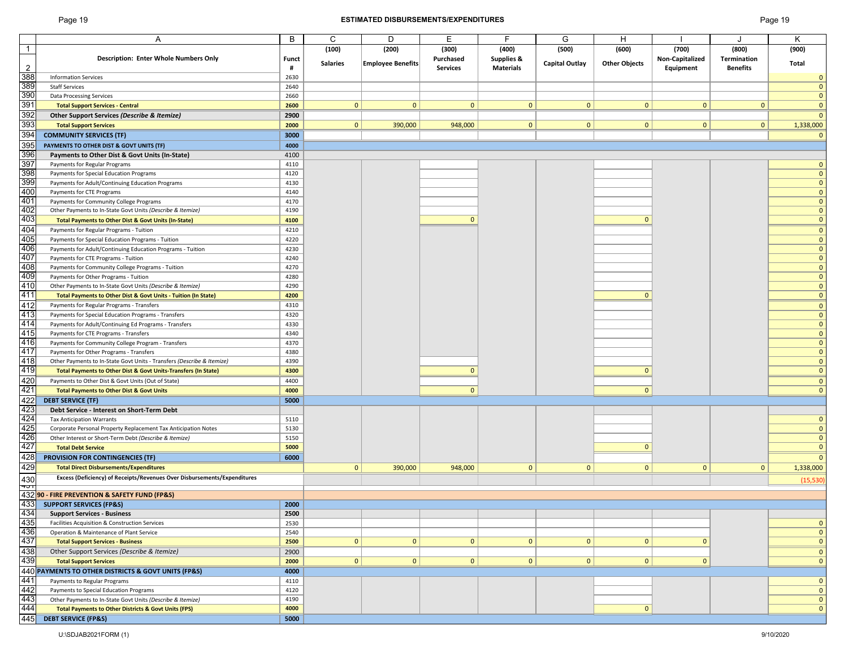## Page 19 **ESTIMATED DISBURSEMENTS/EXPENDITURES** Page 19

|                                                                           | A                                                                                                                                                                                                                                                                         | B            | C               | D                        | E.              | F                | G                     | н                    |                 |                 | K            |
|---------------------------------------------------------------------------|---------------------------------------------------------------------------------------------------------------------------------------------------------------------------------------------------------------------------------------------------------------------------|--------------|-----------------|--------------------------|-----------------|------------------|-----------------------|----------------------|-----------------|-----------------|--------------|
| $\vert$ 1                                                                 |                                                                                                                                                                                                                                                                           |              | (100)           | (200)                    | (300)           | (400)            | (500)                 | (600)                | (700)           | (800)           | (900)        |
|                                                                           | <b>Description: Enter Whole Numbers Only</b>                                                                                                                                                                                                                              | <b>Funct</b> |                 |                          | Purchased       | Supplies &       |                       |                      | Non-Capitalized | Termination     |              |
|                                                                           |                                                                                                                                                                                                                                                                           |              | <b>Salaries</b> | <b>Employee Benefits</b> |                 |                  | <b>Capital Outlay</b> | <b>Other Objects</b> |                 |                 | Total        |
| $\overline{2}$                                                            |                                                                                                                                                                                                                                                                           | #            |                 |                          | <b>Services</b> | <b>Materials</b> |                       |                      | Equipment       | <b>Benefits</b> |              |
|                                                                           | <b>Information Services</b>                                                                                                                                                                                                                                               | 2630         |                 |                          |                 |                  |                       |                      |                 |                 | $\mathbf{0}$ |
|                                                                           | <b>Staff Services</b>                                                                                                                                                                                                                                                     | 2640         |                 |                          |                 |                  |                       |                      |                 |                 | $\mathbf{0}$ |
|                                                                           | <b>Data Processing Services</b>                                                                                                                                                                                                                                           | 2660         |                 |                          |                 |                  |                       |                      |                 |                 | $\mathbf{0}$ |
|                                                                           | <b>Total Support Services - Central</b>                                                                                                                                                                                                                                   | 2600         | $\mathbf{0}$    | $\mathbf{0}$             | $\mathbf{0}$    | $\mathbf{0}$     | $\mathbf{0}$          | $\mathbf{0}$         | $\mathbf{0}$    | $\mathbf{0}$    | $\mathbf{0}$ |
|                                                                           |                                                                                                                                                                                                                                                                           |              |                 |                          |                 |                  |                       |                      |                 |                 |              |
|                                                                           | Other Support Services (Describe & Itemize)                                                                                                                                                                                                                               | 2900         |                 |                          |                 |                  |                       |                      |                 |                 | $\mathbf{0}$ |
|                                                                           | <b>Total Support Services</b>                                                                                                                                                                                                                                             | 2000         | 0               | 390,000                  | 948,000         | $\mathbf 0$      | 0                     | $\mathbf{0}$         | $\mathbf{0}$    | $\overline{0}$  | 1,338,000    |
|                                                                           | <b>COMMUNITY SERVICES (TF)</b>                                                                                                                                                                                                                                            | 3000         |                 |                          |                 |                  |                       |                      |                 |                 | $\mathbf{0}$ |
| 388<br>389<br>390<br>391<br>392<br>393<br>395<br>396<br>397<br>397<br>398 | PAYMENTS TO OTHER DIST & GOVT UNITS (TF)                                                                                                                                                                                                                                  | 4000         |                 |                          |                 |                  |                       |                      |                 |                 |              |
|                                                                           |                                                                                                                                                                                                                                                                           |              |                 |                          |                 |                  |                       |                      |                 |                 |              |
|                                                                           | Payments to Other Dist & Govt Units (In-State)                                                                                                                                                                                                                            | 4100         |                 |                          |                 |                  |                       |                      |                 |                 |              |
|                                                                           | Payments for Regular Programs                                                                                                                                                                                                                                             | 4110         |                 |                          |                 |                  |                       |                      |                 |                 | $\mathbf{0}$ |
|                                                                           | Payments for Special Education Programs                                                                                                                                                                                                                                   | 4120         |                 |                          |                 |                  |                       |                      |                 |                 | $\mathbf{0}$ |
| 399<br>400                                                                | Payments for Adult/Continuing Education Programs                                                                                                                                                                                                                          | 4130         |                 |                          |                 |                  |                       |                      |                 |                 | $\mathbf{0}$ |
|                                                                           | Payments for CTE Programs                                                                                                                                                                                                                                                 | 4140         |                 |                          |                 |                  |                       |                      |                 |                 | $\mathbf{0}$ |
| 401                                                                       |                                                                                                                                                                                                                                                                           | 4170         |                 |                          |                 |                  |                       |                      |                 |                 |              |
|                                                                           | Payments for Community College Programs                                                                                                                                                                                                                                   |              |                 |                          |                 |                  |                       |                      |                 |                 | $\Omega$     |
| 402                                                                       | Other Payments to In-State Govt Units (Describe & Itemize)                                                                                                                                                                                                                | 4190         |                 |                          |                 |                  |                       |                      |                 |                 | $\mathbf{0}$ |
|                                                                           | <b>Total Payments to Other Dist &amp; Govt Units (In-State)</b>                                                                                                                                                                                                           | 4100         |                 |                          | $\Omega$        |                  |                       | $\Omega$             |                 |                 | $\mathbf{0}$ |
| 403<br>404                                                                | Payments for Regular Programs - Tuition                                                                                                                                                                                                                                   | 4210         |                 |                          |                 |                  |                       |                      |                 |                 | $\mathbf{0}$ |
| 405                                                                       | Payments for Special Education Programs - Tuition                                                                                                                                                                                                                         | 4220         |                 |                          |                 |                  |                       |                      |                 |                 | $\mathbf{0}$ |
|                                                                           |                                                                                                                                                                                                                                                                           |              |                 |                          |                 |                  |                       |                      |                 |                 |              |
| 406<br>407                                                                | Payments for Adult/Continuing Education Programs - Tuition                                                                                                                                                                                                                | 4230         |                 |                          |                 |                  |                       |                      |                 |                 | $\mathbf{0}$ |
|                                                                           | Payments for CTE Programs - Tuition                                                                                                                                                                                                                                       | 4240         |                 |                          |                 |                  |                       |                      |                 |                 | $\mathbf{0}$ |
| 408                                                                       | Payments for Community College Programs - Tuition                                                                                                                                                                                                                         | 4270         |                 |                          |                 |                  |                       |                      |                 |                 | $\mathbf{0}$ |
| 409                                                                       | Payments for Other Programs - Tuition                                                                                                                                                                                                                                     | 4280         |                 |                          |                 |                  |                       |                      |                 |                 | $\mathbf{0}$ |
| $\frac{410}{411}$                                                         | Other Payments to In-State Govt Units (Describe & Itemize)                                                                                                                                                                                                                | 4290         |                 |                          |                 |                  |                       |                      |                 |                 | $\mathbf{0}$ |
|                                                                           |                                                                                                                                                                                                                                                                           |              |                 |                          |                 |                  |                       | $\Omega$             |                 |                 | $\mathbf{0}$ |
|                                                                           | Total Payments to Other Dist & Govt Units - Tuition (In State)                                                                                                                                                                                                            | 4200         |                 |                          |                 |                  |                       |                      |                 |                 |              |
| $\frac{412}{413}$ $\frac{414}{415}$ $\frac{415}{416}$                     | Payments for Regular Programs - Transfers                                                                                                                                                                                                                                 | 4310         |                 |                          |                 |                  |                       |                      |                 |                 | $\mathbf{0}$ |
|                                                                           | Payments for Special Education Programs - Transfers                                                                                                                                                                                                                       | 4320         |                 |                          |                 |                  |                       |                      |                 |                 | $\mathbf{0}$ |
|                                                                           | Payments for Adult/Continuing Ed Programs - Transfers                                                                                                                                                                                                                     | 4330         |                 |                          |                 |                  |                       |                      |                 |                 | $\mathbf{0}$ |
|                                                                           | Payments for CTE Programs - Transfers                                                                                                                                                                                                                                     | 4340         |                 |                          |                 |                  |                       |                      |                 |                 | $\mathbf{0}$ |
|                                                                           |                                                                                                                                                                                                                                                                           |              |                 |                          |                 |                  |                       |                      |                 |                 |              |
|                                                                           | Payments for Community College Program - Transfers                                                                                                                                                                                                                        | 4370         |                 |                          |                 |                  |                       |                      |                 |                 | $\mathbf{0}$ |
|                                                                           | Payments for Other Programs - Transfers                                                                                                                                                                                                                                   | 4380         |                 |                          |                 |                  |                       |                      |                 |                 | $\mathbf{0}$ |
|                                                                           | Other Payments to In-State Govt Units - Transfers (Describe & Itemize)                                                                                                                                                                                                    | 4390         |                 |                          |                 |                  |                       |                      |                 |                 | $\mathbf{0}$ |
|                                                                           | Total Payments to Other Dist & Govt Units-Transfers (In State)                                                                                                                                                                                                            | 4300         |                 |                          | $\mathbf{0}$    |                  |                       | $\mathbf{0}$         |                 |                 | $\Omega$     |
| $\frac{117}{418}$<br>$\frac{418}{419}$<br>$\frac{420}{420}$               | Payments to Other Dist & Govt Units (Out of State)                                                                                                                                                                                                                        | 4400         |                 |                          |                 |                  |                       |                      |                 |                 |              |
|                                                                           |                                                                                                                                                                                                                                                                           |              |                 |                          |                 |                  |                       |                      |                 |                 | 0            |
|                                                                           | <b>Total Payments to Other Dist &amp; Govt Units</b>                                                                                                                                                                                                                      | 4000         |                 |                          | $\mathbf{0}$    |                  |                       | $\mathbf{0}$         |                 |                 | $\mathbf{0}$ |
| $\frac{421}{422}$                                                         | <b>DEBT SERVICE (TF)</b>                                                                                                                                                                                                                                                  | 5000         |                 |                          |                 |                  |                       |                      |                 |                 |              |
|                                                                           | Debt Service - Interest on Short-Term Debt                                                                                                                                                                                                                                |              |                 |                          |                 |                  |                       |                      |                 |                 |              |
| 423<br>424<br>425<br>426<br>427<br>428                                    | <b>Tax Anticipation Warrants</b>                                                                                                                                                                                                                                          | 5110         |                 |                          |                 |                  |                       |                      |                 |                 | $\mathbf{0}$ |
|                                                                           |                                                                                                                                                                                                                                                                           |              |                 |                          |                 |                  |                       |                      |                 |                 | $\mathbf{0}$ |
|                                                                           | Corporate Personal Property Replacement Tax Anticipation Notes                                                                                                                                                                                                            | 5130         |                 |                          |                 |                  |                       |                      |                 |                 |              |
|                                                                           | Other Interest or Short-Term Debt (Describe & Itemize)                                                                                                                                                                                                                    | 5150         |                 |                          |                 |                  |                       |                      |                 |                 | $\mathbf{0}$ |
|                                                                           | <b>Total Debt Service</b>                                                                                                                                                                                                                                                 | 5000         |                 |                          |                 |                  |                       | $\mathbf{0}$         |                 |                 | $\mathbf{0}$ |
|                                                                           | <b>PROVISION FOR CONTINGENCIES (TF)</b>                                                                                                                                                                                                                                   | 6000         |                 |                          |                 |                  |                       |                      |                 |                 | $\mathbf 0$  |
| 429                                                                       | <b>Total Direct Disbursements/Expenditures</b>                                                                                                                                                                                                                            |              | $\circ$         | 390,000                  | 948,000         | $\mathbf{0}$     | $\mathbf{0}$          | $\mathbf{0}$         | $\mathbf{0}$    | $\mathbf{0}$    | 1,338,000    |
|                                                                           |                                                                                                                                                                                                                                                                           |              |                 |                          |                 |                  |                       |                      |                 |                 |              |
|                                                                           | Excess (Deficiency) of Receipts/Revenues Over Disbursements/Expenditures                                                                                                                                                                                                  |              |                 |                          |                 |                  |                       |                      |                 |                 | (15, 530)    |
|                                                                           | Excess (Deficiency) of Receipts/Revenues Ove<br>432<br><b>432 90 - FIRE PREVENTION &amp; SAFETY FUND (FP&amp;S)</b>                                                                                                                                                       |              |                 |                          |                 |                  |                       |                      |                 |                 |              |
|                                                                           |                                                                                                                                                                                                                                                                           |              |                 |                          |                 |                  |                       |                      |                 |                 |              |
| 433                                                                       | <b>SUPPORT SERVICES (FP&amp;S)</b>                                                                                                                                                                                                                                        | 2000         |                 |                          |                 |                  |                       |                      |                 |                 |              |
|                                                                           |                                                                                                                                                                                                                                                                           | 2500         |                 |                          |                 |                  |                       |                      |                 |                 |              |
|                                                                           |                                                                                                                                                                                                                                                                           | 2530         |                 |                          |                 |                  |                       |                      |                 |                 | $\mathbf{0}$ |
|                                                                           |                                                                                                                                                                                                                                                                           |              |                 |                          |                 |                  |                       |                      |                 |                 |              |
|                                                                           |                                                                                                                                                                                                                                                                           | 2540         |                 |                          |                 |                  |                       |                      |                 |                 | $\mathbf{0}$ |
|                                                                           |                                                                                                                                                                                                                                                                           | 2500         | $\mathbf{0}$    | $\mathbf{0}$             | $\mathbf{0}$    | $\mathbf 0$      | $\mathbf{0}$          | $\mathbf{0}$         | $\mathbf 0$     |                 | $\mathbf 0$  |
|                                                                           |                                                                                                                                                                                                                                                                           | 2900         |                 |                          |                 |                  |                       |                      |                 |                 | $\mathbf 0$  |
|                                                                           |                                                                                                                                                                                                                                                                           | 2000         | $\mathbf{0}$    | $\mathbf{0}$             | $\mathbf{0}$    | $\mathbf{0}$     | $\mathbf{0}$          | $\mathbf{0}$         | $\mathbf{0}$    |                 | $\mathbf 0$  |
|                                                                           | <b>433 SUPPORT SERVICES (FP&amp;S)</b><br><b>434 Support Services - Business</b><br><b>436 Encilities Acquisition &amp; Construction Services</b><br><b>436 Operation &amp; Maintenance of Plant Service</b><br><b>437 Total Support Services - Business</b><br><b>43</b> |              |                 |                          |                 |                  |                       |                      |                 |                 |              |
|                                                                           |                                                                                                                                                                                                                                                                           | 4000         |                 |                          |                 |                  |                       |                      |                 |                 |              |
|                                                                           |                                                                                                                                                                                                                                                                           | 4110         |                 |                          |                 |                  |                       |                      |                 |                 | $\mathbf{0}$ |
|                                                                           |                                                                                                                                                                                                                                                                           | 4120         |                 |                          |                 |                  |                       |                      |                 |                 | $\mathbf 0$  |
|                                                                           |                                                                                                                                                                                                                                                                           | 4190         |                 |                          |                 |                  |                       |                      |                 |                 | $\mathbf{0}$ |
|                                                                           |                                                                                                                                                                                                                                                                           | 4000         |                 |                          |                 |                  |                       | $\mathbf{0}$         |                 |                 | $\mathbf{0}$ |
|                                                                           |                                                                                                                                                                                                                                                                           |              |                 |                          |                 |                  |                       |                      |                 |                 |              |
|                                                                           |                                                                                                                                                                                                                                                                           | 5000         |                 |                          |                 |                  |                       |                      |                 |                 |              |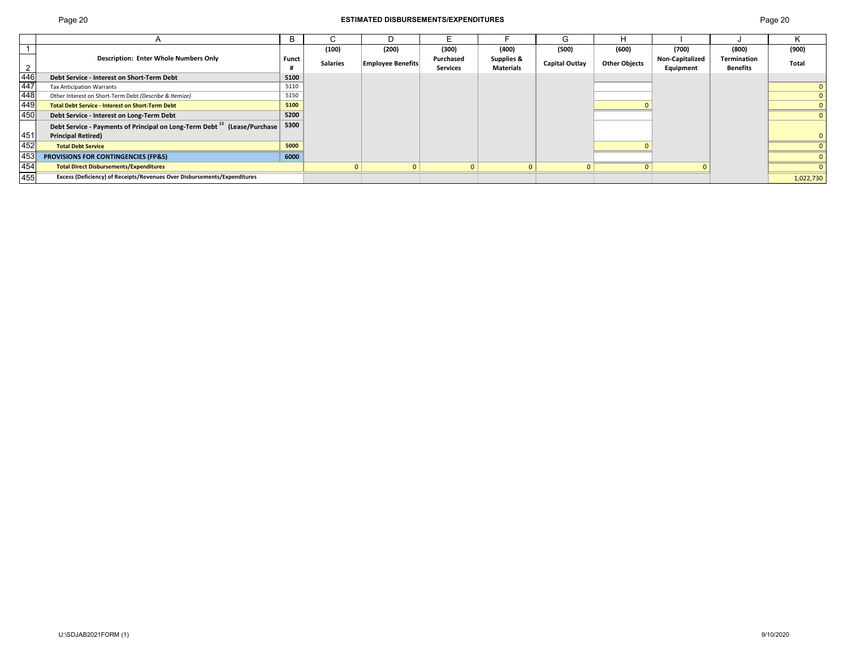## Page 20 **ESTIMATED DISBURSEMENTS/EXPENDITURES** Page 20

|                   |                                                                                      |       | (100)           | (200)                    | (300)           | (400)            | (500)          | (600)                | (700)                  | (800)       | (900)        |
|-------------------|--------------------------------------------------------------------------------------|-------|-----------------|--------------------------|-----------------|------------------|----------------|----------------------|------------------------|-------------|--------------|
|                   | <b>Description: Enter Whole Numbers Only</b>                                         | Funct | <b>Salaries</b> | <b>Employee Benefits</b> | Purchased       | Supplies &       | Capital Outlay | <b>Other Objects</b> | <b>Non-Capitalized</b> | Termination | <b>Total</b> |
| $\overline{2}$    |                                                                                      |       |                 |                          | <b>Services</b> | <b>Materials</b> |                |                      | Equipment              | Benefits    |              |
| $\overline{446}$  | Debt Service - Interest on Short-Term Debt                                           | 5100  |                 |                          |                 |                  |                |                      |                        |             |              |
| $\frac{447}{448}$ | <b>Tax Anticipation Warrants</b>                                                     | 5110  |                 |                          |                 |                  |                |                      |                        |             |              |
|                   | Other Interest on Short-Term Debt (Describe & Itemize)                               | 5150  |                 |                          |                 |                  |                |                      |                        |             |              |
| 449               | <b>Total Debt Service - Interest on Short-Term Debt</b>                              | 5100  |                 |                          |                 |                  |                |                      |                        |             |              |
| 450               | Debt Service - Interest on Long-Term Debt                                            | 5200  |                 |                          |                 |                  |                |                      |                        |             |              |
|                   | Debt Service - Payments of Principal on Long-Term Debt <sup>15</sup> (Lease/Purchase | 5300  |                 |                          |                 |                  |                |                      |                        |             |              |
| 451               | <b>Principal Retired)</b>                                                            |       |                 |                          |                 |                  |                |                      |                        |             |              |
| 452               | <b>Total Debt Service</b>                                                            | 5000  |                 |                          |                 |                  |                |                      |                        |             |              |
| 453               | <b>PROVISIONS FOR CONTINGENCIES (FP&amp;S)</b>                                       | 6000  |                 |                          |                 |                  |                |                      |                        |             |              |
| 454               | <b>Total Direct Disbursements/Expenditures</b>                                       |       |                 |                          |                 |                  |                |                      |                        |             |              |
| 455               | Excess (Deficiency) of Receipts/Revenues Over Disbursements/Expenditures             |       |                 |                          |                 |                  |                |                      |                        |             | 1,022,730    |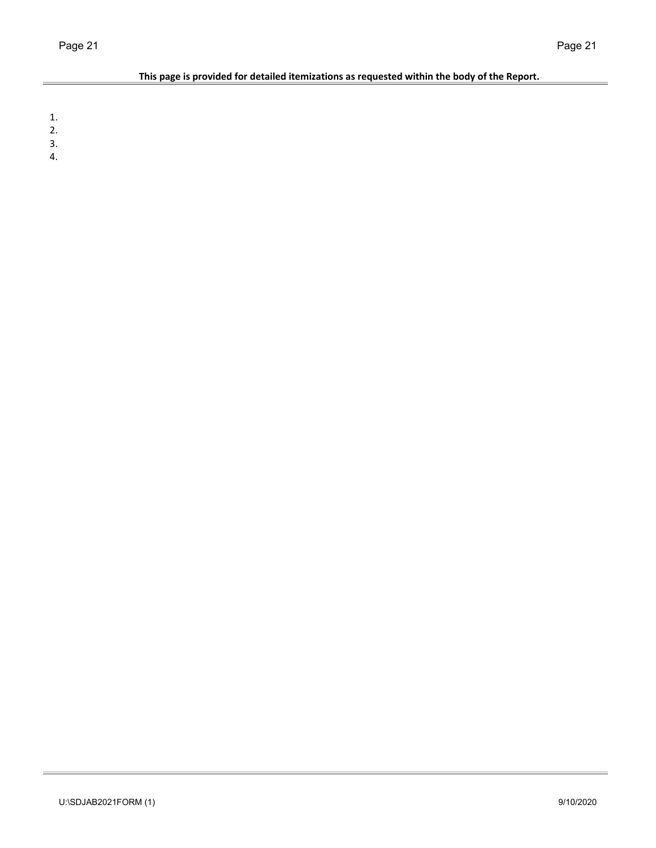L,

## **This page is provided for detailed itemizations as requested within the body of the Report.**

1.

- 2.
- 3.
- 4.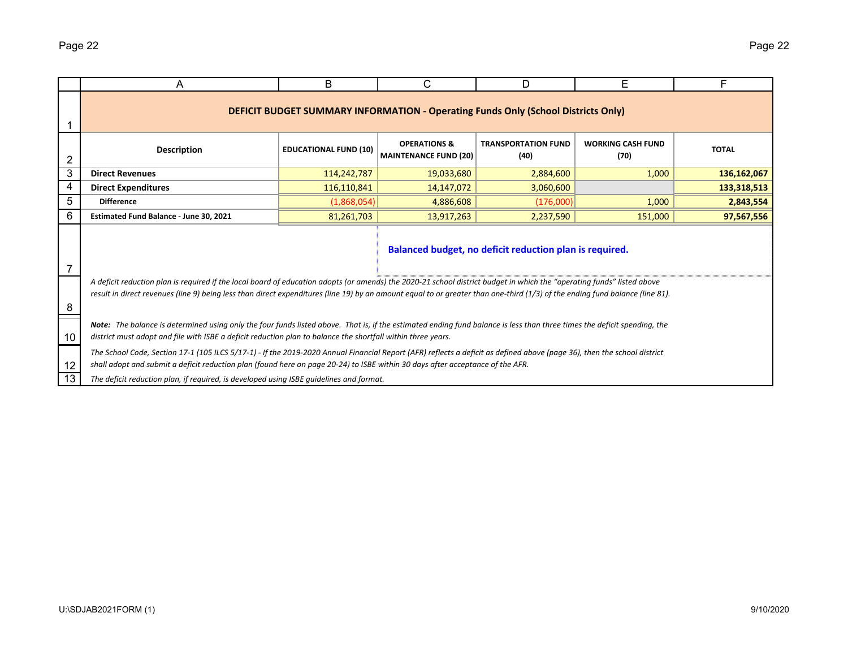|    | A                                                                                                                                                                                                                                                                                                                                                      | B                            | C                                                       | D                                                                                        | Е                                | F            |  |  |  |  |  |  |
|----|--------------------------------------------------------------------------------------------------------------------------------------------------------------------------------------------------------------------------------------------------------------------------------------------------------------------------------------------------------|------------------------------|---------------------------------------------------------|------------------------------------------------------------------------------------------|----------------------------------|--------------|--|--|--|--|--|--|
|    |                                                                                                                                                                                                                                                                                                                                                        |                              |                                                         | <b>DEFICIT BUDGET SUMMARY INFORMATION - Operating Funds Only (School Districts Only)</b> |                                  |              |  |  |  |  |  |  |
| 2  | <b>Description</b>                                                                                                                                                                                                                                                                                                                                     | <b>EDUCATIONAL FUND (10)</b> | <b>OPERATIONS &amp;</b><br><b>MAINTENANCE FUND (20)</b> | <b>TRANSPORTATION FUND</b><br>(40)                                                       | <b>WORKING CASH FUND</b><br>(70) | <b>TOTAL</b> |  |  |  |  |  |  |
| 3  | <b>Direct Revenues</b>                                                                                                                                                                                                                                                                                                                                 | 114,242,787                  | 19,033,680                                              | 2,884,600                                                                                | 1,000                            | 136,162,067  |  |  |  |  |  |  |
| 4  | <b>Direct Expenditures</b>                                                                                                                                                                                                                                                                                                                             | 116,110,841                  | 14,147,072                                              | 3,060,600                                                                                |                                  | 133,318,513  |  |  |  |  |  |  |
| 5  | <b>Difference</b>                                                                                                                                                                                                                                                                                                                                      | (1,868,054)                  | 4,886,608                                               | (176,000)                                                                                | 1,000                            | 2,843,554    |  |  |  |  |  |  |
| 6  | Estimated Fund Balance - June 30, 2021                                                                                                                                                                                                                                                                                                                 | 81,261,703                   | 13,917,263                                              | 2,237,590                                                                                | 151,000                          | 97,567,556   |  |  |  |  |  |  |
| 7  | Balanced budget, no deficit reduction plan is required.                                                                                                                                                                                                                                                                                                |                              |                                                         |                                                                                          |                                  |              |  |  |  |  |  |  |
| 8  | A deficit reduction plan is required if the local board of education adopts (or amends) the 2020-21 school district budget in which the "operating funds" listed above<br>result in direct revenues (line 9) being less than direct expenditures (line 19) by an amount equal to or greater than one-third (1/3) of the ending fund balance (line 81). |                              |                                                         |                                                                                          |                                  |              |  |  |  |  |  |  |
| 10 | Note: The balance is determined using only the four funds listed above. That is, if the estimated ending fund balance is less than three times the deficit spending, the<br>district must adopt and file with ISBE a deficit reduction plan to balance the shortfall within three years.                                                               |                              |                                                         |                                                                                          |                                  |              |  |  |  |  |  |  |
| 12 | The School Code, Section 17-1 (105 ILCS 5/17-1) - If the 2019-2020 Annual Financial Report (AFR) reflects a deficit as defined above (page 36), then the school district<br>shall adopt and submit a deficit reduction plan (found here on page 20-24) to ISBE within 30 days after acceptance of the AFR.                                             |                              |                                                         |                                                                                          |                                  |              |  |  |  |  |  |  |
| 13 | The deficit reduction plan, if required, is developed using ISBE quidelines and format.                                                                                                                                                                                                                                                                |                              |                                                         |                                                                                          |                                  |              |  |  |  |  |  |  |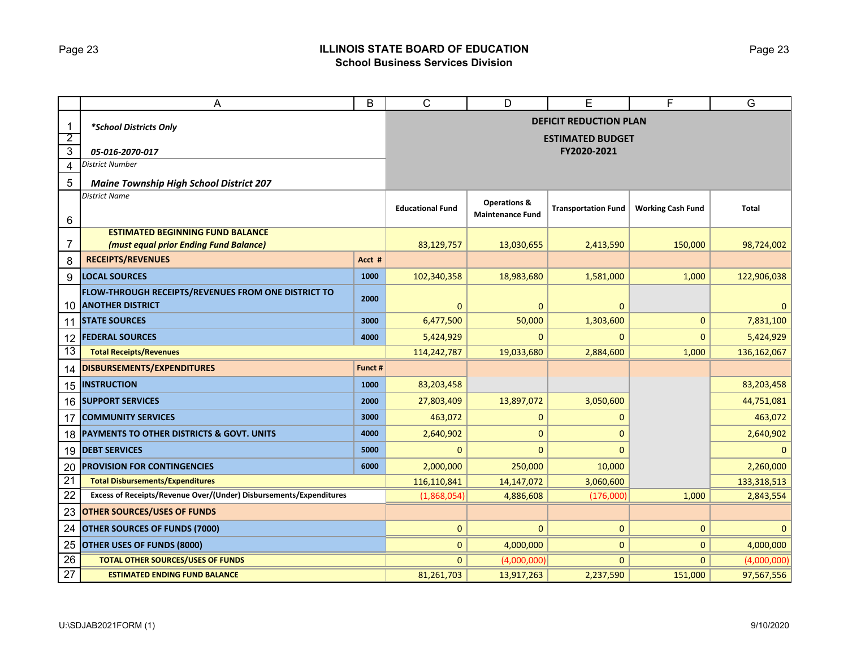## Page 23 **ILLINOIS STATE BOARD OF EDUCATION School Business Services Division**

|                 | A                                                                              | B       | C                       | D                       | Е                             | F                        | G            |
|-----------------|--------------------------------------------------------------------------------|---------|-------------------------|-------------------------|-------------------------------|--------------------------|--------------|
| $\mathbf{1}$    | *School Districts Only                                                         |         |                         |                         | <b>DEFICIT REDUCTION PLAN</b> |                          |              |
| $\overline{2}$  |                                                                                |         |                         |                         | <b>ESTIMATED BUDGET</b>       |                          |              |
| $\overline{3}$  | 05-016-2070-017                                                                |         |                         |                         | FY2020-2021                   |                          |              |
| $\overline{4}$  | <b>District Number</b>                                                         |         |                         |                         |                               |                          |              |
| 5               | <b>Maine Township High School District 207</b>                                 |         |                         |                         |                               |                          |              |
|                 | <b>District Name</b>                                                           |         | <b>Educational Fund</b> | <b>Operations &amp;</b> | <b>Transportation Fund</b>    | <b>Working Cash Fund</b> | Total        |
| 6               |                                                                                |         |                         | <b>Maintenance Fund</b> |                               |                          |              |
|                 | <b>ESTIMATED BEGINNING FUND BALANCE</b>                                        |         |                         |                         |                               |                          |              |
| 7               | (must equal prior Ending Fund Balance)                                         |         | 83,129,757              | 13,030,655              | 2,413,590                     | 150,000                  | 98,724,002   |
| 8               | <b>RECEIPTS/REVENUES</b>                                                       | Acct #  |                         |                         |                               |                          |              |
| 9               | <b>LOCAL SOURCES</b>                                                           | 1000    | 102,340,358             | 18,983,680              | 1,581,000                     | 1,000                    | 122,906,038  |
| 10              | FLOW-THROUGH RECEIPTS/REVENUES FROM ONE DISTRICT TO<br><b>ANOTHER DISTRICT</b> | 2000    | 0                       | $\mathbf{0}$            | $\mathbf{0}$                  |                          | $\mathbf{0}$ |
|                 | 11 STATE SOURCES                                                               | 3000    | 6,477,500               | 50,000                  | 1,303,600                     | $\mathbf{0}$             | 7,831,100    |
| 12              | <b>FEDERAL SOURCES</b>                                                         | 4000    | 5,424,929               | $\mathbf{0}$            | 0                             | 0                        | 5,424,929    |
| 13              | <b>Total Receipts/Revenues</b>                                                 |         | 114,242,787             | 19,033,680              | 2,884,600                     | 1,000                    | 136,162,067  |
| 14              | <b>DISBURSEMENTS/EXPENDITURES</b>                                              | Funct # |                         |                         |                               |                          |              |
|                 | <b>15 INSTRUCTION</b>                                                          | 1000    | 83,203,458              |                         |                               |                          | 83,203,458   |
|                 | <b>16 SUPPORT SERVICES</b>                                                     | 2000    | 27,803,409              | 13,897,072              | 3,050,600                     |                          | 44,751,081   |
| 17              | <b>COMMUNITY SERVICES</b>                                                      | 3000    | 463,072                 | $\mathbf{0}$            | 0                             |                          | 463,072      |
| 18              | PAYMENTS TO OTHER DISTRICTS & GOVT. UNITS                                      | 4000    | 2,640,902               | $\mathbf 0$             | 0                             |                          | 2,640,902    |
| 19              | <b>DEBT SERVICES</b>                                                           | 5000    | 0                       | 0                       | $\Omega$                      |                          | $\mathbf{0}$ |
| 20              | <b>PROVISION FOR CONTINGENCIES</b>                                             | 6000    | 2,000,000               | 250,000                 | 10,000                        |                          | 2,260,000    |
| $\overline{21}$ | <b>Total Disbursements/Expenditures</b>                                        |         | 116,110,841             | 14,147,072              | 3,060,600                     |                          | 133,318,513  |
| 22              | Excess of Receipts/Revenue Over/(Under) Disbursements/Expenditures             |         | (1,868,054)             | 4,886,608               | (176,000)                     | 1,000                    | 2,843,554    |
| 23              | <b>OTHER SOURCES/USES OF FUNDS</b>                                             |         |                         |                         |                               |                          |              |
| 24              | <b>OTHER SOURCES OF FUNDS (7000)</b>                                           |         | $\overline{0}$          | $\mathbf{0}$            | $\mathbf{0}$                  | $\mathbf{0}$             | $\mathbf{0}$ |
| 25              | <b>OTHER USES OF FUNDS (8000)</b>                                              |         | 0                       | 4,000,000               | 0                             | 0                        | 4,000,000    |
| 26              | <b>TOTAL OTHER SOURCES/USES OF FUNDS</b>                                       |         | $\mathbf{0}$            | (4,000,000)             | 0                             | $\Omega$                 | (4,000,000)  |
| 27              | <b>ESTIMATED ENDING FUND BALANCE</b>                                           |         | 81,261,703              | 13,917,263              | 2,237,590                     | 151,000                  | 97,567,556   |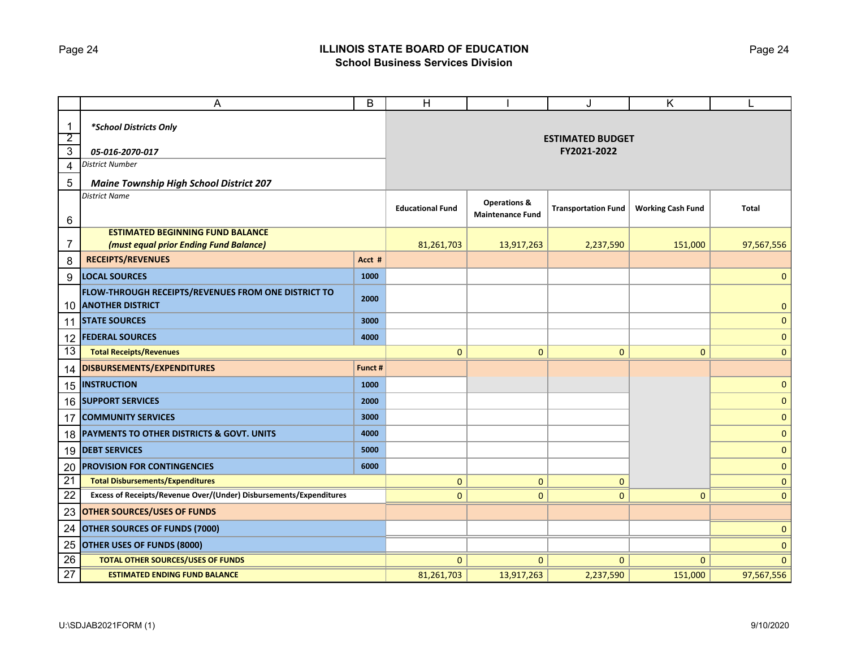## Page 24 **ILLINOIS STATE BOARD OF EDUCATION School Business Services Division**

|                 | A                                                                              | B       | H                       |                                                    | J                          | Κ                        |              |
|-----------------|--------------------------------------------------------------------------------|---------|-------------------------|----------------------------------------------------|----------------------------|--------------------------|--------------|
| $\mathbf{1}$    | *School Districts Only                                                         |         |                         |                                                    |                            |                          |              |
| $\overline{2}$  |                                                                                |         |                         | <b>ESTIMATED BUDGET</b>                            |                            |                          |              |
| $\overline{3}$  | 05-016-2070-017                                                                |         |                         | FY2021-2022                                        |                            |                          |              |
| 4               | <b>District Number</b>                                                         |         |                         |                                                    |                            |                          |              |
| 5               | <b>Maine Township High School District 207</b>                                 |         |                         |                                                    |                            |                          |              |
| 6               | <b>District Name</b>                                                           |         | <b>Educational Fund</b> | <b>Operations &amp;</b><br><b>Maintenance Fund</b> | <b>Transportation Fund</b> | <b>Working Cash Fund</b> | <b>Total</b> |
|                 | <b>ESTIMATED BEGINNING FUND BALANCE</b>                                        |         |                         |                                                    |                            |                          |              |
| 7               | (must equal prior Ending Fund Balance)                                         |         | 81,261,703              | 13,917,263                                         | 2,237,590                  | 151,000                  | 97,567,556   |
| 8               | <b>RECEIPTS/REVENUES</b>                                                       | Acct #  |                         |                                                    |                            |                          |              |
| 9               | <b>LOCAL SOURCES</b>                                                           | 1000    |                         |                                                    |                            |                          | $\mathbf 0$  |
| 10              | FLOW-THROUGH RECEIPTS/REVENUES FROM ONE DISTRICT TO<br><b>ANOTHER DISTRICT</b> | 2000    |                         |                                                    |                            |                          | $\mathbf{0}$ |
|                 | <b>11 STATE SOURCES</b>                                                        | 3000    |                         |                                                    |                            |                          | $\mathbf{0}$ |
| 12              | <b>FEDERAL SOURCES</b>                                                         | 4000    |                         |                                                    |                            |                          | $\mathbf{0}$ |
| 13              | <b>Total Receipts/Revenues</b>                                                 |         | $\mathbf{0}$            | $\mathbf{0}$                                       | $\mathbf{0}$               | $\mathbf{0}$             | $\mathbf{0}$ |
| 14              | DISBURSEMENTS/EXPENDITURES                                                     | Funct # |                         |                                                    |                            |                          |              |
|                 | 15  INSTRUCTION                                                                | 1000    |                         |                                                    |                            |                          | $\mathbf{0}$ |
|                 | 16 SUPPORT SERVICES                                                            | 2000    |                         |                                                    |                            |                          | $\mathbf{0}$ |
| 17              | <b>COMMUNITY SERVICES</b>                                                      | 3000    |                         |                                                    |                            |                          | $\mathbf{0}$ |
| 18              | PAYMENTS TO OTHER DISTRICTS & GOVT. UNITS                                      | 4000    |                         |                                                    |                            |                          | $\mathbf{0}$ |
|                 | 19 DEBT SERVICES                                                               | 5000    |                         |                                                    |                            |                          | $\mathbf{0}$ |
| 20              | <b>PROVISION FOR CONTINGENCIES</b>                                             | 6000    |                         |                                                    |                            |                          | $\mathbf 0$  |
| $\overline{21}$ | <b>Total Disbursements/Expenditures</b>                                        |         | 0                       | $\mathbf{0}$                                       | $\mathbf{0}$               |                          | $\mathbf 0$  |
| 22              | Excess of Receipts/Revenue Over/(Under) Disbursements/Expenditures             |         | $\overline{0}$          | $\mathbf{0}$                                       | 0                          | $\mathbf{0}$             | $\mathbf 0$  |
| 23              | <b>OTHER SOURCES/USES OF FUNDS</b>                                             |         |                         |                                                    |                            |                          |              |
| 24              | <b>OTHER SOURCES OF FUNDS (7000)</b>                                           |         |                         |                                                    |                            |                          | 0            |
| 25              | OTHER USES OF FUNDS (8000)                                                     |         |                         |                                                    |                            |                          | $\mathbf 0$  |
| 26              | <b>TOTAL OTHER SOURCES/USES OF FUNDS</b>                                       |         | 0                       | $\mathbf{0}$                                       | 0                          | $\Omega$                 | 0            |
| 27              | <b>ESTIMATED ENDING FUND BALANCE</b>                                           |         | 81,261,703              | 13,917,263                                         | 2,237,590                  | 151,000                  | 97,567,556   |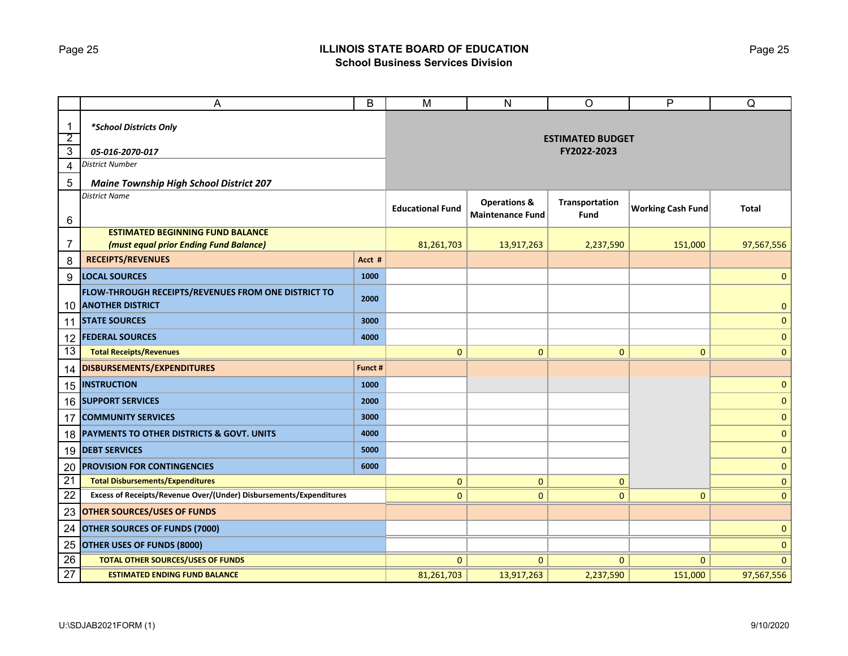## Page 25 **ILLINOIS STATE BOARD OF EDUCATION School Business Services Division**

|                                  | A                                                                              | B                                      | M                                                  | $\mathsf{N}$           | $\circ$                  | P              | Q              |
|----------------------------------|--------------------------------------------------------------------------------|----------------------------------------|----------------------------------------------------|------------------------|--------------------------|----------------|----------------|
| $\mathbf{1}$                     | *School Districts Only                                                         | <b>ESTIMATED BUDGET</b><br>FY2022-2023 |                                                    |                        |                          |                |                |
| $\overline{2}$<br>$\overline{3}$ | 05-016-2070-017                                                                |                                        |                                                    |                        |                          |                |                |
| 4                                | District Number                                                                |                                        |                                                    |                        |                          |                |                |
| 5                                | <b>Maine Township High School District 207</b>                                 |                                        |                                                    |                        |                          |                |                |
| 6                                | <b>District Name</b>                                                           | <b>Educational Fund</b>                | <b>Operations &amp;</b><br><b>Maintenance Fund</b> | Transportation<br>Fund | <b>Working Cash Fund</b> | Total          |                |
|                                  | <b>ESTIMATED BEGINNING FUND BALANCE</b>                                        |                                        |                                                    |                        |                          |                |                |
| 7                                | (must equal prior Ending Fund Balance)                                         |                                        | 81,261,703                                         | 13,917,263             | 2,237,590                | 151,000        | 97,567,556     |
| 8                                | <b>RECEIPTS/REVENUES</b>                                                       | Acct #                                 |                                                    |                        |                          |                |                |
| 9                                | <b>LOCAL SOURCES</b>                                                           | 1000                                   |                                                    |                        |                          |                | $\mathbf 0$    |
| 10                               | FLOW-THROUGH RECEIPTS/REVENUES FROM ONE DISTRICT TO<br><b>ANOTHER DISTRICT</b> | 2000                                   |                                                    |                        |                          |                | $\mathbf{0}$   |
|                                  | <b>11 STATE SOURCES</b>                                                        | 3000                                   |                                                    |                        |                          |                | 0              |
| $12 \overline{ }$                | <b>FEDERAL SOURCES</b>                                                         | 4000                                   |                                                    |                        |                          |                | 0              |
| 13                               | <b>Total Receipts/Revenues</b>                                                 |                                        | $\mathbf{0}$                                       | $\mathbf{0}$           | $\overline{0}$           | $\Omega$       | $\overline{0}$ |
| 14                               | DISBURSEMENTS/EXPENDITURES                                                     | Funct #                                |                                                    |                        |                          |                |                |
|                                  | <b>15 INSTRUCTION</b>                                                          | 1000                                   |                                                    |                        |                          |                | 0              |
|                                  | 16 SUPPORT SERVICES                                                            | 2000                                   |                                                    |                        |                          |                | $\mathbf{0}$   |
| 17                               | <b>COMMUNITY SERVICES</b>                                                      | 3000                                   |                                                    |                        |                          |                | $\pmb{0}$      |
|                                  | 18 PAYMENTS TO OTHER DISTRICTS & GOVT. UNITS                                   | 4000                                   |                                                    |                        |                          |                | $\mathbf 0$    |
|                                  | 19 DEBT SERVICES                                                               | 5000                                   |                                                    |                        |                          |                | $\mathbf{0}$   |
| 20                               | <b>PROVISION FOR CONTINGENCIES</b>                                             | 6000                                   |                                                    |                        |                          |                | $\mathbf{0}$   |
| $\overline{21}$                  | <b>Total Disbursements/Expenditures</b>                                        |                                        | $\mathbf{0}$                                       | $\mathbf{0}$           | 0                        |                | $\mathbf 0$    |
| 22                               | Excess of Receipts/Revenue Over/(Under) Disbursements/Expenditures             |                                        | $\mathbf{0}$                                       | $\mathbf{0}$           | 0                        | $\mathbf{0}$   | $\mathbf{0}$   |
| 23                               | <b>OTHER SOURCES/USES OF FUNDS</b>                                             |                                        |                                                    |                        |                          |                |                |
| 24                               | OTHER SOURCES OF FUNDS (7000)                                                  |                                        |                                                    |                        |                          | $\pmb{0}$      |                |
| 25                               | OTHER USES OF FUNDS (8000)                                                     |                                        |                                                    |                        |                          | $\mathbf 0$    |                |
| 26                               | <b>TOTAL OTHER SOURCES/USES OF FUNDS</b>                                       |                                        | $\mathbf 0$                                        | $\mathbf{0}$           | $\mathbf{0}$             | $\overline{0}$ | $\mathbf 0$    |
| 27                               | <b>ESTIMATED ENDING FUND BALANCE</b>                                           |                                        | 81,261,703                                         | 13,917,263             | 2,237,590                | 151,000        | 97,567,556     |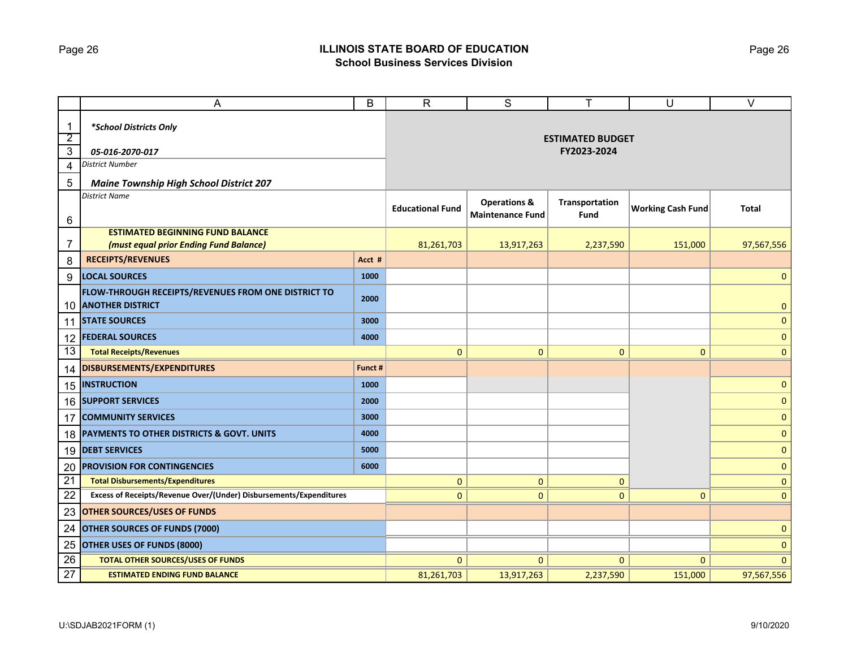## Page 26 **ILLINOIS STATE BOARD OF EDUCATION School Business Services Division**

|                | A                                                                              | B                       | $\mathsf{R}$                                       | S                      | Τ                        | U            | $\overline{\vee}$ |  |
|----------------|--------------------------------------------------------------------------------|-------------------------|----------------------------------------------------|------------------------|--------------------------|--------------|-------------------|--|
| $\mathbf 1$    | *School Districts Only                                                         |                         |                                                    |                        |                          |              |                   |  |
| $\overline{2}$ |                                                                                |                         | <b>ESTIMATED BUDGET</b>                            |                        |                          |              |                   |  |
| $\overline{3}$ | 05-016-2070-017                                                                |                         |                                                    | FY2023-2024            |                          |              |                   |  |
| 4              | District Number                                                                |                         |                                                    |                        |                          |              |                   |  |
| 5              | <b>Maine Township High School District 207</b>                                 |                         |                                                    |                        |                          |              |                   |  |
| 6              | <b>District Name</b>                                                           | <b>Educational Fund</b> | <b>Operations &amp;</b><br><b>Maintenance Fund</b> | Transportation<br>Fund | <b>Working Cash Fund</b> | Total        |                   |  |
|                | <b>ESTIMATED BEGINNING FUND BALANCE</b>                                        |                         |                                                    |                        |                          |              |                   |  |
| 7              | (must equal prior Ending Fund Balance)                                         |                         | 81,261,703                                         | 13,917,263             | 2,237,590                | 151,000      | 97,567,556        |  |
| 8              | <b>RECEIPTS/REVENUES</b>                                                       | Acct #                  |                                                    |                        |                          |              |                   |  |
| 9              | <b>LOCAL SOURCES</b>                                                           | 1000                    |                                                    |                        |                          |              | $\mathbf 0$       |  |
| 10             | FLOW-THROUGH RECEIPTS/REVENUES FROM ONE DISTRICT TO<br><b>ANOTHER DISTRICT</b> | 2000                    |                                                    |                        |                          |              | $\pmb{0}$         |  |
| 11             | <b>STATE SOURCES</b>                                                           | 3000                    |                                                    |                        |                          |              | $\pmb{0}$         |  |
| 12             | <b>FEDERAL SOURCES</b>                                                         | 4000                    |                                                    |                        |                          |              | 0                 |  |
| 13             | <b>Total Receipts/Revenues</b>                                                 |                         | $\mathbf{0}$                                       | $\mathbf{0}$           | $\mathbf{0}$             | $\Omega$     | $\mathbf{0}$      |  |
| 14             | DISBURSEMENTS/EXPENDITURES                                                     | Funct #                 |                                                    |                        |                          |              |                   |  |
|                | 15   INSTRUCTION                                                               | 1000                    |                                                    |                        |                          |              | $\mathbf 0$       |  |
|                | 16 SUPPORT SERVICES                                                            | 2000                    |                                                    |                        |                          |              | $\mathbf 0$       |  |
| 17             | <b>COMMUNITY SERVICES</b>                                                      | 3000                    |                                                    |                        |                          |              | $\pmb{0}$         |  |
|                | 18 PAYMENTS TO OTHER DISTRICTS & GOVT. UNITS                                   | 4000                    |                                                    |                        |                          |              | 0                 |  |
|                | 19 DEBT SERVICES                                                               | 5000                    |                                                    |                        |                          |              | $\mathbf 0$       |  |
| 20             | <b>PROVISION FOR CONTINGENCIES</b>                                             | 6000                    |                                                    |                        |                          |              | $\mathbf 0$       |  |
| 21             | <b>Total Disbursements/Expenditures</b>                                        |                         | $\mathbf 0$                                        | $\mathbf{0}$           | 0                        |              | 0                 |  |
| 22             | Excess of Receipts/Revenue Over/(Under) Disbursements/Expenditures             |                         | $\mathbf{0}$                                       | $\mathbf{0}$           | $\overline{0}$           | $\mathbf{0}$ | $\mathbf{0}$      |  |
| 23             | <b>OTHER SOURCES/USES OF FUNDS</b>                                             |                         |                                                    |                        |                          |              |                   |  |
| 24             | OTHER SOURCES OF FUNDS (7000)                                                  |                         |                                                    |                        |                          |              | $\pmb{0}$         |  |
| 25             | <b>OTHER USES OF FUNDS (8000)</b>                                              |                         |                                                    |                        |                          |              | $\mathbf 0$       |  |
| 26             | <b>TOTAL OTHER SOURCES/USES OF FUNDS</b>                                       |                         | $\mathbf{0}$                                       | $\mathbf{0}$           | $\overline{0}$           | $\Omega$     | $\mathbf{0}$      |  |
| 27             | <b>ESTIMATED ENDING FUND BALANCE</b>                                           |                         | 81,261,703                                         | 13,917,263             | 2,237,590                | 151,000      | 97,567,556        |  |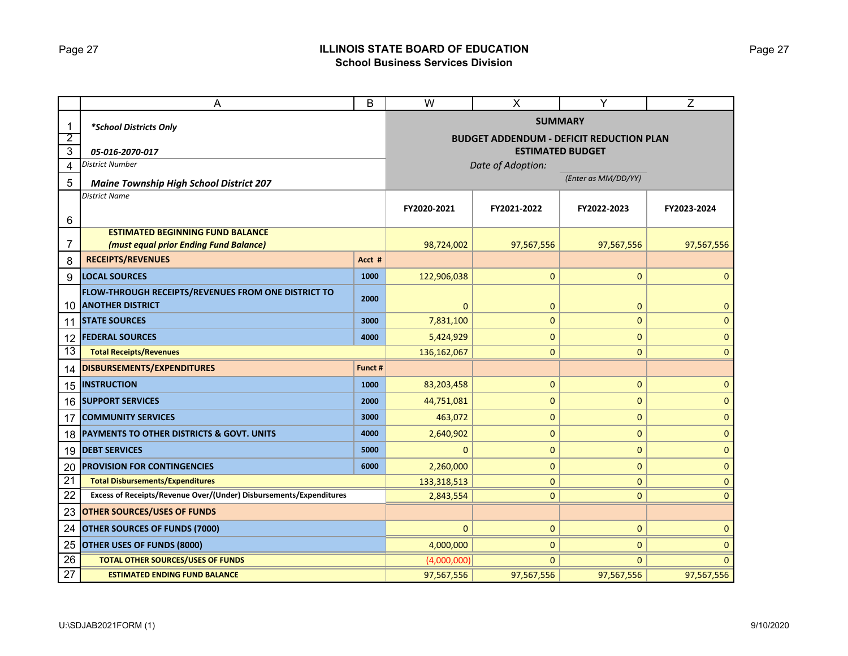## Page 27 **ILLINOIS STATE BOARD OF EDUCATION School Business Services Division**

|                                | A                                                                              |                                                                            | W                   | $\pmb{\times}$    | Y            | Z            |  |  |  |
|--------------------------------|--------------------------------------------------------------------------------|----------------------------------------------------------------------------|---------------------|-------------------|--------------|--------------|--|--|--|
| 1                              | *School Districts Only                                                         |                                                                            | <b>SUMMARY</b>      |                   |              |              |  |  |  |
| $\overline{2}$<br>$\mathbf{3}$ | 05-016-2070-017                                                                | <b>BUDGET ADDENDUM - DEFICIT REDUCTION PLAN</b><br><b>ESTIMATED BUDGET</b> |                     |                   |              |              |  |  |  |
| 4                              | District Number                                                                |                                                                            |                     | Date of Adoption: |              |              |  |  |  |
| 5                              | <b>Maine Township High School District 207</b>                                 |                                                                            | (Enter as MM/DD/YY) |                   |              |              |  |  |  |
| 6                              | District Name                                                                  | FY2020-2021                                                                | FY2021-2022         | FY2022-2023       | FY2023-2024  |              |  |  |  |
|                                | <b>ESTIMATED BEGINNING FUND BALANCE</b>                                        |                                                                            |                     |                   |              |              |  |  |  |
| 7                              | (must equal prior Ending Fund Balance)                                         |                                                                            | 98,724,002          | 97,567,556        | 97,567,556   | 97,567,556   |  |  |  |
| 8                              | <b>RECEIPTS/REVENUES</b>                                                       | Acct #                                                                     |                     |                   |              |              |  |  |  |
| 9                              | <b>LOCAL SOURCES</b>                                                           | 1000                                                                       | 122,906,038         | $\mathbf 0$       | 0            | $\Omega$     |  |  |  |
| 10                             | FLOW-THROUGH RECEIPTS/REVENUES FROM ONE DISTRICT TO<br><b>ANOTHER DISTRICT</b> | 2000                                                                       | $\Omega$            | $\mathbf{0}$      | 0            | $\mathbf 0$  |  |  |  |
| 11                             | <b>STATE SOURCES</b>                                                           | 3000                                                                       | 7,831,100           | 0                 | $\pmb{0}$    | $\mathbf{0}$ |  |  |  |
| 12                             | <b>FEDERAL SOURCES</b>                                                         | 4000                                                                       | 5,424,929           | $\mathbf 0$       | 0            | $\mathbf 0$  |  |  |  |
| 13                             | <b>Total Receipts/Revenues</b>                                                 | 136,162,067                                                                | $\mathbf{0}$        | $\overline{0}$    | $\mathbf{0}$ |              |  |  |  |
| 14                             | DISBURSEMENTS/EXPENDITURES                                                     | Funct #                                                                    |                     |                   |              |              |  |  |  |
| 15                             | <b>INSTRUCTION</b>                                                             | 1000                                                                       | 83,203,458          | $\mathbf{0}$      | 0            | $\mathbf{0}$ |  |  |  |
| 16                             | <b>SUPPORT SERVICES</b>                                                        | 2000                                                                       | 44,751,081          | 0                 | 0            | $\mathbf 0$  |  |  |  |
| 17                             | <b>COMMUNITY SERVICES</b>                                                      | 3000                                                                       | 463,072             | $\mathbf{0}$      | 0            | $\mathbf{0}$ |  |  |  |
| 18                             | <b>PAYMENTS TO OTHER DISTRICTS &amp; GOVT. UNITS</b>                           | 4000                                                                       | 2,640,902           | $\pmb{0}$         | $\mathbf 0$  | $\pmb{0}$    |  |  |  |
| 19                             | <b>DEBT SERVICES</b>                                                           | 5000                                                                       | $\Omega$            | 0                 | 0            | $\mathbf 0$  |  |  |  |
| 20                             | <b>PROVISION FOR CONTINGENCIES</b>                                             | 6000                                                                       | 2,260,000           | $\pmb{0}$         | $\mathbf 0$  | $\mathbf 0$  |  |  |  |
| 21                             | <b>Total Disbursements/Expenditures</b>                                        | 133,318,513                                                                | $\mathbf{0}$        | $\mathbf{0}$      | $\mathbf 0$  |              |  |  |  |
| 22                             | Excess of Receipts/Revenue Over/(Under) Disbursements/Expenditures             | 2,843,554                                                                  | $\mathbf{0}$        | $\overline{0}$    | $\mathbf{0}$ |              |  |  |  |
| 23                             | <b>OTHER SOURCES/USES OF FUNDS</b>                                             |                                                                            |                     |                   |              |              |  |  |  |
| 24                             | OTHER SOURCES OF FUNDS (7000)                                                  | $\Omega$                                                                   | $\mathbf{0}$        | $\mathbf{0}$      | $\mathbf{0}$ |              |  |  |  |
| 25                             | OTHER USES OF FUNDS (8000)                                                     |                                                                            | 4,000,000           | $\mathbf{0}$      | 0            | 0            |  |  |  |
| 26                             | <b>TOTAL OTHER SOURCES/USES OF FUNDS</b>                                       |                                                                            | (4,000,000)         | $\mathbf{0}$      | $\Omega$     | $\Omega$     |  |  |  |
| 27                             | <b>ESTIMATED ENDING FUND BALANCE</b>                                           |                                                                            | 97,567,556          | 97,567,556        | 97,567,556   | 97,567,556   |  |  |  |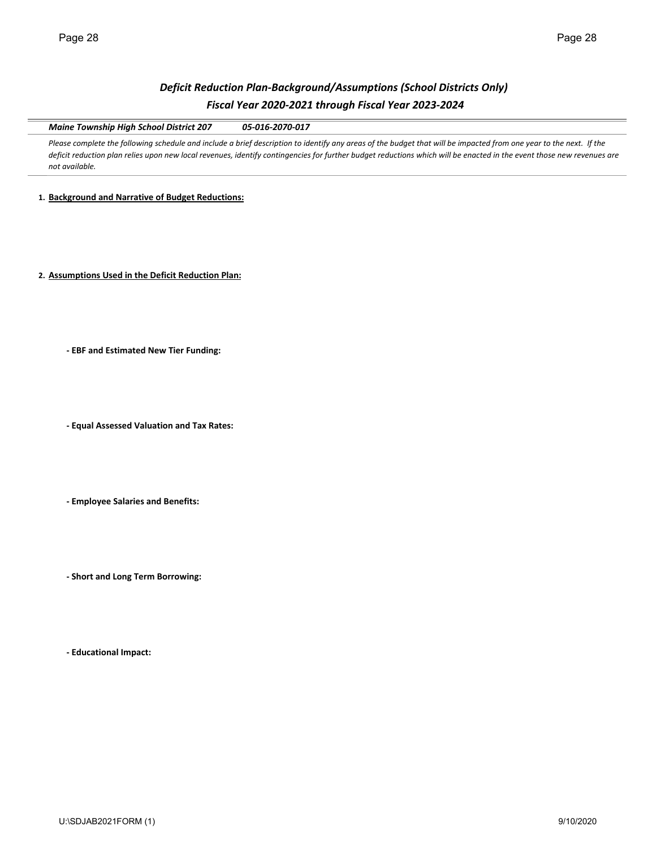# *Deficit Reduction Plan‐Background/Assumptions (School Districts Only) Fiscal Year 2020‐2021 through Fiscal Year 2023‐2024*

*Maine Township High School District 207 05‐016‐2070‐017*

Please complete the following schedule and include a brief description to identify any areas of the budget that will be impacted from one year to the next. If the deficit reduction plan relies upon new local revenues, identify contingencies for further budget reductions which will be enacted in the event those new revenues are *not available.* 

**1. Background and Narrative of Budget Reductions:**

**2. Assumptions Used in the Deficit Reduction Plan:**

**‐ EBF and Estimated New Tier Funding:**

**‐ Equal Assessed Valuation and Tax Rates:**

**‐ Employee Salaries and Benefits:**

**‐ Short and Long Term Borrowing:**

**‐ Educational Impact:**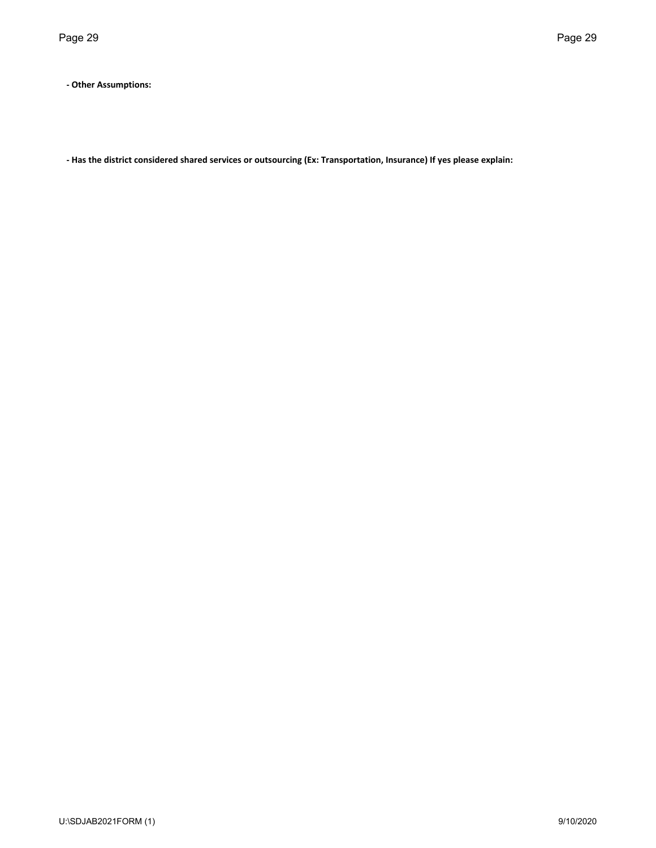**‐ Other Assumptions:**

- Has the district considered shared services or outsourcing (Ex: Transportation, Insurance) If yes please explain: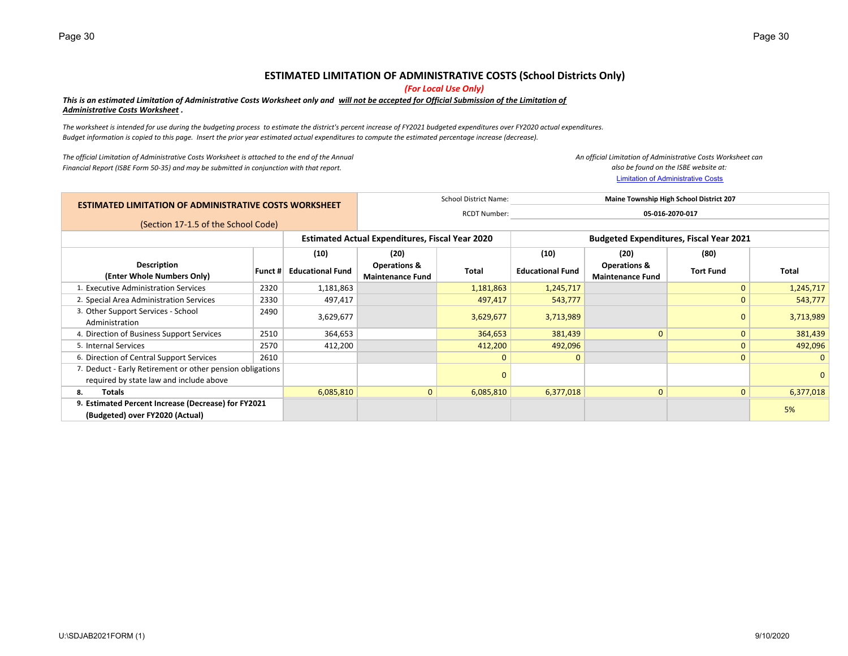## **ESTIMATED LIMITATION OF ADMINISTRATIVE COSTS (School Districts Only)**

*(For Local Use Only)*

#### This is an estimated Limitation of Administrative Costs Worksheet only and <u>will not be accepted for Official Submission of the Limitation of</u> *Administrative Costs Worksheet .*

The worksheet is intended for use during the budgeting process to estimate the district's percent increase of FY2021 budgeted expenditures over FY2020 actual expenditures. Budget information is copied to this page. Insert the prior year estimated actual expenditures to compute the estimated percentage increase (decrease).

*The official Limitation of Administrative Costs Worksheet is attached to the end of the Annual Financial Report (ISBE Form 50‐35) and may be submitted in conjunction with that report.*

Limitation of Administrative Costs *An official Limitation of Administrative Costs Worksheet can also be found on the ISBE website at:*

| <b>ESTIMATED LIMITATION OF ADMINISTRATIVE COSTS WORKSHEET</b> |      |                                                           |                                                    |              | Maine Township High School District 207                                  |                                                    |                  |              |  |
|---------------------------------------------------------------|------|-----------------------------------------------------------|----------------------------------------------------|--------------|--------------------------------------------------------------------------|----------------------------------------------------|------------------|--------------|--|
|                                                               |      |                                                           |                                                    |              | 05-016-2070-017                                                          |                                                    |                  |              |  |
| (Section 17-1.5 of the School Code)                           |      |                                                           |                                                    |              |                                                                          |                                                    |                  |              |  |
|                                                               |      |                                                           |                                                    |              | <b>Budgeted Expenditures, Fiscal Year 2021</b>                           |                                                    |                  |              |  |
|                                                               |      | (10)                                                      | (20)                                               |              | (10)                                                                     | (20)                                               | (80)             |              |  |
| Description<br>(Enter Whole Numbers Only)                     |      | <b>Educational Fund</b>                                   | <b>Operations &amp;</b><br><b>Maintenance Fund</b> | <b>Total</b> | <b>Educational Fund</b>                                                  | <b>Operations &amp;</b><br><b>Maintenance Fund</b> | <b>Tort Fund</b> | Total        |  |
| 1. Executive Administration Services                          | 2320 | 1,181,863                                                 |                                                    | 1,181,863    | 1,245,717                                                                |                                                    | $\mathbf{0}$     | 1,245,717    |  |
| 2. Special Area Administration Services                       | 2330 | 497,417                                                   |                                                    | 497,417      | 543,777                                                                  |                                                    | $\mathbf{0}$     | 543,777      |  |
| 3. Other Support Services - School<br>Administration          | 2490 | 3,629,677                                                 |                                                    | 3,629,677    | 3,713,989                                                                |                                                    | $\Omega$         | 3,713,989    |  |
| 4. Direction of Business Support Services                     | 2510 | 364,653                                                   |                                                    | 364,653      | 381,439                                                                  | $\mathbf{0}$                                       | $\mathbf{0}$     | 381,439      |  |
| 5. Internal Services                                          | 2570 | 412,200                                                   |                                                    | 412,200      | 492,096                                                                  |                                                    | $\Omega$         | 492,096      |  |
| 6. Direction of Central Support Services                      | 2610 |                                                           |                                                    | $\mathbf{0}$ | 0                                                                        |                                                    | $\Omega$         | $\mathbf{0}$ |  |
| required by state law and include above                       |      |                                                           |                                                    |              |                                                                          |                                                    |                  | $\mathbf{0}$ |  |
| Totals<br>8.                                                  |      | 6,085,810                                                 |                                                    | 6,085,810    | 6,377,018                                                                | $\mathbf{0}$                                       | $\mathbf{0}$     | 6,377,018    |  |
| 9. Estimated Percent Increase (Decrease) for FY2021           |      |                                                           |                                                    |              |                                                                          |                                                    |                  | 5%           |  |
| (Budgeted) over FY2020 (Actual)                               |      |                                                           |                                                    |              |                                                                          |                                                    |                  |              |  |
|                                                               |      | 7. Deduct - Early Retirement or other pension obligations | Funct $#$                                          |              | <b>Estimated Actual Expenditures, Fiscal Year 2020</b><br>$\overline{0}$ | School District Name:<br><b>RCDT Number:</b>       |                  |              |  |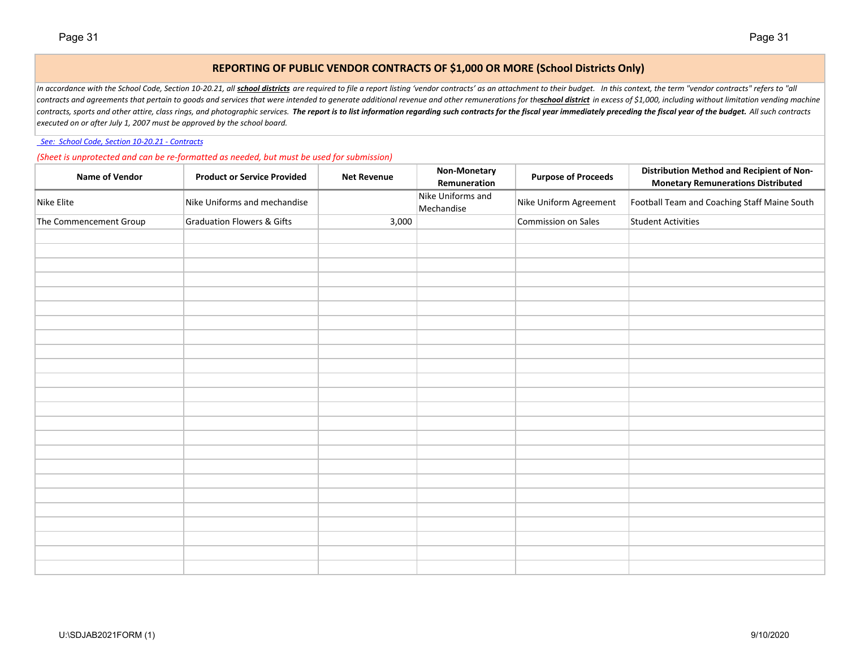## **REPORTING OF PUBLIC VENDOR CONTRACTS OF \$1,000 OR MORE (School Districts Only)**

In accordance with the School Code, Section 10-20.21, all <mark>school districts</mark> are required to file a report listing 'vendor contracts' as an attachment to their budget. In this context, the term "vendor contracts" refers to contracts and agreements that pertain to goods and services that were intended to generate additional revenue and other remunerations for the than the the than destrict in excess of \$1,000, including without limitation ven contracts, sports and other attire, class rings, and photographic services. The report is to list information regarding such contracts for the fiscal year immediately preceding the fiscal year of the budget. All such contr *executed on or after July 1, 2007 must be approved by the school board.*

*See: School Code, Section 10‐20.21 ‐ Contracts*

*(Sheet is unprotected and can be re‐formatted as needed, but must be used for submission)*

| <b>Name of Vendor</b>  | <b>Product or Service Provided</b>    | <b>Net Revenue</b> | Non-Monetary<br>Remuneration    | <b>Purpose of Proceeds</b> | Distribution Method and Recipient of Non-<br><b>Monetary Remunerations Distributed</b> |
|------------------------|---------------------------------------|--------------------|---------------------------------|----------------------------|----------------------------------------------------------------------------------------|
| Nike Elite             | Nike Uniforms and mechandise          |                    | Nike Uniforms and<br>Mechandise | Nike Uniform Agreement     | Football Team and Coaching Staff Maine South                                           |
| The Commencement Group | <b>Graduation Flowers &amp; Gifts</b> | 3,000              |                                 | Commission on Sales        | <b>Student Activities</b>                                                              |
|                        |                                       |                    |                                 |                            |                                                                                        |
|                        |                                       |                    |                                 |                            |                                                                                        |
|                        |                                       |                    |                                 |                            |                                                                                        |
|                        |                                       |                    |                                 |                            |                                                                                        |
|                        |                                       |                    |                                 |                            |                                                                                        |
|                        |                                       |                    |                                 |                            |                                                                                        |
|                        |                                       |                    |                                 |                            |                                                                                        |
|                        |                                       |                    |                                 |                            |                                                                                        |
|                        |                                       |                    |                                 |                            |                                                                                        |
|                        |                                       |                    |                                 |                            |                                                                                        |
|                        |                                       |                    |                                 |                            |                                                                                        |
|                        |                                       |                    |                                 |                            |                                                                                        |
|                        |                                       |                    |                                 |                            |                                                                                        |
|                        |                                       |                    |                                 |                            |                                                                                        |
|                        |                                       |                    |                                 |                            |                                                                                        |
|                        |                                       |                    |                                 |                            |                                                                                        |
|                        |                                       |                    |                                 |                            |                                                                                        |
|                        |                                       |                    |                                 |                            |                                                                                        |
|                        |                                       |                    |                                 |                            |                                                                                        |
|                        |                                       |                    |                                 |                            |                                                                                        |
|                        |                                       |                    |                                 |                            |                                                                                        |
|                        |                                       |                    |                                 |                            |                                                                                        |
|                        |                                       |                    |                                 |                            |                                                                                        |
|                        |                                       |                    |                                 |                            |                                                                                        |